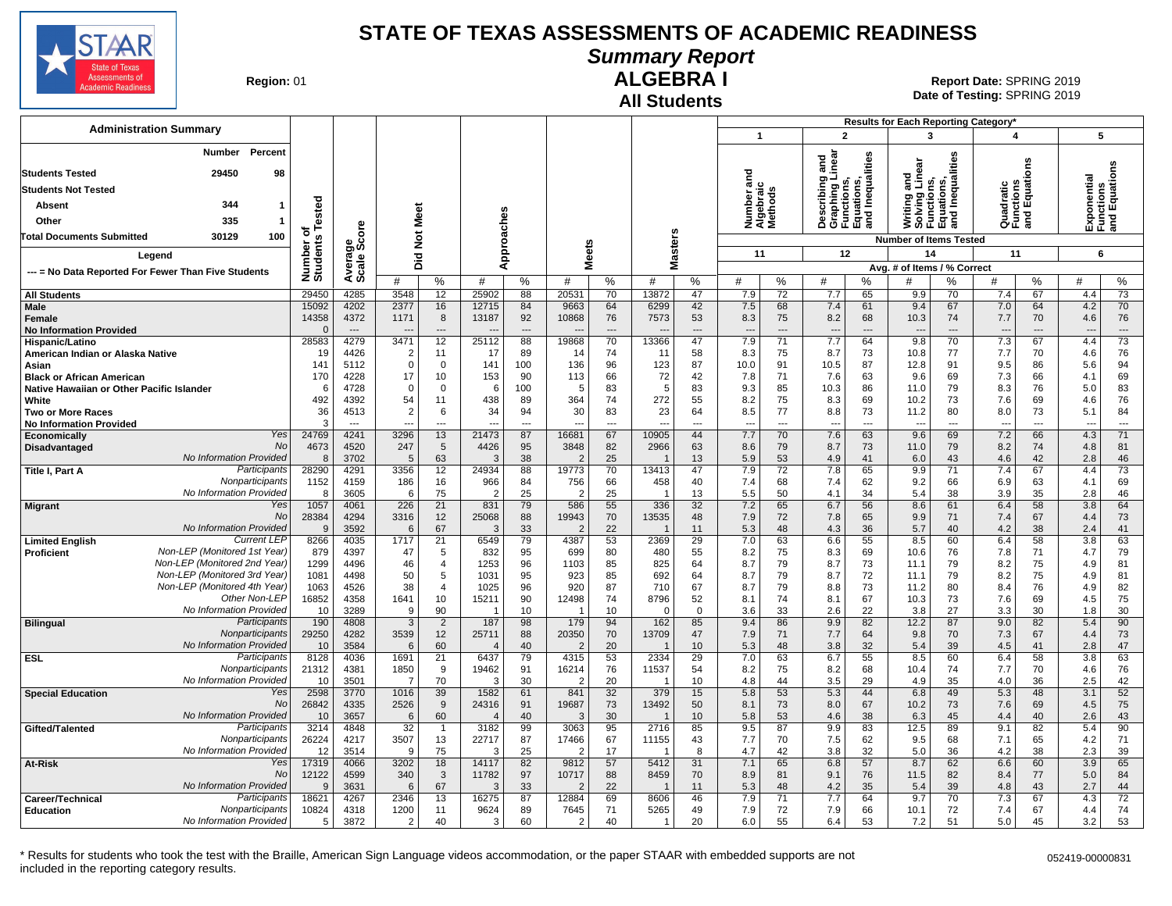

# **Summary Report**

**Region: 01** 

#### **All Students ALGEBRA I**

**Date of Testing:**  SPRING 2019 01 **Report Date:** SPRING 2019

|                                                                               |                           |                        |                |                          |                         |                |                          |                |                         |                |                |                     |                   |                                                                    | Results for Each Reporting Category*                                 |                |                                      |                |                          |                                        |
|-------------------------------------------------------------------------------|---------------------------|------------------------|----------------|--------------------------|-------------------------|----------------|--------------------------|----------------|-------------------------|----------------|----------------|---------------------|-------------------|--------------------------------------------------------------------|----------------------------------------------------------------------|----------------|--------------------------------------|----------------|--------------------------|----------------------------------------|
| <b>Administration Summary</b>                                                 |                           |                        |                |                          |                         |                |                          |                |                         |                | $\mathbf{1}$   |                     |                   | $\overline{2}$                                                     | 3                                                                    |                | $\overline{\mathbf{A}}$              |                |                          | 5                                      |
| Percent<br>Number                                                             |                           |                        |                |                          |                         |                |                          |                |                         |                |                |                     | ਠ                 |                                                                    |                                                                      |                |                                      |                |                          |                                        |
| 29450                                                                         |                           |                        |                |                          |                         |                |                          |                |                         |                | ਹ              |                     | inear<br>듦        | Inequalities                                                       |                                                                      | lities         |                                      | ens            |                          | cponential<br>unctions<br>nd Equations |
| <b>Students Tested</b><br>98                                                  |                           |                        |                |                          |                         |                |                          |                |                         |                | 듦              |                     | uning.<br>I paint |                                                                    | ទី<br>ក្នុង                                                          |                |                                      |                |                          |                                        |
| <b>Students Not Tested</b>                                                    |                           |                        |                |                          |                         |                |                          |                |                         |                |                | Igebraic<br>lethods |                   | Describing<br>Graphing L<br>Functions,<br>Equations,<br>and Inequa | Writing and<br>Solving Lin<br>Functions,<br>Equations,<br>and Inequa | Inequa         | Quadratic<br>Functions<br>and Equati |                |                          |                                        |
| 344<br><b>Absent</b><br>-1                                                    | Tested                    |                        | Meet           |                          |                         |                |                          |                |                         |                | umber          |                     |                   |                                                                    |                                                                      |                |                                      |                |                          |                                        |
| 335<br>Other<br>-1                                                            |                           |                        |                |                          |                         |                |                          |                |                         |                | ž∢Σ            |                     |                   |                                                                    |                                                                      |                |                                      |                | 迟일                       | )<br>도움<br>5                           |
| 100<br>30129<br><b>Total Documents Submitted</b>                              | ত<br>Number o<br>Students | Average<br>Scale Score | $\frac{5}{2}$  |                          |                         | Approaches     |                          |                | sters                   |                |                |                     |                   |                                                                    | <b>Number of Items Tested</b>                                        |                |                                      |                |                          |                                        |
| Legend                                                                        |                           |                        |                |                          |                         |                | <b>Meets</b>             |                | $\alpha$                |                | 11             |                     |                   | 12                                                                 | 14                                                                   |                | 11                                   |                |                          | 6                                      |
| --- = No Data Reported For Fewer Than Five Students                           |                           |                        | Did            |                          |                         |                |                          |                | Σ                       |                |                |                     |                   |                                                                    | Avg. # of Items / % Correct                                          |                |                                      |                |                          |                                        |
|                                                                               |                           |                        | #              | %                        | #                       | %              | #                        | $\%$           | #                       | %              | #              | %                   | #                 | %                                                                  | #                                                                    | %              | #                                    | %              | #                        | %                                      |
| <b>All Students</b>                                                           | 29450                     | 4285                   | 3548           | 12                       | 25902                   | 88             | 20531                    | 70             | 13872                   | 47             | 7.9            | 72                  | 7.7               | 65                                                                 | 9.9                                                                  | 70             | 7.4                                  | 67             | 4.4                      | $\overline{73}$                        |
| Male                                                                          | 15092<br>14358            | 4202<br>4372           | 2377<br>1171   | 16<br>8                  | 12715<br>13187          | 84<br>92       | 9663<br>10868            | 64<br>76       | 6299<br>7573            | 42<br>53       | 7.5<br>8.3     | 68<br>75            | 7.4<br>8.2        | 61<br>68                                                           | 9.4<br>10.3                                                          | 67             | 7.0<br>7.7                           | 64<br>70       | 4.2<br>4.6               | 70<br>76                               |
| Female<br><b>No Information Provided</b>                                      | $\Omega$                  | $\sim$                 |                | $\overline{\phantom{a}}$ |                         | $\overline{a}$ |                          | $---$          |                         | $---$          | $\overline{a}$ | $\overline{a}$      | $\overline{a}$    | $\overline{a}$                                                     | $\overline{\phantom{a}}$                                             | 74<br>$---$    |                                      | $\overline{a}$ | $\overline{\phantom{a}}$ | $---$                                  |
| Hispanic/Latino                                                               | 28583                     | 4279                   | 3471           | 12                       | 25112                   | 88             | 19868                    | 70             | 13366                   | 47             | 7.9            | 71                  | 7.7               | 64                                                                 | 9.8                                                                  | 70             | 7.3                                  | 67             | 4.4                      | 73                                     |
| American Indian or Alaska Native                                              | 19                        | 4426                   | 2              | 11                       | 17                      | 89             | 14                       | 74             | 11                      | 58             | 8.3            | 75                  | 8.7               | 73                                                                 | 10.8                                                                 | 77             | 7.7                                  | 70             | 4.6                      | 76                                     |
| Asian                                                                         | 141                       | 5112                   | $\Omega$       | $\mathbf{0}$             | 141                     | 100            | 136                      | 96             | 123                     | 87             | 10.0           | 91                  | 10.5              | 87                                                                 | 12.8                                                                 | 91             | 9.5                                  | 86             | 5.6                      | 94                                     |
| <b>Black or African American</b><br>Native Hawaiian or Other Pacific Islander | 170<br>6                  | 4228<br>4728           | 17<br>$\Omega$ | 10<br>$\mathbf 0$        | 153<br>6                | 90<br>100      | 113<br>-5                | 66<br>83       | 72<br>5                 | 42<br>83       | 7.8<br>9.3     | 71<br>85            | 7.6<br>10.3       | 63<br>86                                                           | 9.6<br>11.0                                                          | 69<br>79       | 7.3<br>8.3                           | 66<br>76       | 4.1<br>5.0               | 69<br>83                               |
| White                                                                         | 492                       | 4392                   | 54             | 11                       | 438                     | 89             | 364                      | 74             | 272                     | 55             | 8.2            | 75                  | 8.3               | 69                                                                 | 10.2                                                                 | 73             | 7.6                                  | 69             | 4.6                      | 76                                     |
| <b>Two or More Races</b>                                                      | 36                        | 4513                   | $\overline{2}$ | 6                        | 34                      | 94             | 30                       | 83             | 23                      | 64             | 8.5            | 77                  | 8.8               | 73                                                                 | 11.2                                                                 | 80             | 8.0                                  | 73             | 5.1                      | 84                                     |
| <b>No Information Provided</b>                                                | 3                         | $\overline{a}$         | $\sim$         | $\overline{a}$           |                         | $\overline{a}$ | $\overline{\phantom{a}}$ | $\overline{a}$ | $\overline{a}$          | $\overline{a}$ | $\overline{a}$ | ---                 | $\overline{a}$    | $\overline{\phantom{a}}$                                           | $\overline{a}$                                                       | $\overline{a}$ | $\overline{\phantom{a}}$             | $\overline{a}$ | $\sim$                   | $\sim$                                 |
| Yes<br>Economically<br>No                                                     | 24769<br>4673             | 4241<br>4520           | 3296<br>247    | 13<br>5                  | 21473<br>4426           | 87<br>95       | 16681<br>3848            | 67<br>82       | 10905<br>2966           | 44<br>63       | 7.7<br>8.6     | 70<br>79            | 7.6<br>8.7        | 63<br>73                                                           | 9.6<br>11.0                                                          | 69<br>79       | 7.2<br>8.2                           | 66<br>74       | 4.3<br>4.8               | 71<br>81                               |
| Disadvantaged<br>No Information Provided                                      | 8                         | 3702                   | $\overline{5}$ | 63                       | 3                       | 38             |                          | 25             |                         | 13             | 5.9            | 53                  | 4.9               | 41                                                                 | 6.0                                                                  | 43             | 4.6                                  | 42             | 2.8                      | 46                                     |
| Participants<br>Title I, Part A                                               | 28290                     | 4291                   | 3356           | 12                       | 24934                   | 88             | 19773                    | 70             | 13413                   | 47             | 7.9            | 72                  | 7.8               | 65                                                                 | 9.9                                                                  | 71             | 7.4                                  | 67             | 4.4                      | 73                                     |
| Nonparticipants                                                               | 1152                      | 4159                   | 186            | 16                       | 966                     | 84             | 756                      | 66             | 458                     | 40             | 7.4            | 68                  | 7.4               | 62                                                                 | 9.2                                                                  | 66             | 6.9                                  | 63             | 4.1                      | 69                                     |
| No Information Provided                                                       | 8                         | 3605                   | 6              | 75                       | $\overline{2}$          | 25             | $\mathcal{P}$            | 25             |                         | 13             | 5.5            | 50                  | 4.1               | 34                                                                 | 5.4                                                                  | 38             | 3.9                                  | 35             | 2.8                      | 46                                     |
| Yes<br><b>Migrant</b><br><b>No</b>                                            | 1057<br>28384             | 4061<br>4294           | 226<br>3316    | 21<br>12                 | 831<br>25068            | 79<br>88       | 586<br>19943             | 55<br>70       | 336<br>13535            | 32<br>48       | 7.2<br>7.9     | 65<br>72            | 6.7<br>7.8        | 56<br>65                                                           | 8.6<br>9.9                                                           | 61<br>71       | 6.4<br>7.4                           | 58<br>67       | 3.8<br>4.4               | 64<br>73                               |
| No Information Provided                                                       | 9                         | 3592                   | 6              | 67                       | 3                       | 33             | $\overline{2}$           | 22             |                         | 11             | 5.3            | 48                  | 4.3               | 36                                                                 | 5.7                                                                  | 40             | 4.2                                  | 38             | 2.4                      | 41                                     |
| <b>Current LEF</b><br><b>Limited English</b>                                  | 8266                      | 4035                   | 1717           | 21                       | 6549                    | 79             | 4387                     | 53             | 2369                    | 29             | 7.0            | 63                  | 6.6               | 55                                                                 | 8.5                                                                  | 60             | 6.4                                  | 58             | 3.8                      | 63                                     |
| Non-LEP (Monitored 1st Year)<br>Proficient                                    | 879                       | 4397                   | 47             | 5                        | 832                     | 95             | 699                      | 80             | 480                     | 55             | 8.2            | 75                  | 8.3               | 69                                                                 | 10.6                                                                 | 76             | 7.8                                  | 71             | 4.7                      | 79                                     |
| Non-LEP (Monitored 2nd Year)<br>Non-LEP (Monitored 3rd Year                   | 1299<br>1081              | 4496<br>4498           | 46<br>50       | 4<br>5                   | 1253<br>1031            | 96<br>95       | 1103<br>923              | 85<br>85       | 825<br>692              | 64<br>64       | 8.7<br>8.7     | 79<br>79            | 8.7<br>8.7        | 73<br>72                                                           | 11.1<br>11.1                                                         | 79<br>79       | 8.2<br>8.2                           | 75<br>75       | 4.9<br>4.9               | 81<br>81                               |
| Non-LEP (Monitored 4th Year)                                                  | 1063                      | 4526                   | 38             | $\overline{4}$           | 1025                    | 96             | 920                      | 87             | 710                     | 67             | 8.7            | 79                  | 8.8               | 73                                                                 | 11.2                                                                 | 80             | 8.4                                  | 76             | 4.9                      | 82                                     |
| Other Non-LEP                                                                 | 16852                     | 4358                   | 1641           | 10                       | 15211                   | 90             | 12498                    | 74             | 8796                    | 52             | 8.1            | 74                  | 8.1               | 67                                                                 | 10.3                                                                 | 73             | 7.6                                  | 69             | 4.5                      | 75                                     |
| No Information Provided                                                       | 10                        | 3289                   | 9              | 90                       |                         | 10             |                          | 10             | $\Omega$                | $\Omega$       | 3.6            | 33                  | 2.6               | 22                                                                 | 3.8                                                                  | 27             | 3.3                                  | 30             | 1.8                      | 30                                     |
| Participants<br><b>Bilingual</b>                                              | 190                       | 4808                   | 3              | $\overline{2}$           | 187                     | 98             | 179                      | 94             | 162                     | 85             | 9.4            | 86                  | 9.9               | 82                                                                 | 12.2                                                                 | 87             | 9.0                                  | 82             | 5.4                      | 90                                     |
| Nonparticipants<br>No Information Provided                                    | 29250<br>10               | 4282<br>3584           | 3539<br>6      | 12<br>60                 | 25711<br>$\overline{4}$ | 88<br>40       | 20350<br>$\overline{2}$  | 70<br>20       | 13709<br>$\overline{1}$ | 47<br>10       | 7.9<br>5.3     | 71<br>48            | 7.7<br>3.8        | 64<br>32                                                           | 9.8<br>5.4                                                           | 70<br>39       | 7.3<br>4.5                           | 67<br>41       | 4.4<br>2.8               | 73<br>47                               |
| Participants<br><b>ESL</b>                                                    | 8128                      | 4036                   | 1691           | 21                       | 6437                    | 79             | 4315                     | 53             | 2334                    | 29             | 7.0            | 63                  | 6.7               | 55                                                                 | 8.5                                                                  | 60             | 6.4                                  | 58             | 3.8                      | 63                                     |
| Nonparticipants                                                               | 21312                     | 4381                   | 1850           | 9                        | 19462                   | 91             | 16214                    | 76             | 11537                   | 54             | 8.2            | 75                  | 8.2               | 68                                                                 | 10.4                                                                 | 74             | 7.7                                  | 70             | 4.6                      | 76                                     |
| No Information Provided                                                       | 10                        | 3501                   | 7              | 70                       | 3                       | 30             |                          | 20             |                         | 10             | 4.8            | 44                  | 3.5               | 29                                                                 | 4.9                                                                  | 35             | 4.0                                  | 36             | 2.5                      | 42                                     |
| Yes<br><b>Special Education</b><br>No                                         | 2598                      | 3770                   | 1016           | 39                       | 1582                    | 61             | 841                      | 32             | 379                     | 15             | 5.8            | 53                  | 5.3               | 44                                                                 | 6.8                                                                  | 49             | 5.3                                  | 48             | 3.1                      | 52                                     |
| No Information Provided                                                       | 26842<br>10               | 4335<br>3657           | 2526<br>6      | 9<br>60                  | 24316<br>4              | 91<br>40       | 19687<br>-3              | 73<br>30       | 13492                   | 50<br>10       | 8.1<br>5.8     | 73<br>53            | 8.0<br>4.6        | 67<br>38                                                           | 10.2<br>6.3                                                          | 73<br>45       | 7.6<br>4.4                           | 69<br>40       | 4.5<br>2.6               | 75<br>43                               |
| Gifted/Talented<br>Participants                                               | 3214                      | 4848                   | 32             | -1                       | 3182                    | 99             | 3063                     | 95             | 2716                    | 85             | 9.5            | 87                  | 9.9               | 83                                                                 | 12.5                                                                 | 89             | 9.1                                  | 82             | 5.4                      | 90                                     |
| Nonparticipants                                                               | 26224                     | 4217                   | 3507           | 13                       | 22717                   | 87             | 17466                    | 67             | 11155                   | 43             | 7.7            | 70                  | 7.5               | 62                                                                 | 9.5                                                                  | 68             | 7.1                                  | 65             | 4.2                      | 71                                     |
| No Information Provided                                                       | 12                        | 3514                   | 9              | 75                       | 3                       | 25             | $\mathcal{P}$            | 17             | $\overline{1}$          | 8              | 4.7            | 42                  | 3.8               | 32                                                                 | 5.0                                                                  | 36             | 4.2                                  | 38             | 2.3                      | 39                                     |
| Yes<br>At-Risk<br>No                                                          | 17319                     | 4066<br>4599           | 3202<br>340    | 18                       | 14117                   | 82<br>97       | 9812<br>10717            | 57             | 5412                    | 31             | 7.1            | 65<br>81            | 6.8<br>9.1        | 57                                                                 | 8.7                                                                  | 62             | 6.6                                  | 60<br>77       | 3.9<br>5.0               | 65<br>84                               |
| No Information Provided                                                       | 12122<br>$\mathbf{Q}$     | 3631                   | 6              | $\mathbf{3}$<br>67       | 11782<br>3              | 33             | $\mathcal{P}$            | 88<br>22       | 8459<br>$\mathbf{1}$    | 70<br>11       | 8.9<br>5.3     | 48                  | 4.2               | 76<br>35                                                           | 11.5<br>5.4                                                          | 82<br>39       | 8.4<br>4.8                           | 43             | 2.7                      | 44                                     |
| Participants<br>Career/Technical                                              | 18621                     | 4267                   | 2346           | 13                       | 16275                   | 87             | 12884                    | 69             | 8606                    | 46             | 7.9            | 71                  | 7.7               | 64                                                                 | 9.7                                                                  | 70             | 7.3                                  | 67             | 4.3                      | 72                                     |
| Nonparticipants<br><b>Education</b>                                           | 10824                     | 4318                   | 1200           | 11                       | 9624                    | 89             | 7645                     | 71             | 5265                    | 49             | 7.9            | 72                  | 7.9               | 66                                                                 | 10.1                                                                 | 72             | 7.4                                  | 67             | 4.4                      | 74                                     |
| No Information Provided                                                       | 5                         | 3872                   | $\overline{2}$ | 40                       | 3                       | 60             | $\overline{2}$           | 40             | -1                      | 20             | 6.0            | 55                  | 6.4               | 53                                                                 | 7.2                                                                  | 51             | 5.0                                  | 45             | 3.2                      | 53                                     |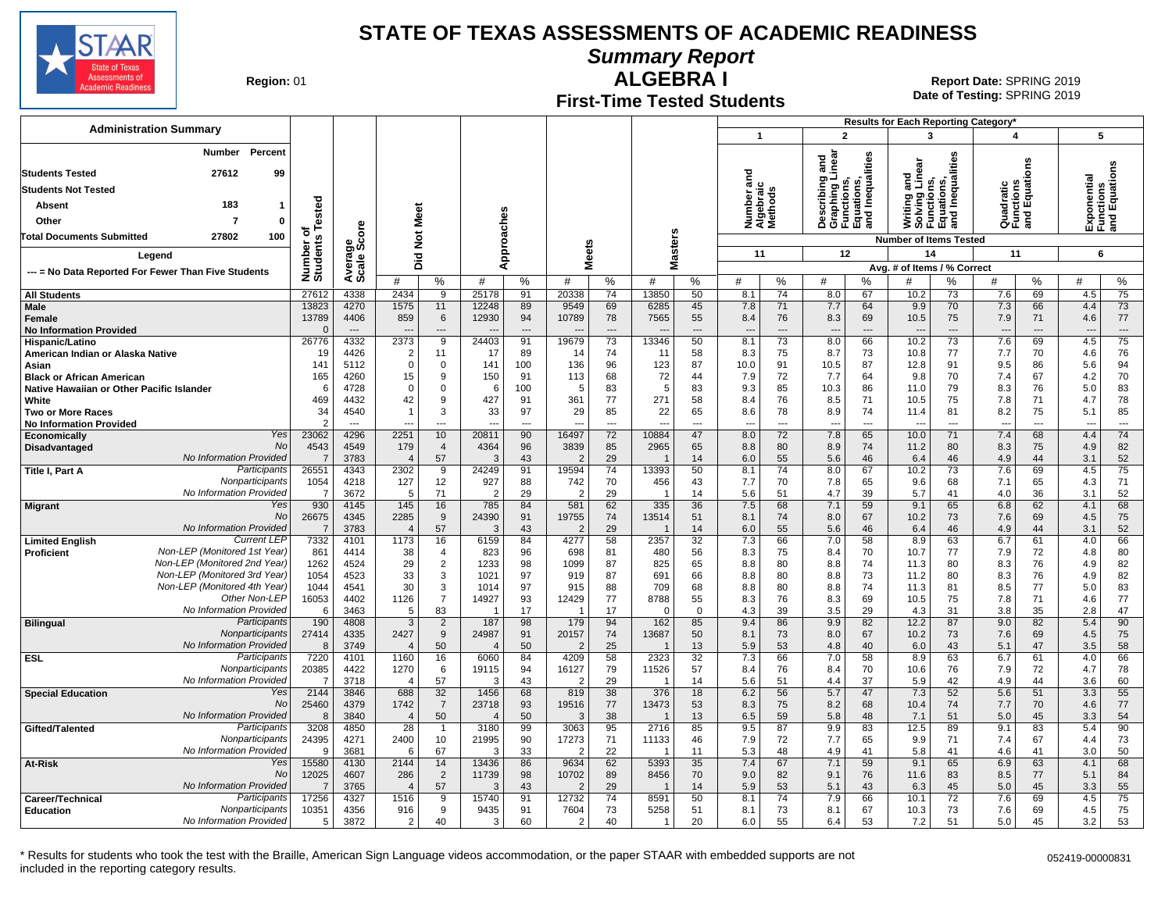

**Summary Report**

**Region: 01** 

#### **First-Time Tested Students ALGEBRA I** 01 **Report Date:** SPRING 2019

**Date of Testing:**  SPRING 2019

|                                                             |                         |                                  |                          |                      |                |                      |                         |                                |                                |              |                                    |                                 |                                                                          | Results for Each Reporting Category'                                         |                                |                                      |              |            |                                           |
|-------------------------------------------------------------|-------------------------|----------------------------------|--------------------------|----------------------|----------------|----------------------|-------------------------|--------------------------------|--------------------------------|--------------|------------------------------------|---------------------------------|--------------------------------------------------------------------------|------------------------------------------------------------------------------|--------------------------------|--------------------------------------|--------------|------------|-------------------------------------------|
| <b>Administration Summary</b>                               |                         |                                  |                          |                      |                |                      |                         |                                |                                |              | $\overline{1}$                     |                                 | $\overline{2}$                                                           | 3                                                                            |                                | 4                                    |              | 5          |                                           |
| Number<br>Percent                                           |                         |                                  |                          |                      |                |                      |                         |                                |                                |              |                                    |                                 |                                                                          |                                                                              |                                |                                      |              |            |                                           |
| <b>Students Tested</b><br>27612<br>99                       |                         |                                  |                          |                      |                |                      |                         |                                |                                |              | ਹ                                  | near<br>Inear                   | Inequalities                                                             | Writing and<br>Solving Linear<br>Functions,<br>Equations,<br>and Inequalitie | lities                         |                                      | ឌី           |            | Exponential<br>Functions<br>and Equations |
| <b>Students Not Tested</b>                                  |                         |                                  |                          |                      |                |                      |                         |                                |                                |              | ೯                                  |                                 | Describing a<br>Graphing Lii<br>Functions,<br>Equations,<br>and Inequali |                                                                              |                                | Quadratic<br>Functions<br>and Equati |              |            |                                           |
| 183<br>Absent<br>-1                                         |                         |                                  |                          |                      |                |                      |                         |                                |                                |              | Number ar<br>Algebraic<br>Methods  |                                 |                                                                          |                                                                              |                                |                                      |              |            |                                           |
| Other<br>7<br>$\mathbf{0}$                                  | Tested                  |                                  |                          |                      |                |                      |                         |                                |                                |              |                                    |                                 |                                                                          |                                                                              |                                |                                      |              |            |                                           |
| 100<br><b>Total Documents Submitted</b><br>27802            | Ö                       |                                  |                          | Not Meet             |                |                      |                         |                                |                                |              |                                    |                                 |                                                                          |                                                                              |                                |                                      |              |            |                                           |
|                                                             | Number of<br>Students   |                                  |                          |                      |                | Approaches           |                         | <b>Meets</b>                   | <b>Masters</b>                 |              | 11                                 |                                 | 12                                                                       | <b>Number of Items Tested</b><br>14                                          |                                | 11                                   |              | 6          |                                           |
| Legend                                                      |                         |                                  |                          | Did                  |                |                      |                         |                                |                                |              |                                    |                                 |                                                                          | Avg. # of Items / % Correct                                                  |                                |                                      |              |            |                                           |
| --- = No Data Reported For Fewer Than Five Students         |                         | Average<br>Scale Score           | #                        | %                    | #              | $\%$                 | #                       | %                              | #                              | %            | %<br>#                             | #                               | %                                                                        | #                                                                            | %                              | #                                    | %            | #          | %                                         |
| <b>All Students</b>                                         | 27612                   | 4338                             | 2434                     | 9                    | 25178          | 91                   | 20338                   | 74                             | 13850                          | 50           | 74<br>8.1                          | 8.0                             | 67                                                                       | 10.2                                                                         | 73                             | 7.6                                  | 69           | 4.5        | 75                                        |
| <b>Male</b>                                                 | 13823                   | 4270                             | 1575                     | 11                   | 12248          | 89                   | 9549                    | 69                             | 6285                           | 45           | 71<br>7.8                          | 7.7                             | 64                                                                       | 9.9                                                                          | 70                             | 7.3                                  | 66           | 4.4        | 73                                        |
| Female<br><b>No Information Provided</b>                    | 13789<br>$\Omega$       | 4406<br>$\sim$                   | 859                      | 6<br>$\overline{a}$  | 12930          | 94<br>$\overline{a}$ | 10789                   | 78                             | 7565                           | 55<br>$\sim$ | 76<br>8.4<br>$\sim$                | 8.3<br>$\overline{a}$           | 69<br>$\sim$                                                             | 10.5<br>$\overline{\phantom{a}}$                                             | 75<br>$\sim$                   | 7.9<br>$\overline{\phantom{a}}$      | 71<br>$\sim$ | 4.6        | 77<br>$\overline{\phantom{a}}$            |
| Hispanic/Latino                                             | 26776                   | 4332                             | 2373                     | 9                    | 24403          | 91                   | 19679                   | 73                             | 13346                          | 50           | 8.1<br>73                          | 8.0                             | 66                                                                       | 10.2                                                                         | 73                             | 7.6                                  | 69           | 4.5        | 75                                        |
| American Indian or Alaska Native                            | 19                      | 4426                             | 2                        | 11                   | 17             | 89                   | 14                      | 74                             | 11                             | 58           | 8.3<br>75                          | 8.7                             | 73                                                                       | 10.8                                                                         | 77                             | 7.7                                  | 70           | 4.6        | 76                                        |
| Asian<br><b>Black or African American</b>                   | 141<br>165              | 5112<br>4260                     | $\Omega$<br>15           | 0<br>9               | 141<br>150     | 100<br>91            | 136<br>113              | 96<br>68                       | 123<br>72                      | 87<br>44     | 10.0<br>91<br>7.9<br>72            | 10.5<br>7.7                     | 87<br>64                                                                 | 12.8<br>9.8                                                                  | 91<br>70                       | 9.5<br>7.4                           | 86<br>67     | 5.6<br>4.2 | 94<br>70                                  |
| Native Hawaiian or Other Pacific Islander                   | 6                       | 4728                             | $\Omega$                 | 0                    | 6              | 100                  | $\sqrt{2}$              | 83                             | 5                              | 83           | 9.3<br>85                          | 10.3                            | 86                                                                       | 11.0                                                                         | 79                             | 8.3                                  | 76           | 5.0        | 83                                        |
| White                                                       | 469                     | 4432                             | 42                       | 9                    | 427            | 91                   | 361                     | 77                             | 271                            | 58           | 8.4<br>76                          | 8.5                             | 71                                                                       | 10.5                                                                         | 75                             | 7.8                                  | 71           | 4.7        | 78                                        |
| <b>Two or More Races</b>                                    | 34<br>$\overline{2}$    | 4540<br>$\overline{\phantom{a}}$ | $\overline{\phantom{a}}$ | 3<br>---             | 33<br>---      | 97<br>---            | 29<br>---               | 85<br>$\overline{\phantom{a}}$ | 22<br>$\overline{\phantom{a}}$ | 65<br>---    | 78<br>8.6<br>---<br>$\overline{a}$ | 8.9<br>$\overline{\phantom{a}}$ | 74<br>---                                                                | 11.4<br>$\overline{a}$                                                       | 81<br>$\overline{\phantom{a}}$ | 8.2<br>$\overline{\phantom{a}}$      | 75<br>---    | 5.1<br>--- | 85<br>---                                 |
| <b>No Information Provided</b><br>Yes<br>Economically       | 23062                   | 4296                             | 2251                     | 10                   | 20811          | 90                   | 16497                   | 72                             | 10884                          | 47           | 8.0<br>72                          | 7.8                             | 65                                                                       | 10.0                                                                         | 71                             | 7.4                                  | 68           | 4.4        | 74                                        |
| <b>No</b><br>Disadvantaged                                  | 4543                    | 4549                             | 179                      | $\overline{4}$       | 4364           | 96                   | 3839                    | 85                             | 2965                           | 65           | 80<br>8.8                          | 8.9                             | 74                                                                       | 11.2                                                                         | 80                             | 8.3                                  | 75           | 4.9        | 82                                        |
| No Information Provided<br>Participants                     | -7                      | 3783                             | $\overline{4}$           | 57                   | 3              | 43                   | -2                      | 29                             |                                | 14           | 6.0<br>55                          | 5.6                             | 46                                                                       | 6.4                                                                          | 46                             | 4.9                                  | 44           | 3.1        | 52<br>75                                  |
| Title I, Part A<br>Nonparticipants                          | 26551<br>1054           | 4343<br>4218                     | 2302<br>127              | 9<br>12              | 24249<br>927   | 91<br>88             | 19594<br>742            | 74<br>70                       | 13393<br>456                   | 50<br>43     | 8.1<br>74<br>70<br>7.7             | 8.0<br>7.8                      | 67<br>65                                                                 | 10.2<br>9.6                                                                  | 73<br>68                       | 7.6<br>7.1                           | 69<br>65     | 4.5<br>4.3 | 71                                        |
| No Information Provided                                     | 7                       | 3672                             | -5                       | 71                   | $\overline{2}$ | 29                   | -2                      | 29                             |                                | 14           | 5.6<br>51                          | 4.7                             | 39                                                                       | 5.7                                                                          | 41                             | 4.0                                  | 36           | 3.1        | 52                                        |
| Yes<br><b>Migrant</b>                                       | 930                     | 4145                             | 145                      | 16                   | 785            | 84                   | 581                     | 62                             | 335                            | 36           | 68<br>7.5                          | 7.1                             | 59                                                                       | 9.1                                                                          | 65                             | 6.8                                  | 62           | 4.1        | 68                                        |
| No<br>No Information Provided                               | 26675<br>-7             | 4345<br>3783                     | 2285<br>$\overline{4}$   | 9<br>57              | 24390<br>3     | 91<br>43             | 19755<br>$\overline{2}$ | 74<br>29                       | 13514                          | 51<br>14     | 74<br>8.1<br>55<br>6.0             | 8.0<br>5.6                      | 67<br>46                                                                 | 10.2<br>6.4                                                                  | 73<br>46                       | 7.6<br>4.9                           | 69<br>44     | 4.5<br>3.1 | 75<br>52                                  |
| <b>Current LEP</b><br><b>Limited English</b>                | 7332                    | 4101                             | 1173                     | 16                   | 6159           | 84                   | 4277                    | 58                             | 2357                           | 32           | 7.3<br>66                          | 7.0                             | $\overline{58}$                                                          | 8.9                                                                          | 63                             | 6.7                                  | 61           | 4.0        | 66                                        |
| Non-LEP (Monitored 1st Year)<br>Proficient                  | 861                     | 4414                             | 38                       | 4                    | 823            | 96                   | 698                     | 81                             | 480                            | 56           | 8.3<br>75                          | 8.4                             | 70                                                                       | 10.7                                                                         | 77                             | 7.9                                  | 72           | 4.8        | 80                                        |
| Non-LEP (Monitored 2nd Year)<br>Non-LEP (Monitored 3rd Year | 1262<br>1054            | 4524<br>4523                     | 29<br>33                 | $\overline{2}$<br>3  | 1233<br>1021   | 98<br>97             | 1099<br>919             | 87<br>87                       | 825<br>691                     | 65<br>66     | 8.8<br>80<br>80<br>8.8             | 8.8<br>8.8                      | 74<br>73                                                                 | 11.3<br>11.2                                                                 | 80<br>80                       | 8.3<br>8.3                           | 76<br>76     | 4.9<br>4.9 | 82<br>82                                  |
| Non-LEP (Monitored 4th Year)                                | 1044                    | 4541                             | 30                       | 3                    | 1014           | 97                   | 915                     | 88                             | 709                            | 68           | 80<br>8.8                          | 8.8                             | 74                                                                       | 11.3                                                                         | 81                             | 8.5                                  | 77           | 5.0        | 83                                        |
| Other Non-LEP                                               | 16053                   | 4402                             | 1126                     | $\overline{7}$       | 14927          | 93                   | 12429                   | 77                             | 8788                           | 55           | 8.3<br>76                          | 8.3                             | 69                                                                       | 10.5                                                                         | 75                             | 7.8                                  | 71           | 4.6        | 77                                        |
| No Information Provided                                     | 6                       | 3463                             | 5                        | 83                   | -1             | 17                   | -1                      | 17                             | $\Omega$                       | $\mathbf 0$  | 39<br>4.3                          | 3.5                             | 29                                                                       | 4.3                                                                          | 31                             | 3.8                                  | 35           | 2.8        | 47                                        |
| Participants<br><b>Bilingual</b><br>Nonparticipants         | 190<br>27414            | 4808<br>4335                     | $\overline{3}$<br>2427   | $\overline{c}$<br>9  | 187<br>24987   | 98<br>91             | 179<br>20157            | 94<br>74                       | 162<br>13687                   | 85<br>50     | 9.4<br>86<br>73<br>8.1             | 9.9<br>8.0                      | 82<br>67                                                                 | 12.2<br>10.2                                                                 | 87<br>73                       | 9.0<br>7.6                           | 82<br>69     | 5.4<br>4.5 | 90<br>75                                  |
| No Information Provided                                     | 8                       | 3749                             | $\overline{4}$           | 50                   | $\overline{4}$ | 50                   | $\overline{2}$          | 25                             | $\overline{\mathbf{1}}$        | 13           | 53<br>5.9                          | 4.8                             | 40                                                                       | 6.0                                                                          | 43                             | 5.1                                  | 47           | 3.5        | 58                                        |
| Participants<br>ESL                                         | 7220                    | 4101                             | 1160                     | 16                   | 6060           | 84                   | 4209                    | 58                             | 2323                           | 32           | 7.3<br>66                          | 7.0                             | 58                                                                       | 8.9                                                                          | 63                             | 6.7                                  | 61           | 4.0        | 66                                        |
| Nonparticipants<br>No Information Provided                  | 20385<br>7              | 4422<br>3718                     | 1270<br>$\overline{4}$   | 6                    | 19115<br>3     | 94<br>43             | 16127<br>2              | 79<br>29                       | 11526<br>$\mathbf 1$           | 57<br>14     | 8.4<br>76<br>51                    | 8.4<br>4.4                      | 70<br>37                                                                 | 10.6<br>5.9                                                                  | 76<br>42                       | 7.9<br>4.9                           | 72<br>44     | 4.7        | 78<br>60                                  |
| <b>Special Education</b><br>Yes                             | 2144                    | 3846                             | 688                      | 57<br>32             | 1456           | 68                   | 819                     | 38                             | 376                            | 18           | 5.6<br>6.2<br>56                   | 5.7                             | 47                                                                       | 7.3                                                                          | 52                             | 5.6                                  | 51           | 3.6<br>3.3 | 55                                        |
| <b>No</b>                                                   | 25460                   | 4379                             | 1742                     | $\overline{7}$       | 23718          | 93                   | 19516                   | 77                             | 13473                          | 53           | 8.3<br>75                          | 8.2                             | 68                                                                       | 10.4                                                                         | 74                             | 7.7                                  | 70           | 4.6        | 77                                        |
| No Information Provided                                     | 8                       | 3840                             | $\overline{4}$           | 50                   | $\overline{4}$ | 50                   | -3                      | 38                             | -1                             | 13           | 6.5<br>59                          | 5.8                             | 48                                                                       | 7.1                                                                          | 51                             | 5.0                                  | 45           | 3.3        | 54                                        |
| Participants<br>Gifted/Talented<br>Nonparticipants          | 3208<br>24395           | 4850<br>4271                     | $\overline{28}$<br>2400  | $\overline{1}$<br>10 | 3180<br>21995  | 99<br>90             | 3063<br>17273           | 95<br>71                       | 2716<br>11133                  | 85<br>46     | 9.5<br>87<br>7.9<br>72             | 9.9<br>7.7                      | 83<br>65                                                                 | 12.5<br>9.9                                                                  | 89<br>71                       | 9.1<br>7.4                           | 83<br>67     | 5.4<br>4.4 | 90<br>73                                  |
| No Information Provided                                     | 9                       | 3681                             | 6                        | 67                   | 3              | 33                   | 2                       | 22                             | -1                             | 11           | 5.3<br>48                          | 4.9                             | 41                                                                       | 5.8                                                                          | 41                             | 4.6                                  | 41           | 3.0        | 50                                        |
| Yes<br>At-Risk                                              | 15580                   | 4130                             | 2144                     | 14                   | 13436          | 86                   | 9634                    | 62                             | 5393                           | 35           | 7.4<br>67                          | 7.1                             | 59                                                                       | 9.1                                                                          | 65                             | 6.9                                  | 63           | 4.1        | 68                                        |
| No<br>No Information Provided                               | 12025                   | 4607                             | 286                      | $\overline{2}$       | 11739          | 98                   | 10702                   | 89                             | 8456                           | 70           | 82<br>9.0                          | 9.1                             | 76                                                                       | 11.6                                                                         | 83                             | 8.5                                  | 77           | 5.1        | 84                                        |
| Participants<br>Career/Technical                            | $\overline{7}$<br>17256 | 3765<br>4327                     | $\overline{4}$<br>1516   | 57<br>9              | 3<br>15740     | 43<br>91             | 12732                   | 29<br>74                       | 8591                           | 14<br>50     | 5.9<br>53<br>74<br>8.1             | 5.1<br>7.9                      | 43<br>66                                                                 | 6.3<br>10.1                                                                  | 45<br>72                       | 5.0<br>7.6                           | 45<br>69     | 3.3<br>4.5 | 55<br>75                                  |
| Nonparticipants<br><b>Education</b>                         | 10351                   | 4356                             | 916                      | 9                    | 9435           | 91                   | 7604                    | 73                             | 5258                           | 51           | 73<br>8.1                          | 8.1                             | 67                                                                       | 10.3                                                                         | 73                             | 7.6                                  | 69           | 4.5        | 75                                        |
| No Information Provided                                     | -5                      | 3872                             | 2                        | 40                   | 3              | 60                   | 2                       | 40                             | $\overline{1}$                 | 20           | 55<br>6.0                          | 6.4                             | 53                                                                       | 7.2                                                                          | 51                             | 5.0                                  | 45           | 3.2        | 53                                        |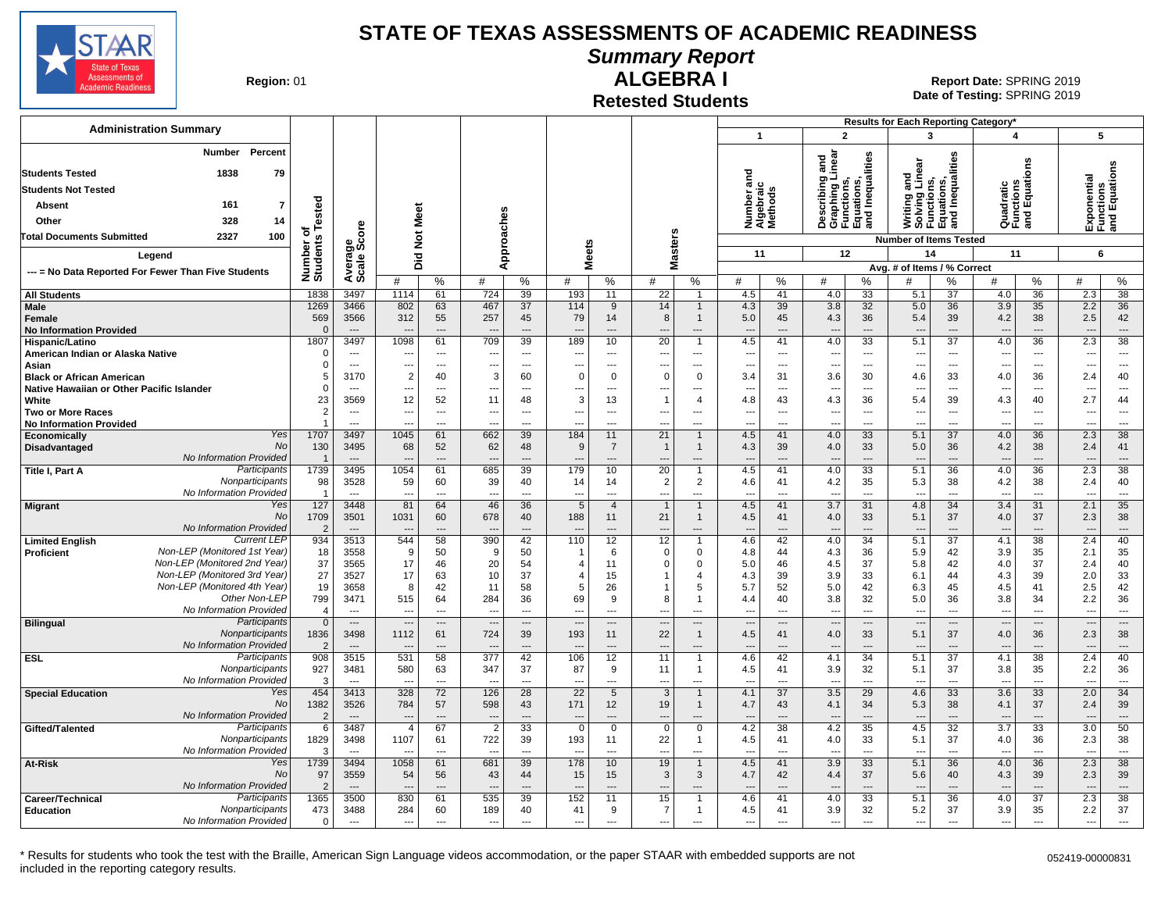

# **Summary Report**

**Region: 01** 

#### **Retested Students ALGEBRA I**

**Date of Testing:**  SPRING 2019 01 **Report Date:** SPRING 2019

|                                                                                                |                              |                                  |                                            |                          |                          |                                |                                      |                                |                                      |                                            |                                             |                                |                                                                                             |                                   | Results for Each Reporting Category*                      |                                             |                                       |                                   |                                 |                                           |
|------------------------------------------------------------------------------------------------|------------------------------|----------------------------------|--------------------------------------------|--------------------------|--------------------------|--------------------------------|--------------------------------------|--------------------------------|--------------------------------------|--------------------------------------------|---------------------------------------------|--------------------------------|---------------------------------------------------------------------------------------------|-----------------------------------|-----------------------------------------------------------|---------------------------------------------|---------------------------------------|-----------------------------------|---------------------------------|-------------------------------------------|
| <b>Administration Summary</b>                                                                  |                              |                                  |                                            |                          |                          |                                |                                      |                                |                                      |                                            | $\mathbf{1}$                                |                                | $\overline{2}$                                                                              |                                   | 3                                                         |                                             | 4                                     |                                   | 5                               |                                           |
| <b>Number</b><br>Percent<br>1838<br><b>Students Tested</b><br>79<br><b>Students Not Tested</b> |                              |                                  |                                            |                          |                          |                                |                                      |                                |                                      |                                            | ਠ<br>a<br>Number ar<br>Algebraic<br>Methods |                                | inear<br>ъ<br>ã<br>⊶<br>Describing<br>Graphing L<br>Functions,<br>Equations,<br>and Inequal | Inequalities                      | Writing and<br>Solving Linear<br>Functions,<br>Equations, | lities<br>lations,<br>Inequal               | Quadratic<br>Functions<br>and Equatic | eus                               |                                 | Exponential<br>Functions<br>and Equations |
| Absent<br>161<br>7                                                                             |                              |                                  |                                            |                          |                          |                                |                                      |                                |                                      |                                            |                                             |                                |                                                                                             |                                   |                                                           |                                             |                                       |                                   |                                 |                                           |
| 328<br>14<br>Other                                                                             |                              |                                  | Meet                                       |                          |                          |                                |                                      |                                |                                      |                                            |                                             |                                |                                                                                             |                                   |                                                           | 룹                                           |                                       |                                   |                                 |                                           |
| 2327<br>100<br><b>Total Documents Submitted</b>                                                |                              |                                  | $\breve{\mathbf{z}}$                       |                          |                          |                                |                                      |                                |                                      |                                            |                                             |                                |                                                                                             |                                   | <b>Number of Items Tested</b>                             |                                             |                                       |                                   |                                 |                                           |
|                                                                                                |                              |                                  |                                            |                          |                          |                                |                                      |                                | lasters                              |                                            | 11                                          |                                | 12                                                                                          |                                   |                                                           | 14                                          | 11                                    |                                   |                                 | 6                                         |
| Legend                                                                                         |                              |                                  | Did                                        |                          |                          | Approaches                     | <b>Meets</b>                         |                                | ż                                    |                                            |                                             |                                |                                                                                             |                                   | Avg. # of Items / % Correct                               |                                             |                                       |                                   |                                 |                                           |
| --- = No Data Reported For Fewer Than Five Students                                            | Number of<br>Students Tested | Average<br>Scale Score           | #                                          | %                        | #                        | %                              | #                                    | %                              | #                                    | %                                          | #                                           | $\%$                           | #                                                                                           | %                                 | #                                                         | %                                           | #                                     | %                                 | #                               | %                                         |
| <b>All Students</b>                                                                            | 1838                         | 3497                             | 1114                                       | 61                       | 724                      | 39                             | 193                                  | 11                             | 22                                   |                                            | 4.5                                         | 41                             | 4.0                                                                                         | $\overline{33}$                   | 5.1                                                       | 37                                          | 4.0                                   | 36                                | 2.3                             | $\overline{38}$                           |
| Male                                                                                           | 1269                         | 3466                             | 802                                        | 63                       | 467                      | 37                             | 114                                  | 9                              | 14                                   |                                            | 4.3                                         | 39                             | 3.8                                                                                         | 32                                | 5.0                                                       | 36                                          | 3.9                                   | 35                                | 2.2                             | 36                                        |
| Female                                                                                         | 569                          | 3566                             | 312                                        | 55                       | 257                      | 45                             | 79                                   | 14                             | 8                                    | -1                                         | 5.0                                         | 45                             | 4.3                                                                                         | 36                                | 5.4                                                       | 39                                          | 4.2                                   | 38                                | 2.5                             | 42                                        |
| <b>No Information Provided</b>                                                                 | $\Omega$                     | $\sim$                           |                                            | $\overline{a}$<br>61     |                          | $\overline{a}$                 | $\overline{a}$                       | $\overline{\phantom{a}}$       |                                      | $---$                                      |                                             | $\overline{a}$                 | ---                                                                                         | ---<br>33                         | $\overline{a}$                                            | $\overline{\phantom{a}}$                    | $\overline{a}$                        | $\overline{a}$<br>$\overline{36}$ | ---                             | $\overline{a}$<br>38                      |
| Hispanic/Latino<br>American Indian or Alaska Native                                            | 1807<br>$\Omega$             | 3497<br>$\overline{a}$           | 1098<br>$\overline{\phantom{a}}$           | $\overline{a}$           | 709                      | 39<br>$\overline{a}$           | 189<br>$\overline{a}$                | 10<br>$\overline{a}$           | 20<br>$\overline{\phantom{a}}$       | ---                                        | 4.5<br>$\overline{\phantom{a}}$             | 41<br>---                      | 4.0<br>---                                                                                  | ---                               | 5.1<br>$\overline{a}$                                     | $\overline{37}$<br>$\overline{\phantom{a}}$ | 4.0<br>÷.,                            | $\scriptstyle\cdots$              | 2.3<br>$\sim$                   | $\overline{a}$                            |
| Asian                                                                                          | $\Omega$                     | $\sim$                           | $\overline{\phantom{a}}$                   | $\overline{\phantom{a}}$ |                          | $\overline{\phantom{a}}$       | ---                                  | $\overline{a}$                 |                                      | $\overline{a}$                             | ---                                         | ---                            | --                                                                                          | ---                               | $\overline{\phantom{a}}$                                  | $\overline{\phantom{a}}$                    | ---                                   | $\scriptstyle\cdots$              |                                 | $\cdots$                                  |
| <b>Black or African American</b>                                                               | 5                            | 3170                             | 2                                          | 40                       | 3                        | 60                             | $\overline{0}$                       | $\Omega$                       | $\Omega$                             | $\mathbf 0$                                | 3.4                                         | 31                             | 3.6                                                                                         | 30                                | 4.6                                                       | 33                                          | 4.0                                   | 36                                | 2.4                             | 40                                        |
| Native Hawaiian or Other Pacific Islander                                                      | $\Omega$                     | $\overline{a}$                   | $\overline{\phantom{a}}$                   | $\overline{\phantom{a}}$ | ---                      | $\hspace{0.05cm} \ldots$       | ---                                  | $\overline{\phantom{a}}$       | $\overline{\phantom{a}}$             | ---                                        | ---                                         | ---                            | --                                                                                          | ---                               | $\overline{\phantom{a}}$                                  | $\overline{\phantom{a}}$                    | $\overline{\phantom{a}}$              | $\overline{a}$                    | $\overline{\phantom{a}}$        | $\cdots$                                  |
| White<br><b>Two or More Races</b>                                                              | 23<br>$\overline{2}$         | 3569<br>$---$                    | 12<br>---                                  | 52<br>---                | 11<br>---                | 48<br>$\overline{\phantom{a}}$ | 3<br>---                             | 13<br>$---$                    | -1<br>$\overline{\phantom{a}}$       | 4<br>---                                   | 4.8                                         | 43<br>$\overline{\phantom{a}}$ | 4.3<br>---                                                                                  | 36<br>---                         | 5.4<br>$\overline{\phantom{a}}$                           | 39<br>$\overline{\phantom{a}}$              | 4.3<br>---                            | 40<br>$\overline{\phantom{a}}$    | 2.7<br>$\sim$                   | 44<br>$\cdots$                            |
| <b>No Information Provided</b>                                                                 | $\overline{1}$               | $\sim$                           | ---                                        | ---                      | ---                      | $\overline{a}$                 | $\overline{\phantom{a}}$             | $\overline{\phantom{a}}$       | $\overline{\phantom{a}}$             | $\overline{a}$                             | ---<br>---                                  | ---                            | ---                                                                                         | $\overline{a}$                    | ---                                                       | $\overline{\phantom{a}}$                    | ---                                   | $\overline{\phantom{a}}$          | $\sim$                          | $\overline{\phantom{a}}$                  |
| Yes<br>Economically                                                                            | 1707                         | 3497                             | 1045                                       | 61                       | 662                      | 39                             | 184                                  | 11                             | 21                                   | $\overline{1}$                             | 4.5                                         | 41                             | 4.0                                                                                         | 33                                | 5.1                                                       | 37                                          | 4.0                                   | 36                                | 2.3                             | 38                                        |
| No<br>Disadvantaged                                                                            | 130                          | 3495                             | 68                                         | 52                       | 62                       | 48                             | -9                                   | $\overline{7}$                 | $\overline{1}$                       | -1                                         | 4.3                                         | 39                             | 4.0                                                                                         | 33                                | 5.0                                                       | 36                                          | 4.2                                   | 38                                | 2.4                             | 41                                        |
| No Information Provided<br>Participants                                                        | $\overline{1}$<br>1739       | $---$<br>3495                    | 1054                                       | ---<br>61                |                          | $\overline{\phantom{a}}$<br>39 | 179                                  | $\overline{\phantom{a}}$       | 20                                   | ---                                        |                                             | $\overline{a}$<br>41           |                                                                                             | $\overline{a}$<br>33              | $\overline{\phantom{a}}$                                  | $\overline{\phantom{a}}$                    |                                       | $\overline{\phantom{a}}$<br>36    | 2.3                             | $\cdots$<br>38                            |
| Title I, Part A<br>Nonparticipants                                                             | 98                           | 3528                             | 59                                         | 60                       | 685<br>39                | 40                             | 14                                   | 10<br>14                       | 2                                    | $\mathbf 1$<br>$\overline{2}$              | 4.5<br>4.6                                  | 41                             | 4.0<br>4.2                                                                                  | 35                                | 5.1<br>5.3                                                | 36<br>38                                    | 4.0<br>4.2                            | 38                                | 2.4                             | 40                                        |
| No Information Provided                                                                        | $\overline{1}$               | $\sim$                           | $\overline{\phantom{a}}$                   | $\overline{a}$           |                          | $-$ --                         | $\overline{a}$                       | $-$ --                         | $\overline{a}$                       | $\overline{a}$                             |                                             | $\sim$                         | --                                                                                          | $\sim$                            | $\overline{a}$                                            | $\overline{a}$                              | $\sim$                                | $\overline{a}$                    | $\sim$                          | $\overline{\phantom{a}}$                  |
| Yes<br><b>Migrant</b>                                                                          | 127                          | 3448                             | 81                                         | 64                       | 46                       | 36                             | 5                                    | $\overline{4}$                 | $\overline{1}$                       | -1                                         | 4.5                                         | 41                             | 3.7                                                                                         | 31                                | 4.8                                                       | 34                                          | 3.4                                   | 31                                | 2.1                             | 35                                        |
| <b>No</b>                                                                                      | 1709                         | 3501                             | 1031                                       | 60                       | 678                      | 40                             | 188                                  | 11                             | 21                                   | $\mathbf{1}$                               | 4.5                                         | 41                             | 4.0                                                                                         | 33                                | 5.1                                                       | 37                                          | 4.0                                   | 37                                | 2.3                             | 38                                        |
| No Information Provided<br><b>Current LEP</b><br><b>Limited English</b>                        | $\overline{2}$<br>934        | $\overline{\phantom{a}}$<br>3513 | $\overline{\phantom{a}}$<br>544            | ---<br>58                | ---<br>390               | $\overline{\phantom{a}}$<br>42 | $\overline{\phantom{a}}$<br>110      | $\overline{\phantom{a}}$<br>12 | $\overline{\phantom{a}}$<br>12       | $\overline{\phantom{a}}$<br>$\overline{1}$ | $---$<br>4.6                                | ---<br>42                      | $\overline{\phantom{a}}$<br>4.0                                                             | ---<br>34                         | $---$<br>5.1                                              | $\overline{\phantom{a}}$<br>37              | $\overline{\phantom{a}}$<br>4.1       | $\cdots$<br>$\overline{38}$       | $\overline{\phantom{a}}$<br>2.4 | $\overline{\phantom{a}}$<br>40            |
| Non-LEP (Monitored 1st Year)<br>Proficient                                                     | 18                           | 3558                             | 9                                          | 50                       | 9                        | 50                             |                                      | 6                              | $\Omega$                             | $\Omega$                                   | 4.8                                         | 44                             | 4.3                                                                                         | 36                                | 5.9                                                       | 42                                          | 3.9                                   | 35                                | 2.1                             | 35                                        |
| Non-LEP (Monitored 2nd Year)                                                                   | 37                           | 3565                             | 17                                         | 46                       | 20                       | 54                             | $\overline{4}$                       | 11                             | $\Omega$                             | $\Omega$                                   | 5.0                                         | 46                             | 4.5                                                                                         | 37                                | 5.8                                                       | 42                                          | 4.0                                   | 37                                | 2.4                             | 40                                        |
| Non-LEP (Monitored 3rd Year)                                                                   | 27                           | 3527                             | 17                                         | 63                       | 10                       | 37                             | $\overline{4}$                       | 15                             |                                      | 4                                          | 4.3                                         | 39                             | 3.9                                                                                         | 33                                | 6.1                                                       | 44                                          | 4.3                                   | 39                                | 2.0                             | 33                                        |
| Non-LEP (Monitored 4th Year)<br>Other Non-LEF                                                  | 19<br>799                    | 3658<br>3471                     | 8<br>515                                   | 42<br>64                 | 11<br>284                | 58<br>36                       | 5<br>69                              | 26<br>9                        | 8                                    | 5<br>$\mathbf 1$                           | 5.7                                         | 52<br>40                       | 5.0                                                                                         | 42<br>32                          | 6.3<br>5.0                                                | 45                                          | 4.5<br>3.8                            | 41<br>34                          | 2.5<br>2.2                      | 42<br>36                                  |
| No Information Provided                                                                        | $\overline{4}$               | $\overline{\phantom{a}}$         | $\sim$                                     | $\overline{a}$           | $\sim$                   | $-$                            | $\overline{\phantom{a}}$             | $\overline{a}$                 | $\overline{\phantom{a}}$             | $\overline{a}$                             | 4.4<br>$\overline{\phantom{a}}$             | $\overline{a}$                 | 3.8<br>$\overline{\phantom{a}}$                                                             | $\overline{\phantom{a}}$          | $\overline{\phantom{a}}$                                  | 36<br>$\overline{\phantom{a}}$              | $\overline{\phantom{a}}$              | $\overline{a}$                    | $\sim$                          | $\overline{\phantom{a}}$                  |
| Participants<br><b>Bilingual</b>                                                               | $\Omega$                     | $\sim$                           | $\overline{a}$                             | $\overline{\phantom{a}}$ | $\overline{\phantom{a}}$ | $\overline{a}$                 | $\overline{a}$                       | $\overline{\phantom{a}}$       | $\overline{\phantom{a}}$             | $\overline{a}$                             | $---$                                       | $\overline{a}$                 | $\overline{\phantom{a}}$                                                                    | $\overline{\phantom{a}}$          | $\overline{a}$                                            | $\overline{\phantom{a}}$                    | $\overline{a}$                        | $\overline{a}$                    | $\overline{\phantom{a}}$        | $\overline{\phantom{a}}$                  |
| Nonparticipants                                                                                | 1836                         | 3498                             | 1112                                       | 61                       | 724                      | 39                             | 193                                  | 11                             | 22                                   | -1                                         | 4.5                                         | 41                             | 4.0                                                                                         | 33                                | 5.1                                                       | 37                                          | 4.0                                   | 36                                | 2.3                             | 38                                        |
| No Information Provided<br>Participants                                                        | $\overline{2}$               | $---$<br>3515                    | 531                                        | $---$<br>58              | 377                      | $---$<br>42                    | 106                                  | $---$                          | ---<br>11                            | $---$                                      | $---$                                       | $\overline{a}$<br>42           | $\overline{a}$<br>4.1                                                                       | $\overline{a}$<br>$\overline{34}$ | $\overline{a}$                                            | $---$<br>$\overline{37}$                    | $\overline{a}$<br>4.1                 | $---$<br>$\overline{38}$          | --<br>2.4                       | $---$<br>40                               |
| <b>ESL</b><br>Nonparticipants                                                                  | 908<br>927                   | 3481                             | 580                                        | 63                       | 347                      | 37                             | 87                                   | 12<br>9                        | 11                                   | -1                                         | 4.6<br>4.5                                  | 41                             | 3.9                                                                                         | 32                                | 5.1<br>5.1                                                | 37                                          | 3.8                                   | 35                                | 2.2                             | 36                                        |
| No Information Provided                                                                        | 3                            | $\overline{a}$                   |                                            | ---                      |                          | ---                            | ---                                  | ---                            | $\overline{\phantom{a}}$             | $\overline{a}$                             | $\overline{a}$                              | ---                            | ---                                                                                         | ---                               | $\overline{\phantom{a}}$                                  | $\overline{a}$                              | ---                                   | $\overline{a}$                    | ---                             | $\overline{a}$                            |
| Yes<br><b>Special Education</b>                                                                | 454                          | 3413                             | 328                                        | 72                       | 126                      | 28                             | 22                                   | $5\phantom{.0}$                | $\mathbf{3}$                         | $\mathbf{1}$                               | 4.1                                         | 37                             | 3.5                                                                                         | 29                                | 4.6                                                       | 33                                          | 3.6                                   | 33                                | 2.0                             | 34                                        |
| No                                                                                             | 1382                         | 3526                             | 784                                        | 57                       | 598                      | 43                             | 171                                  | 12                             | 19                                   | $\mathbf{1}$                               | 4.7                                         | 43                             | 4.1                                                                                         | 34                                | 5.3                                                       | 38                                          | 4.1                                   | 37                                | 2.4                             | 39                                        |
| No Information Provided<br>Participants<br>Gifted/Talented                                     | $\overline{2}$<br>6          | $\overline{\phantom{a}}$<br>3487 | $\overline{\phantom{a}}$<br>$\overline{4}$ | $---$<br>67              | $\overline{2}$           | $---$<br>33                    | $\overline{\phantom{a}}$<br>$\Omega$ | $---$<br>$\mathbf 0$           | $\overline{\phantom{a}}$<br>$\Omega$ | $---$<br>$\Omega$                          | $\overline{a}$<br>4.2                       | $---$<br>38                    | $\overline{a}$<br>4.2                                                                       | $\overline{\phantom{a}}$<br>35    | $\overline{\phantom{a}}$<br>4.5                           | $---$<br>32                                 | $\overline{\phantom{a}}$<br>3.7       | $---$<br>33                       | --<br>3.0                       | $---$<br>50                               |
| Nonparticipants                                                                                | 1829                         | 3498                             | 1107                                       | 61                       | 722                      | 39                             | 193                                  | 11                             | 22                                   | $\mathbf{1}$                               | 4.5                                         | 41                             | 4.0                                                                                         | 33                                | 5.1                                                       | 37                                          | 4.0                                   | 36                                | 2.3                             | 38                                        |
| No Information Provided                                                                        | 3                            |                                  |                                            | ---                      |                          | $\overline{a}$                 |                                      | $\overline{a}$                 | $\overline{\phantom{a}}$             | ---                                        |                                             | $\overline{a}$                 | --                                                                                          | ---                               | $\overline{a}$                                            | $\overline{a}$                              |                                       | $\overline{a}$                    | ---                             | $\overline{a}$                            |
| Yes<br>At-Risk                                                                                 | 1739                         | 3494                             | 1058                                       | 61                       | 681                      | 39                             | 178                                  | 10                             | 19                                   | $\mathbf{1}$                               | 4.5                                         | 41                             | 3.9                                                                                         | 33                                | 5.1                                                       | 36                                          | 4.0                                   | 36                                | 2.3                             | 38                                        |
| <b>No</b>                                                                                      | 97                           | 3559                             | 54                                         | 56                       | 43                       | 44                             | 15                                   | 15                             | 3                                    | 3                                          | 4.7                                         | 42                             | 4.4                                                                                         | 37                                | 5.6                                                       | 40                                          | 4.3                                   | 39                                | 2.3                             | 39                                        |
| No Information Provided<br>Participants<br>Career/Technical                                    | $\overline{2}$<br>1365       | $---$<br>3500                    | 830                                        | 61                       | 535                      | 39                             | 152                                  | 11                             | 15                                   | -1                                         | 4.6                                         | $\overline{a}$<br>41           | $\overline{\phantom{a}}$<br>4.0                                                             | 33                                | 5.1                                                       | 36                                          | 4.0                                   | $\overline{a}$<br>37              | 2.3                             | $---$<br>38                               |
| Nonparticipants<br><b>Education</b>                                                            | 473                          | 3488                             | 284                                        | 60                       | 189                      | 40                             | 41                                   | 9                              | $\overline{7}$                       | $\mathbf{1}$                               | 4.5                                         | 41                             | 3.9                                                                                         | 32                                | 5.2                                                       | 37                                          | 3.9                                   | 35                                | 2.2                             | 37                                        |
| No Information Provided                                                                        | $\mathbf 0$                  | $---$                            | $\overline{\phantom{a}}$                   | $\sim$                   | ---                      | $\sim$                         | $\overline{\phantom{a}}$             | $---$                          | $\overline{\phantom{a}}$             | $\overline{\phantom{a}}$                   | $\overline{\phantom{a}}$                    | $\overline{a}$                 | ---                                                                                         | $---$                             | $\overline{\phantom{a}}$                                  | $\overline{\phantom{a}}$                    | $\overline{\phantom{a}}$              | $\overline{a}$                    | $\overline{\phantom{a}}$        | $\overline{\phantom{a}}$                  |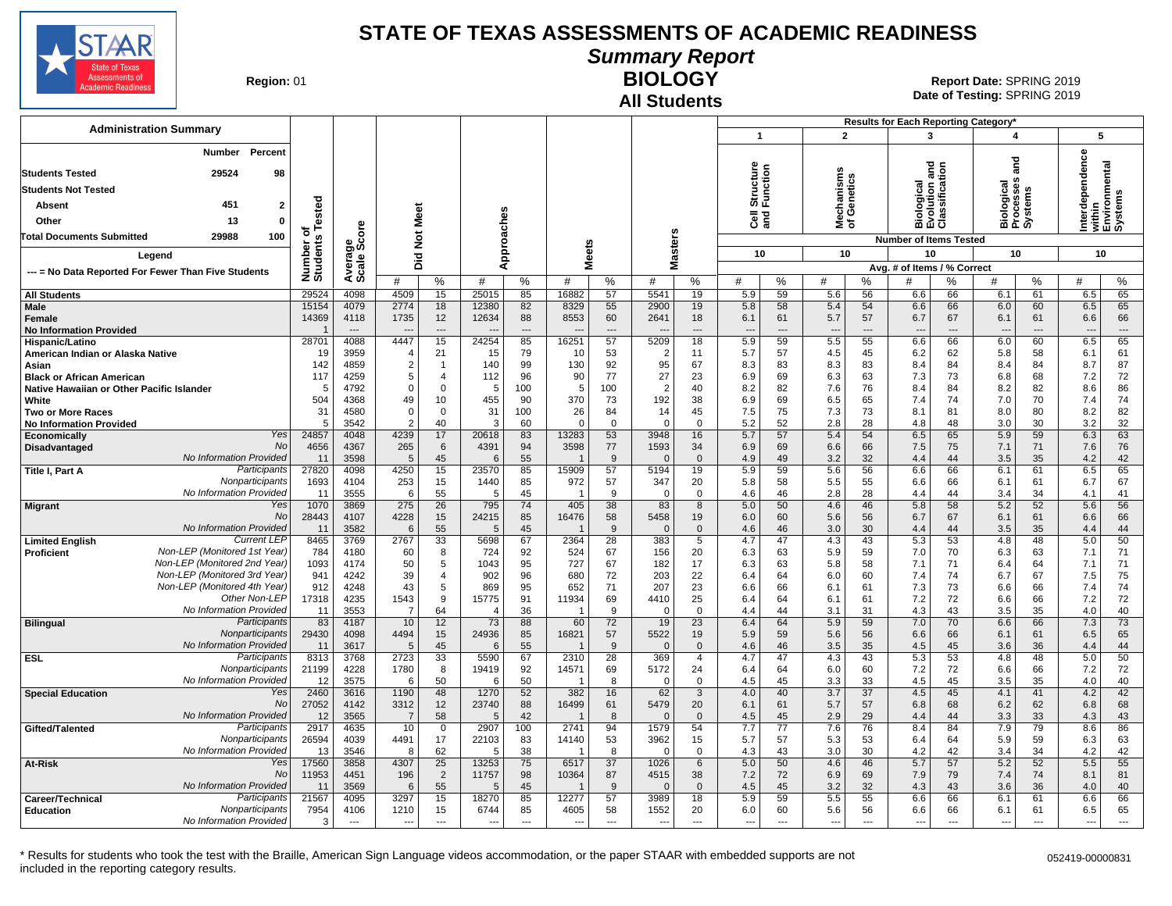

**Summary Report**

**Region: 01** 

# **All Students**

**BIOLOGY** 01 **Report Date:** SPRING 2019 **Date of Testing:**  SPRING 2019

| 5<br>$\overline{1}$<br>$\overline{2}$<br>$\overline{\mathbf{A}}$<br>3<br>Number<br><b>Percent</b><br>erdependence<br>and<br>within<br>Environmental<br>Systems<br>Structure<br>Function<br>lution and<br>ssification<br>isms<br><b>Students Tested</b><br>29524<br>98<br>Mechanisms<br>of Genetics<br>ses<br>logical<br>cesses<br>శై<br><b>Students Not Tested</b><br>iologic<br>rocess<br>ystem:<br>ā<br>Tested<br>451<br>$\overline{2}$<br><b>Absent</b><br>Meet<br>Approaches<br><b>RISP</b><br>BLOCK<br><b>G</b> ang<br>Other<br>13<br>$\mathbf{0}$<br>Ë<br>ge<br>Score<br>面正の<br>Masters<br>৳<br>$\breve{\mathbf{z}}$<br>29988<br>100<br><b>Total Documents Submitted</b><br>Number o<br>Students<br><b>Number of Items Tested</b><br><b>Meets</b><br>10<br>10<br>10<br>10<br>10<br>Did<br>Legend<br>Avera<br>Avg. # of Items / % Correct<br>--- = No Data Reported For Fewer Than Five Students<br>#<br>%<br>#<br>#<br>%<br>%<br>#<br>%<br>%<br>%<br>%<br>#<br>%<br>#<br>%<br>#<br>#<br>#<br>29524<br>15<br>25015<br>85<br>16882<br>57<br>5.9<br>59<br>5.6<br>56<br>6.5<br>65<br>4098<br>4509<br>5541<br>19<br>6.6<br>66<br>6.1<br>61<br><b>All Students</b><br>Male<br>4079<br>2774<br>18<br>12380<br>82<br>8329<br>55<br>2900<br>19<br>58<br>6.0<br>60<br>6.5<br>65<br>15154<br>5.8<br>5.4<br>54<br>6.6<br>66<br>14369<br>4118<br>1735<br>12<br>12634<br>88<br>8553<br>60<br>2641<br>6.1<br>61<br>5.7<br>57<br>6.7<br>67<br>6.1<br>61<br>6.6<br>66<br>18<br>Female<br><b>No Information Provided</b><br>$-$<br>$---$<br>$\overline{\phantom{a}}$<br>$\overline{\phantom{a}}$<br>$\overline{\phantom{a}}$<br>$\overline{a}$<br>$\overline{\phantom{a}}$<br>$\overline{a}$<br>$\overline{\phantom{a}}$<br>$\overline{\phantom{a}}$<br>$\overline{\phantom{a}}$<br>$\overline{a}$<br>$\overline{\phantom{a}}$<br>$\overline{\phantom{a}}$<br>$\overline{\phantom{a}}$<br>4088<br>4447<br>15<br>85<br>16251<br>57<br>59<br>5.5<br>66<br>6.5<br>65<br>28701<br>24254<br>5209<br>18<br>5.9<br>55<br>6.6<br>60<br>6.0<br>Hispanic/Latino<br>79<br>61<br>19<br>3959<br>21<br>15<br>10<br>53<br>$\overline{2}$<br>5.7<br>57<br>4.5<br>45<br>6.2<br>62<br>5.8<br>58<br>6.1<br>American Indian or Alaska Native<br>4<br>11<br>87<br>142<br>$\overline{2}$<br>130<br>92<br>95<br>8.3<br>83<br>4859<br>140<br>99<br>67<br>8.3<br>83<br>84<br>8.4<br>84<br>8.7<br>Asian<br>$\overline{1}$<br>8.4<br>77<br>27<br>6.3<br>73<br>7.2<br>72<br>117<br>4259<br>5<br>112<br>96<br>90<br>23<br>6.9<br>69<br>63<br>7.3<br>6.8<br>68<br>$\overline{4}$<br><b>Black or African American</b><br>$\overline{2}$<br>7.6<br>86<br>4792<br>$\mathbf 0$<br>100<br>5<br>100<br>40<br>8.2<br>76<br>84<br>8.2<br>82<br>8.6<br>Native Hawaiian or Other Pacific Islander<br>$\Omega$<br>5<br>82<br>8.4<br>5<br>504<br>4368<br>49<br>455<br>370<br>73<br>192<br>38<br>69<br>6.5<br>74<br>7.0<br>70<br>7.4<br>74<br>White<br>10<br>90<br>6.9<br>65<br>7.4<br>82<br>31<br>4580<br>$\Omega$<br>$\mathbf 0$<br>31<br>100<br>26<br>84<br>14<br>45<br>7.5<br>75<br>7.3<br>73<br>81<br>8.0<br>80<br>8.2<br>8.1<br><b>Two or More Races</b><br>32<br>3542<br>40<br>60<br>5.2<br>52<br>2.8<br>28<br>3.0<br>30<br>3.2<br><b>No Information Provided</b><br>5<br>2<br>3<br>$\mathbf 0$<br>$\Omega$<br>$\overline{0}$<br>$\Omega$<br>4.8<br>48<br><b>Yes</b><br>63<br>4239<br>17<br>83<br>53<br>3948<br>5.4<br>54<br>59<br>6.3<br>24857<br>4048<br>20618<br>13283<br>16<br>5.7<br>57<br>6.5<br>65<br>5.9<br>Economically<br>No<br>76<br>4656<br>3598<br>77<br>4367<br>265<br>6<br>4391<br>94<br>1593<br>34<br>6.9<br>69<br>6.6<br>66<br>7.5<br>75<br>7.1<br>71<br>7.6<br>Disadvantaged<br>No Information Provided<br>32<br>42<br>3598<br>5<br>45<br>55<br>3.2<br>35<br>4.2<br>11<br>9<br>$\mathbf{0}$<br>4.9<br>49<br>4.4<br>44<br>3.5<br>6<br>- 0<br>-1<br>Participants<br>27820<br>4098<br>4250<br>15<br>23570<br>85<br>15909<br>57<br>5194<br>19<br>5.9<br>59<br>5.6<br>56<br>6.6<br>66<br>6.1<br>61<br>6.5<br>65<br>Title I, Part A<br>Nonparticipants<br>5.5<br>67<br>1693<br>4104<br>253<br>15<br>85<br>972<br>57<br>347<br>5.8<br>58<br>55<br>6.6<br>66<br>6.1<br>6.7<br>1440<br>20<br>61<br>No Information Provided<br>11<br>3555<br>6<br>55<br>45<br>9<br>$\mathbf 0$<br>4.6<br>46<br>2.8<br>28<br>44<br>34<br>4.1<br>41<br>5<br>$\overline{1}$<br>- 0<br>4.4<br>3.4<br>Yes<br>1070<br>275<br>26<br>795<br>74<br>405<br>38<br>83<br>4.6<br>5.8<br>52<br>56<br>3869<br>8<br>5.0<br>50<br>46<br>58<br>5.2<br>5.6<br><b>Migrant</b><br>No<br>28443<br>4107<br>4228<br>15<br>24215<br>85<br>16476<br>58<br>5458<br>5.6<br>66<br>19<br>6.0<br>60<br>56<br>6.7<br>67<br>6.1<br>61<br>6.6<br>No Information Provided<br>3582<br>30<br>44<br>11<br>55<br>45<br>9<br>4.6<br>46<br>3.0<br>4.4<br>44<br>3.5<br>35<br>4.4<br>6<br>5<br>$\overline{\mathbf{1}}$<br>$\Omega$<br>$\mathbf 0$<br><b>Current LEP</b><br>50<br>8465<br>2767<br>33<br>67<br>2364<br>28<br>383<br>47<br>4.3<br>43<br>5.3<br>53<br>48<br>5.0<br>3769<br>5698<br>5<br>4.7<br>4.8<br><b>Limited English</b><br>Non-LEP (Monitored 1st Year)<br>71<br>784<br>67<br>156<br>5.9<br>59<br>70<br>6.3<br>4180<br>60<br>8<br>724<br>92<br>524<br>20<br>6.3<br>63<br>7.0<br>63<br>7.1<br><b>Proficient</b><br>Non-LEP (Monitored 2nd Year)<br>1093<br>50<br>5<br>1043<br>95<br>727<br>67<br>182<br>5.8<br>58<br>64<br>71<br>4174<br>17<br>6.3<br>63<br>7.1<br>71<br>6.4<br>7.1<br>Non-LEP (Monitored 3rd Year)<br>39<br>75<br>941<br>4242<br>902<br>96<br>680<br>72<br>203<br>22<br>6.0<br>60<br>7.4<br>74<br>6.7<br>67<br>7.5<br>4<br>6.4<br>64<br>Non-LEP (Monitored 4th Year)<br>74<br>912<br>4248<br>43<br>5<br>869<br>95<br>652<br>71<br>207<br>23<br>6.6<br>66<br>6.1<br>61<br>7.3<br>73<br>6.6<br>66<br>7.4<br>Other Non-LEP<br>17318<br>1543<br>11934<br>7.2<br>72<br>4235<br>9<br>15775<br>91<br>69<br>4410<br>25<br>6.4<br>64<br>6.1<br>61<br>7.2<br>72<br>6.6<br>66<br>No Information Provideo<br>40<br>11<br>3553<br>64<br>36<br>$\Omega$<br>3.1<br>31<br>4.3<br>3.5<br>35<br>4.0<br>-7<br>$\overline{\mathbf{1}}$<br>9<br>$\Omega$<br>4.4<br>44<br>43<br>$\overline{73}$<br>83<br>Participants<br>10<br>12<br>88<br>60<br>72<br>19<br>5.9<br>59<br>70<br>7.3<br>4187<br>73<br>23<br>6.4<br>64<br>7.0<br>6.6<br>66<br><b>Bilingual</b><br>Nonparticipants<br>4494<br>5522<br>65<br>29430<br>15<br>24936<br>16821<br>5.6<br>6.6<br>6.5<br>4098<br>85<br>57<br>19<br>5.9<br>59<br>56<br>66<br>6.1<br>61<br>No Information Provideo<br>45<br>55<br>3.5<br>35<br>36<br>44<br>3617<br>.5<br>9<br>$\mathbf 0$<br>4.6<br>46<br>4.5<br>45<br>3.6<br>4.4<br>11<br>$\overline{0}$<br>6<br>$\overline{\mathbf{1}}$<br>Participants<br>8313<br>3768<br>2723<br>33<br>5590<br>67<br>2310<br>28<br>369<br>$\overline{4}$<br>4.7<br>47<br>4.3<br>43<br>5.3<br>53<br>4.8<br>48<br>5.0<br>50<br><b>ESL</b><br>Nonparticipants<br>72<br>21199<br>4228<br>1780<br>8<br>19419<br>92<br>14571<br>69<br>5172<br>6.4<br>64<br>6.0<br>60<br>7.2<br>72<br>6.6<br>66<br>7.2<br>24<br>No Information Provideo<br>40<br>12<br>3575<br>6<br>50<br>50<br>8<br>$\Omega$<br>$\Omega$<br>4.5<br>45<br>3.3<br>33<br>4.5<br>45<br>3.5<br>35<br>4.0<br>6<br>-1<br><b>Special Education</b><br>Yes<br>2460<br>3616<br>1190<br>48<br>1270<br>52<br>382<br>62<br>4.0<br>40<br>3.7<br>37<br>4.5<br>45<br>41<br>4.2<br>42<br>16<br>$\mathbf{3}$<br>4.1<br><b>No</b><br>27052<br>4142<br>3312<br>12<br>23740<br>88<br>16499<br>5479<br>6.1<br>5.7<br>57<br>6.8<br>62<br>6.8<br>68<br>61<br>20<br>61<br>68<br>6.2<br>No Information Provided<br>12<br>3565<br>43<br>$\overline{7}$<br>58<br>42<br>45<br>2.9<br>29<br>3.3<br>33<br>8<br>$\Omega$<br>$\mathbf{0}$<br>4.5<br>4.4<br>44<br>4.3<br>5<br>$\overline{\mathbf{1}}$<br>86<br>Participants<br>2917<br>10<br>2907<br>100<br>2741<br>94<br>1579<br>7.7<br>77<br>7.6<br>76<br>8.4<br>79<br>8.6<br>4635<br>54<br>84<br>7.9<br>Gifted/Talented<br>0<br>Nonparticipants<br>17<br>63<br>26594<br>4039<br>4491<br>22103<br>83<br>14140<br>53<br>3962<br>5.7<br>57<br>5.3<br>53<br>5.9<br>59<br>6.3<br>15<br>6.4<br>64<br>No Information Provided<br>3546<br>62<br>38<br>8<br>4.3<br>43<br>3.0<br>30<br>4.2<br>42<br>3.4<br>34<br>4.2<br>42<br>13<br>8<br>$\mathbf 0$<br>5<br>-1<br>$\Omega$<br>Yes<br>17560<br>4307<br>$\overline{25}$<br>75<br>37<br>1026<br>50<br>4.6<br>5.7<br>52<br>5.5<br>55<br>At-Risk<br>3858<br>13253<br>6517<br>$6\phantom{1}$<br>5.0<br>46<br>57<br>5.2<br>No<br>11953<br>4451<br>196<br>$\overline{2}$<br>11757<br>98<br>10364<br>87<br>4515<br>7.2<br>72<br>6.9<br>69<br>7.9<br>79<br>7.4<br>74<br>8.1<br>81<br>38<br>No Information Provideo<br>3569<br>32<br>36<br>40<br>11<br>6<br>55<br>5<br>45<br>9<br>$\Omega$<br>$\mathbf{0}$<br>4.5<br>45<br>3.2<br>4.3<br>43<br>3.6<br>4.0<br>$\overline{\mathbf{1}}$<br>Participants<br>21567<br>12277<br>5.5<br>66<br>4095<br>3297<br>15<br>18270<br>85<br>57<br>3989<br>18<br>5.9<br>59<br>55<br>6.6<br>66<br>6.1<br>61<br>6.6<br>Career/Technical<br>Nonparticipants<br>7954<br>85<br>5.6<br>65<br>4106<br>1210<br>15<br>6744<br>4605<br>58<br>1552<br>20<br>6.0<br>60<br>56<br>6.6<br>66<br>6.1<br>61<br>6.5<br><b>Education</b><br>No Information Provided<br>3<br>$\scriptstyle\cdots$<br>---<br>$\hspace{0.05cm} \ldots$<br>$\hspace{0.05cm} \ldots$<br>---<br>$\overline{\phantom{a}}$<br>$\hspace{0.05cm} \ldots$<br>$\sim$<br>$\overline{\phantom{a}}$<br>$---$<br>$\overline{\phantom{a}}$<br>$\overline{a}$<br>---<br>$\overline{a}$<br>$\overline{a}$<br>---<br>---<br>$---$<br>--- |                               |  |  |  |  |  |  |  | Results for Each Reporting Category* |  |  |  |
|---------------------------------------------------------------------------------------------------------------------------------------------------------------------------------------------------------------------------------------------------------------------------------------------------------------------------------------------------------------------------------------------------------------------------------------------------------------------------------------------------------------------------------------------------------------------------------------------------------------------------------------------------------------------------------------------------------------------------------------------------------------------------------------------------------------------------------------------------------------------------------------------------------------------------------------------------------------------------------------------------------------------------------------------------------------------------------------------------------------------------------------------------------------------------------------------------------------------------------------------------------------------------------------------------------------------------------------------------------------------------------------------------------------------------------------------------------------------------------------------------------------------------------------------------------------------------------------------------------------------------------------------------------------------------------------------------------------------------------------------------------------------------------------------------------------------------------------------------------------------------------------------------------------------------------------------------------------------------------------------------------------------------------------------------------------------------------------------------------------------------------------------------------------------------------------------------------------------------------------------------------------------------------------------------------------------------------------------------------------------------------------------------------------------------------------------------------------------------------------------------------------------------------------------------------------------------------------------------------------------------------------------------------------------------------------------------------------------------------------------------------------------------------------------------------------------------------------------------------------------------------------------------------------------------------------------------------------------------------------------------------------------------------------------------------------------------------------------------------------------------------------------------------------------------------------------------------------------------------------------------------------------------------------------------------------------------------------------------------------------------------------------------------------------------------------------------------------------------------------------------------------------------------------------------------------------------------------------------------------------------------------------------------------------------------------------------------------------------------------------------------------------------------------------------------------------------------------------------------------------------------------------------------------------------------------------------------------------------------------------------------------------------------------------------------------------------------------------------------------------------------------------------------------------------------------------------------------------------------------------------------------------------------------------------------------------------------------------------------------------------------------------------------------------------------------------------------------------------------------------------------------------------------------------------------------------------------------------------------------------------------------------------------------------------------------------------------------------------------------------------------------------------------------------------------------------------------------------------------------------------------------------------------------------------------------------------------------------------------------------------------------------------------------------------------------------------------------------------------------------------------------------------------------------------------------------------------------------------------------------------------------------------------------------------------------------------------------------------------------------------------------------------------------------------------------------------------------------------------------------------------------------------------------------------------------------------------------------------------------------------------------------------------------------------------------------------------------------------------------------------------------------------------------------------------------------------------------------------------------------------------------------------------------------------------------------------------------------------------------------------------------------------------------------------------------------------------------------------------------------------------------------------------------------------------------------------------------------------------------------------------------------------------------------------------------------------------------------------------------------------------------------------------------------------------------------------------------------------------------------------------------------------------------------------------------------------------------------------------------------------------------------------------------------------------------------------------------------------------------------------------------------------------------------------------------------------------------------------------------------------------------------------------------------------------------------------------------------------------------------------------------------------------------------------------------------------------------------------------------------------------------------------------------------------------------------------------------------------------------------------------------------------------------------------------------------------------------------------------------------------------------------------------------------------------------------------------------------------------------------------------------------------------------------------------------------------------------------------------------------------------------------------------------------------------------------------------------------------------------------------------------------------------------------------------------------------------------------------------------------------------------------------------------------------------------------------------------------------------------------------------------------------------------------------------------------------------------------------------------------------------------------------------------------------------------------------------------------------------------------------------------------------------------------------------------------------------------------------------------------------------------------------------------------------------------------------------------------------------------------------------------------------------------------------------------------------------------------------------------------------------------------------------------------------------------------------------------------------------------------------------------------------------------------------------------------------------------------------------------------------------------------------------------------------------------------------------------------------------------------------------------------------------------------------------------------------------------------------------------------------------------------------------------------------------------------------------------------------------------------------------------------------------------------------------------------------------------------------------------------------------------------------------------------------------------------------------------------------------------------------------|-------------------------------|--|--|--|--|--|--|--|--------------------------------------|--|--|--|
|                                                                                                                                                                                                                                                                                                                                                                                                                                                                                                                                                                                                                                                                                                                                                                                                                                                                                                                                                                                                                                                                                                                                                                                                                                                                                                                                                                                                                                                                                                                                                                                                                                                                                                                                                                                                                                                                                                                                                                                                                                                                                                                                                                                                                                                                                                                                                                                                                                                                                                                                                                                                                                                                                                                                                                                                                                                                                                                                                                                                                                                                                                                                                                                                                                                                                                                                                                                                                                                                                                                                                                                                                                                                                                                                                                                                                                                                                                                                                                                                                                                                                                                                                                                                                                                                                                                                                                                                                                                                                                                                                                                                                                                                                                                                                                                                                                                                                                                                                                                                                                                                                                                                                                                                                                                                                                                                                                                                                                                                                                                                                                                                                                                                                                                                                                                                                                                                                                                                                                                                                                                                                                                                                                                                                                                                                                                                                                                                                                                                                                                                                                                                                                                                                                                                                                                                                                                                                                                                                                                                                                                                                                                                                                                                                                                                                                                                                                                                                                                                                                                                                                                                                                                                                                                                                                                                                                                                                                                                                                                                                                                                                                                                                                                                                                                                                                                                                                                                                                                                                                                                                                                                                                                                                                                                                                                                                                                                                                                                                                                                                                                                                                                                                                                                                                                                                                                                                                                                                                                                                                         | <b>Administration Summary</b> |  |  |  |  |  |  |  |                                      |  |  |  |
|                                                                                                                                                                                                                                                                                                                                                                                                                                                                                                                                                                                                                                                                                                                                                                                                                                                                                                                                                                                                                                                                                                                                                                                                                                                                                                                                                                                                                                                                                                                                                                                                                                                                                                                                                                                                                                                                                                                                                                                                                                                                                                                                                                                                                                                                                                                                                                                                                                                                                                                                                                                                                                                                                                                                                                                                                                                                                                                                                                                                                                                                                                                                                                                                                                                                                                                                                                                                                                                                                                                                                                                                                                                                                                                                                                                                                                                                                                                                                                                                                                                                                                                                                                                                                                                                                                                                                                                                                                                                                                                                                                                                                                                                                                                                                                                                                                                                                                                                                                                                                                                                                                                                                                                                                                                                                                                                                                                                                                                                                                                                                                                                                                                                                                                                                                                                                                                                                                                                                                                                                                                                                                                                                                                                                                                                                                                                                                                                                                                                                                                                                                                                                                                                                                                                                                                                                                                                                                                                                                                                                                                                                                                                                                                                                                                                                                                                                                                                                                                                                                                                                                                                                                                                                                                                                                                                                                                                                                                                                                                                                                                                                                                                                                                                                                                                                                                                                                                                                                                                                                                                                                                                                                                                                                                                                                                                                                                                                                                                                                                                                                                                                                                                                                                                                                                                                                                                                                                                                                                                                                         |                               |  |  |  |  |  |  |  |                                      |  |  |  |
|                                                                                                                                                                                                                                                                                                                                                                                                                                                                                                                                                                                                                                                                                                                                                                                                                                                                                                                                                                                                                                                                                                                                                                                                                                                                                                                                                                                                                                                                                                                                                                                                                                                                                                                                                                                                                                                                                                                                                                                                                                                                                                                                                                                                                                                                                                                                                                                                                                                                                                                                                                                                                                                                                                                                                                                                                                                                                                                                                                                                                                                                                                                                                                                                                                                                                                                                                                                                                                                                                                                                                                                                                                                                                                                                                                                                                                                                                                                                                                                                                                                                                                                                                                                                                                                                                                                                                                                                                                                                                                                                                                                                                                                                                                                                                                                                                                                                                                                                                                                                                                                                                                                                                                                                                                                                                                                                                                                                                                                                                                                                                                                                                                                                                                                                                                                                                                                                                                                                                                                                                                                                                                                                                                                                                                                                                                                                                                                                                                                                                                                                                                                                                                                                                                                                                                                                                                                                                                                                                                                                                                                                                                                                                                                                                                                                                                                                                                                                                                                                                                                                                                                                                                                                                                                                                                                                                                                                                                                                                                                                                                                                                                                                                                                                                                                                                                                                                                                                                                                                                                                                                                                                                                                                                                                                                                                                                                                                                                                                                                                                                                                                                                                                                                                                                                                                                                                                                                                                                                                                                                         |                               |  |  |  |  |  |  |  |                                      |  |  |  |
|                                                                                                                                                                                                                                                                                                                                                                                                                                                                                                                                                                                                                                                                                                                                                                                                                                                                                                                                                                                                                                                                                                                                                                                                                                                                                                                                                                                                                                                                                                                                                                                                                                                                                                                                                                                                                                                                                                                                                                                                                                                                                                                                                                                                                                                                                                                                                                                                                                                                                                                                                                                                                                                                                                                                                                                                                                                                                                                                                                                                                                                                                                                                                                                                                                                                                                                                                                                                                                                                                                                                                                                                                                                                                                                                                                                                                                                                                                                                                                                                                                                                                                                                                                                                                                                                                                                                                                                                                                                                                                                                                                                                                                                                                                                                                                                                                                                                                                                                                                                                                                                                                                                                                                                                                                                                                                                                                                                                                                                                                                                                                                                                                                                                                                                                                                                                                                                                                                                                                                                                                                                                                                                                                                                                                                                                                                                                                                                                                                                                                                                                                                                                                                                                                                                                                                                                                                                                                                                                                                                                                                                                                                                                                                                                                                                                                                                                                                                                                                                                                                                                                                                                                                                                                                                                                                                                                                                                                                                                                                                                                                                                                                                                                                                                                                                                                                                                                                                                                                                                                                                                                                                                                                                                                                                                                                                                                                                                                                                                                                                                                                                                                                                                                                                                                                                                                                                                                                                                                                                                                                         |                               |  |  |  |  |  |  |  |                                      |  |  |  |
|                                                                                                                                                                                                                                                                                                                                                                                                                                                                                                                                                                                                                                                                                                                                                                                                                                                                                                                                                                                                                                                                                                                                                                                                                                                                                                                                                                                                                                                                                                                                                                                                                                                                                                                                                                                                                                                                                                                                                                                                                                                                                                                                                                                                                                                                                                                                                                                                                                                                                                                                                                                                                                                                                                                                                                                                                                                                                                                                                                                                                                                                                                                                                                                                                                                                                                                                                                                                                                                                                                                                                                                                                                                                                                                                                                                                                                                                                                                                                                                                                                                                                                                                                                                                                                                                                                                                                                                                                                                                                                                                                                                                                                                                                                                                                                                                                                                                                                                                                                                                                                                                                                                                                                                                                                                                                                                                                                                                                                                                                                                                                                                                                                                                                                                                                                                                                                                                                                                                                                                                                                                                                                                                                                                                                                                                                                                                                                                                                                                                                                                                                                                                                                                                                                                                                                                                                                                                                                                                                                                                                                                                                                                                                                                                                                                                                                                                                                                                                                                                                                                                                                                                                                                                                                                                                                                                                                                                                                                                                                                                                                                                                                                                                                                                                                                                                                                                                                                                                                                                                                                                                                                                                                                                                                                                                                                                                                                                                                                                                                                                                                                                                                                                                                                                                                                                                                                                                                                                                                                                                                         |                               |  |  |  |  |  |  |  |                                      |  |  |  |
|                                                                                                                                                                                                                                                                                                                                                                                                                                                                                                                                                                                                                                                                                                                                                                                                                                                                                                                                                                                                                                                                                                                                                                                                                                                                                                                                                                                                                                                                                                                                                                                                                                                                                                                                                                                                                                                                                                                                                                                                                                                                                                                                                                                                                                                                                                                                                                                                                                                                                                                                                                                                                                                                                                                                                                                                                                                                                                                                                                                                                                                                                                                                                                                                                                                                                                                                                                                                                                                                                                                                                                                                                                                                                                                                                                                                                                                                                                                                                                                                                                                                                                                                                                                                                                                                                                                                                                                                                                                                                                                                                                                                                                                                                                                                                                                                                                                                                                                                                                                                                                                                                                                                                                                                                                                                                                                                                                                                                                                                                                                                                                                                                                                                                                                                                                                                                                                                                                                                                                                                                                                                                                                                                                                                                                                                                                                                                                                                                                                                                                                                                                                                                                                                                                                                                                                                                                                                                                                                                                                                                                                                                                                                                                                                                                                                                                                                                                                                                                                                                                                                                                                                                                                                                                                                                                                                                                                                                                                                                                                                                                                                                                                                                                                                                                                                                                                                                                                                                                                                                                                                                                                                                                                                                                                                                                                                                                                                                                                                                                                                                                                                                                                                                                                                                                                                                                                                                                                                                                                                                                         |                               |  |  |  |  |  |  |  |                                      |  |  |  |
|                                                                                                                                                                                                                                                                                                                                                                                                                                                                                                                                                                                                                                                                                                                                                                                                                                                                                                                                                                                                                                                                                                                                                                                                                                                                                                                                                                                                                                                                                                                                                                                                                                                                                                                                                                                                                                                                                                                                                                                                                                                                                                                                                                                                                                                                                                                                                                                                                                                                                                                                                                                                                                                                                                                                                                                                                                                                                                                                                                                                                                                                                                                                                                                                                                                                                                                                                                                                                                                                                                                                                                                                                                                                                                                                                                                                                                                                                                                                                                                                                                                                                                                                                                                                                                                                                                                                                                                                                                                                                                                                                                                                                                                                                                                                                                                                                                                                                                                                                                                                                                                                                                                                                                                                                                                                                                                                                                                                                                                                                                                                                                                                                                                                                                                                                                                                                                                                                                                                                                                                                                                                                                                                                                                                                                                                                                                                                                                                                                                                                                                                                                                                                                                                                                                                                                                                                                                                                                                                                                                                                                                                                                                                                                                                                                                                                                                                                                                                                                                                                                                                                                                                                                                                                                                                                                                                                                                                                                                                                                                                                                                                                                                                                                                                                                                                                                                                                                                                                                                                                                                                                                                                                                                                                                                                                                                                                                                                                                                                                                                                                                                                                                                                                                                                                                                                                                                                                                                                                                                                                                         |                               |  |  |  |  |  |  |  |                                      |  |  |  |
|                                                                                                                                                                                                                                                                                                                                                                                                                                                                                                                                                                                                                                                                                                                                                                                                                                                                                                                                                                                                                                                                                                                                                                                                                                                                                                                                                                                                                                                                                                                                                                                                                                                                                                                                                                                                                                                                                                                                                                                                                                                                                                                                                                                                                                                                                                                                                                                                                                                                                                                                                                                                                                                                                                                                                                                                                                                                                                                                                                                                                                                                                                                                                                                                                                                                                                                                                                                                                                                                                                                                                                                                                                                                                                                                                                                                                                                                                                                                                                                                                                                                                                                                                                                                                                                                                                                                                                                                                                                                                                                                                                                                                                                                                                                                                                                                                                                                                                                                                                                                                                                                                                                                                                                                                                                                                                                                                                                                                                                                                                                                                                                                                                                                                                                                                                                                                                                                                                                                                                                                                                                                                                                                                                                                                                                                                                                                                                                                                                                                                                                                                                                                                                                                                                                                                                                                                                                                                                                                                                                                                                                                                                                                                                                                                                                                                                                                                                                                                                                                                                                                                                                                                                                                                                                                                                                                                                                                                                                                                                                                                                                                                                                                                                                                                                                                                                                                                                                                                                                                                                                                                                                                                                                                                                                                                                                                                                                                                                                                                                                                                                                                                                                                                                                                                                                                                                                                                                                                                                                                                                         |                               |  |  |  |  |  |  |  |                                      |  |  |  |
|                                                                                                                                                                                                                                                                                                                                                                                                                                                                                                                                                                                                                                                                                                                                                                                                                                                                                                                                                                                                                                                                                                                                                                                                                                                                                                                                                                                                                                                                                                                                                                                                                                                                                                                                                                                                                                                                                                                                                                                                                                                                                                                                                                                                                                                                                                                                                                                                                                                                                                                                                                                                                                                                                                                                                                                                                                                                                                                                                                                                                                                                                                                                                                                                                                                                                                                                                                                                                                                                                                                                                                                                                                                                                                                                                                                                                                                                                                                                                                                                                                                                                                                                                                                                                                                                                                                                                                                                                                                                                                                                                                                                                                                                                                                                                                                                                                                                                                                                                                                                                                                                                                                                                                                                                                                                                                                                                                                                                                                                                                                                                                                                                                                                                                                                                                                                                                                                                                                                                                                                                                                                                                                                                                                                                                                                                                                                                                                                                                                                                                                                                                                                                                                                                                                                                                                                                                                                                                                                                                                                                                                                                                                                                                                                                                                                                                                                                                                                                                                                                                                                                                                                                                                                                                                                                                                                                                                                                                                                                                                                                                                                                                                                                                                                                                                                                                                                                                                                                                                                                                                                                                                                                                                                                                                                                                                                                                                                                                                                                                                                                                                                                                                                                                                                                                                                                                                                                                                                                                                                                                         |                               |  |  |  |  |  |  |  |                                      |  |  |  |
|                                                                                                                                                                                                                                                                                                                                                                                                                                                                                                                                                                                                                                                                                                                                                                                                                                                                                                                                                                                                                                                                                                                                                                                                                                                                                                                                                                                                                                                                                                                                                                                                                                                                                                                                                                                                                                                                                                                                                                                                                                                                                                                                                                                                                                                                                                                                                                                                                                                                                                                                                                                                                                                                                                                                                                                                                                                                                                                                                                                                                                                                                                                                                                                                                                                                                                                                                                                                                                                                                                                                                                                                                                                                                                                                                                                                                                                                                                                                                                                                                                                                                                                                                                                                                                                                                                                                                                                                                                                                                                                                                                                                                                                                                                                                                                                                                                                                                                                                                                                                                                                                                                                                                                                                                                                                                                                                                                                                                                                                                                                                                                                                                                                                                                                                                                                                                                                                                                                                                                                                                                                                                                                                                                                                                                                                                                                                                                                                                                                                                                                                                                                                                                                                                                                                                                                                                                                                                                                                                                                                                                                                                                                                                                                                                                                                                                                                                                                                                                                                                                                                                                                                                                                                                                                                                                                                                                                                                                                                                                                                                                                                                                                                                                                                                                                                                                                                                                                                                                                                                                                                                                                                                                                                                                                                                                                                                                                                                                                                                                                                                                                                                                                                                                                                                                                                                                                                                                                                                                                                                                         |                               |  |  |  |  |  |  |  |                                      |  |  |  |
|                                                                                                                                                                                                                                                                                                                                                                                                                                                                                                                                                                                                                                                                                                                                                                                                                                                                                                                                                                                                                                                                                                                                                                                                                                                                                                                                                                                                                                                                                                                                                                                                                                                                                                                                                                                                                                                                                                                                                                                                                                                                                                                                                                                                                                                                                                                                                                                                                                                                                                                                                                                                                                                                                                                                                                                                                                                                                                                                                                                                                                                                                                                                                                                                                                                                                                                                                                                                                                                                                                                                                                                                                                                                                                                                                                                                                                                                                                                                                                                                                                                                                                                                                                                                                                                                                                                                                                                                                                                                                                                                                                                                                                                                                                                                                                                                                                                                                                                                                                                                                                                                                                                                                                                                                                                                                                                                                                                                                                                                                                                                                                                                                                                                                                                                                                                                                                                                                                                                                                                                                                                                                                                                                                                                                                                                                                                                                                                                                                                                                                                                                                                                                                                                                                                                                                                                                                                                                                                                                                                                                                                                                                                                                                                                                                                                                                                                                                                                                                                                                                                                                                                                                                                                                                                                                                                                                                                                                                                                                                                                                                                                                                                                                                                                                                                                                                                                                                                                                                                                                                                                                                                                                                                                                                                                                                                                                                                                                                                                                                                                                                                                                                                                                                                                                                                                                                                                                                                                                                                                                                         |                               |  |  |  |  |  |  |  |                                      |  |  |  |
|                                                                                                                                                                                                                                                                                                                                                                                                                                                                                                                                                                                                                                                                                                                                                                                                                                                                                                                                                                                                                                                                                                                                                                                                                                                                                                                                                                                                                                                                                                                                                                                                                                                                                                                                                                                                                                                                                                                                                                                                                                                                                                                                                                                                                                                                                                                                                                                                                                                                                                                                                                                                                                                                                                                                                                                                                                                                                                                                                                                                                                                                                                                                                                                                                                                                                                                                                                                                                                                                                                                                                                                                                                                                                                                                                                                                                                                                                                                                                                                                                                                                                                                                                                                                                                                                                                                                                                                                                                                                                                                                                                                                                                                                                                                                                                                                                                                                                                                                                                                                                                                                                                                                                                                                                                                                                                                                                                                                                                                                                                                                                                                                                                                                                                                                                                                                                                                                                                                                                                                                                                                                                                                                                                                                                                                                                                                                                                                                                                                                                                                                                                                                                                                                                                                                                                                                                                                                                                                                                                                                                                                                                                                                                                                                                                                                                                                                                                                                                                                                                                                                                                                                                                                                                                                                                                                                                                                                                                                                                                                                                                                                                                                                                                                                                                                                                                                                                                                                                                                                                                                                                                                                                                                                                                                                                                                                                                                                                                                                                                                                                                                                                                                                                                                                                                                                                                                                                                                                                                                                                                         |                               |  |  |  |  |  |  |  |                                      |  |  |  |
|                                                                                                                                                                                                                                                                                                                                                                                                                                                                                                                                                                                                                                                                                                                                                                                                                                                                                                                                                                                                                                                                                                                                                                                                                                                                                                                                                                                                                                                                                                                                                                                                                                                                                                                                                                                                                                                                                                                                                                                                                                                                                                                                                                                                                                                                                                                                                                                                                                                                                                                                                                                                                                                                                                                                                                                                                                                                                                                                                                                                                                                                                                                                                                                                                                                                                                                                                                                                                                                                                                                                                                                                                                                                                                                                                                                                                                                                                                                                                                                                                                                                                                                                                                                                                                                                                                                                                                                                                                                                                                                                                                                                                                                                                                                                                                                                                                                                                                                                                                                                                                                                                                                                                                                                                                                                                                                                                                                                                                                                                                                                                                                                                                                                                                                                                                                                                                                                                                                                                                                                                                                                                                                                                                                                                                                                                                                                                                                                                                                                                                                                                                                                                                                                                                                                                                                                                                                                                                                                                                                                                                                                                                                                                                                                                                                                                                                                                                                                                                                                                                                                                                                                                                                                                                                                                                                                                                                                                                                                                                                                                                                                                                                                                                                                                                                                                                                                                                                                                                                                                                                                                                                                                                                                                                                                                                                                                                                                                                                                                                                                                                                                                                                                                                                                                                                                                                                                                                                                                                                                                                         |                               |  |  |  |  |  |  |  |                                      |  |  |  |
|                                                                                                                                                                                                                                                                                                                                                                                                                                                                                                                                                                                                                                                                                                                                                                                                                                                                                                                                                                                                                                                                                                                                                                                                                                                                                                                                                                                                                                                                                                                                                                                                                                                                                                                                                                                                                                                                                                                                                                                                                                                                                                                                                                                                                                                                                                                                                                                                                                                                                                                                                                                                                                                                                                                                                                                                                                                                                                                                                                                                                                                                                                                                                                                                                                                                                                                                                                                                                                                                                                                                                                                                                                                                                                                                                                                                                                                                                                                                                                                                                                                                                                                                                                                                                                                                                                                                                                                                                                                                                                                                                                                                                                                                                                                                                                                                                                                                                                                                                                                                                                                                                                                                                                                                                                                                                                                                                                                                                                                                                                                                                                                                                                                                                                                                                                                                                                                                                                                                                                                                                                                                                                                                                                                                                                                                                                                                                                                                                                                                                                                                                                                                                                                                                                                                                                                                                                                                                                                                                                                                                                                                                                                                                                                                                                                                                                                                                                                                                                                                                                                                                                                                                                                                                                                                                                                                                                                                                                                                                                                                                                                                                                                                                                                                                                                                                                                                                                                                                                                                                                                                                                                                                                                                                                                                                                                                                                                                                                                                                                                                                                                                                                                                                                                                                                                                                                                                                                                                                                                                                                         |                               |  |  |  |  |  |  |  |                                      |  |  |  |
|                                                                                                                                                                                                                                                                                                                                                                                                                                                                                                                                                                                                                                                                                                                                                                                                                                                                                                                                                                                                                                                                                                                                                                                                                                                                                                                                                                                                                                                                                                                                                                                                                                                                                                                                                                                                                                                                                                                                                                                                                                                                                                                                                                                                                                                                                                                                                                                                                                                                                                                                                                                                                                                                                                                                                                                                                                                                                                                                                                                                                                                                                                                                                                                                                                                                                                                                                                                                                                                                                                                                                                                                                                                                                                                                                                                                                                                                                                                                                                                                                                                                                                                                                                                                                                                                                                                                                                                                                                                                                                                                                                                                                                                                                                                                                                                                                                                                                                                                                                                                                                                                                                                                                                                                                                                                                                                                                                                                                                                                                                                                                                                                                                                                                                                                                                                                                                                                                                                                                                                                                                                                                                                                                                                                                                                                                                                                                                                                                                                                                                                                                                                                                                                                                                                                                                                                                                                                                                                                                                                                                                                                                                                                                                                                                                                                                                                                                                                                                                                                                                                                                                                                                                                                                                                                                                                                                                                                                                                                                                                                                                                                                                                                                                                                                                                                                                                                                                                                                                                                                                                                                                                                                                                                                                                                                                                                                                                                                                                                                                                                                                                                                                                                                                                                                                                                                                                                                                                                                                                                                                         |                               |  |  |  |  |  |  |  |                                      |  |  |  |
|                                                                                                                                                                                                                                                                                                                                                                                                                                                                                                                                                                                                                                                                                                                                                                                                                                                                                                                                                                                                                                                                                                                                                                                                                                                                                                                                                                                                                                                                                                                                                                                                                                                                                                                                                                                                                                                                                                                                                                                                                                                                                                                                                                                                                                                                                                                                                                                                                                                                                                                                                                                                                                                                                                                                                                                                                                                                                                                                                                                                                                                                                                                                                                                                                                                                                                                                                                                                                                                                                                                                                                                                                                                                                                                                                                                                                                                                                                                                                                                                                                                                                                                                                                                                                                                                                                                                                                                                                                                                                                                                                                                                                                                                                                                                                                                                                                                                                                                                                                                                                                                                                                                                                                                                                                                                                                                                                                                                                                                                                                                                                                                                                                                                                                                                                                                                                                                                                                                                                                                                                                                                                                                                                                                                                                                                                                                                                                                                                                                                                                                                                                                                                                                                                                                                                                                                                                                                                                                                                                                                                                                                                                                                                                                                                                                                                                                                                                                                                                                                                                                                                                                                                                                                                                                                                                                                                                                                                                                                                                                                                                                                                                                                                                                                                                                                                                                                                                                                                                                                                                                                                                                                                                                                                                                                                                                                                                                                                                                                                                                                                                                                                                                                                                                                                                                                                                                                                                                                                                                                                                         |                               |  |  |  |  |  |  |  |                                      |  |  |  |
|                                                                                                                                                                                                                                                                                                                                                                                                                                                                                                                                                                                                                                                                                                                                                                                                                                                                                                                                                                                                                                                                                                                                                                                                                                                                                                                                                                                                                                                                                                                                                                                                                                                                                                                                                                                                                                                                                                                                                                                                                                                                                                                                                                                                                                                                                                                                                                                                                                                                                                                                                                                                                                                                                                                                                                                                                                                                                                                                                                                                                                                                                                                                                                                                                                                                                                                                                                                                                                                                                                                                                                                                                                                                                                                                                                                                                                                                                                                                                                                                                                                                                                                                                                                                                                                                                                                                                                                                                                                                                                                                                                                                                                                                                                                                                                                                                                                                                                                                                                                                                                                                                                                                                                                                                                                                                                                                                                                                                                                                                                                                                                                                                                                                                                                                                                                                                                                                                                                                                                                                                                                                                                                                                                                                                                                                                                                                                                                                                                                                                                                                                                                                                                                                                                                                                                                                                                                                                                                                                                                                                                                                                                                                                                                                                                                                                                                                                                                                                                                                                                                                                                                                                                                                                                                                                                                                                                                                                                                                                                                                                                                                                                                                                                                                                                                                                                                                                                                                                                                                                                                                                                                                                                                                                                                                                                                                                                                                                                                                                                                                                                                                                                                                                                                                                                                                                                                                                                                                                                                                                                         |                               |  |  |  |  |  |  |  |                                      |  |  |  |
|                                                                                                                                                                                                                                                                                                                                                                                                                                                                                                                                                                                                                                                                                                                                                                                                                                                                                                                                                                                                                                                                                                                                                                                                                                                                                                                                                                                                                                                                                                                                                                                                                                                                                                                                                                                                                                                                                                                                                                                                                                                                                                                                                                                                                                                                                                                                                                                                                                                                                                                                                                                                                                                                                                                                                                                                                                                                                                                                                                                                                                                                                                                                                                                                                                                                                                                                                                                                                                                                                                                                                                                                                                                                                                                                                                                                                                                                                                                                                                                                                                                                                                                                                                                                                                                                                                                                                                                                                                                                                                                                                                                                                                                                                                                                                                                                                                                                                                                                                                                                                                                                                                                                                                                                                                                                                                                                                                                                                                                                                                                                                                                                                                                                                                                                                                                                                                                                                                                                                                                                                                                                                                                                                                                                                                                                                                                                                                                                                                                                                                                                                                                                                                                                                                                                                                                                                                                                                                                                                                                                                                                                                                                                                                                                                                                                                                                                                                                                                                                                                                                                                                                                                                                                                                                                                                                                                                                                                                                                                                                                                                                                                                                                                                                                                                                                                                                                                                                                                                                                                                                                                                                                                                                                                                                                                                                                                                                                                                                                                                                                                                                                                                                                                                                                                                                                                                                                                                                                                                                                                                         |                               |  |  |  |  |  |  |  |                                      |  |  |  |
|                                                                                                                                                                                                                                                                                                                                                                                                                                                                                                                                                                                                                                                                                                                                                                                                                                                                                                                                                                                                                                                                                                                                                                                                                                                                                                                                                                                                                                                                                                                                                                                                                                                                                                                                                                                                                                                                                                                                                                                                                                                                                                                                                                                                                                                                                                                                                                                                                                                                                                                                                                                                                                                                                                                                                                                                                                                                                                                                                                                                                                                                                                                                                                                                                                                                                                                                                                                                                                                                                                                                                                                                                                                                                                                                                                                                                                                                                                                                                                                                                                                                                                                                                                                                                                                                                                                                                                                                                                                                                                                                                                                                                                                                                                                                                                                                                                                                                                                                                                                                                                                                                                                                                                                                                                                                                                                                                                                                                                                                                                                                                                                                                                                                                                                                                                                                                                                                                                                                                                                                                                                                                                                                                                                                                                                                                                                                                                                                                                                                                                                                                                                                                                                                                                                                                                                                                                                                                                                                                                                                                                                                                                                                                                                                                                                                                                                                                                                                                                                                                                                                                                                                                                                                                                                                                                                                                                                                                                                                                                                                                                                                                                                                                                                                                                                                                                                                                                                                                                                                                                                                                                                                                                                                                                                                                                                                                                                                                                                                                                                                                                                                                                                                                                                                                                                                                                                                                                                                                                                                                                         |                               |  |  |  |  |  |  |  |                                      |  |  |  |
|                                                                                                                                                                                                                                                                                                                                                                                                                                                                                                                                                                                                                                                                                                                                                                                                                                                                                                                                                                                                                                                                                                                                                                                                                                                                                                                                                                                                                                                                                                                                                                                                                                                                                                                                                                                                                                                                                                                                                                                                                                                                                                                                                                                                                                                                                                                                                                                                                                                                                                                                                                                                                                                                                                                                                                                                                                                                                                                                                                                                                                                                                                                                                                                                                                                                                                                                                                                                                                                                                                                                                                                                                                                                                                                                                                                                                                                                                                                                                                                                                                                                                                                                                                                                                                                                                                                                                                                                                                                                                                                                                                                                                                                                                                                                                                                                                                                                                                                                                                                                                                                                                                                                                                                                                                                                                                                                                                                                                                                                                                                                                                                                                                                                                                                                                                                                                                                                                                                                                                                                                                                                                                                                                                                                                                                                                                                                                                                                                                                                                                                                                                                                                                                                                                                                                                                                                                                                                                                                                                                                                                                                                                                                                                                                                                                                                                                                                                                                                                                                                                                                                                                                                                                                                                                                                                                                                                                                                                                                                                                                                                                                                                                                                                                                                                                                                                                                                                                                                                                                                                                                                                                                                                                                                                                                                                                                                                                                                                                                                                                                                                                                                                                                                                                                                                                                                                                                                                                                                                                                                                         |                               |  |  |  |  |  |  |  |                                      |  |  |  |
|                                                                                                                                                                                                                                                                                                                                                                                                                                                                                                                                                                                                                                                                                                                                                                                                                                                                                                                                                                                                                                                                                                                                                                                                                                                                                                                                                                                                                                                                                                                                                                                                                                                                                                                                                                                                                                                                                                                                                                                                                                                                                                                                                                                                                                                                                                                                                                                                                                                                                                                                                                                                                                                                                                                                                                                                                                                                                                                                                                                                                                                                                                                                                                                                                                                                                                                                                                                                                                                                                                                                                                                                                                                                                                                                                                                                                                                                                                                                                                                                                                                                                                                                                                                                                                                                                                                                                                                                                                                                                                                                                                                                                                                                                                                                                                                                                                                                                                                                                                                                                                                                                                                                                                                                                                                                                                                                                                                                                                                                                                                                                                                                                                                                                                                                                                                                                                                                                                                                                                                                                                                                                                                                                                                                                                                                                                                                                                                                                                                                                                                                                                                                                                                                                                                                                                                                                                                                                                                                                                                                                                                                                                                                                                                                                                                                                                                                                                                                                                                                                                                                                                                                                                                                                                                                                                                                                                                                                                                                                                                                                                                                                                                                                                                                                                                                                                                                                                                                                                                                                                                                                                                                                                                                                                                                                                                                                                                                                                                                                                                                                                                                                                                                                                                                                                                                                                                                                                                                                                                                                                         |                               |  |  |  |  |  |  |  |                                      |  |  |  |
|                                                                                                                                                                                                                                                                                                                                                                                                                                                                                                                                                                                                                                                                                                                                                                                                                                                                                                                                                                                                                                                                                                                                                                                                                                                                                                                                                                                                                                                                                                                                                                                                                                                                                                                                                                                                                                                                                                                                                                                                                                                                                                                                                                                                                                                                                                                                                                                                                                                                                                                                                                                                                                                                                                                                                                                                                                                                                                                                                                                                                                                                                                                                                                                                                                                                                                                                                                                                                                                                                                                                                                                                                                                                                                                                                                                                                                                                                                                                                                                                                                                                                                                                                                                                                                                                                                                                                                                                                                                                                                                                                                                                                                                                                                                                                                                                                                                                                                                                                                                                                                                                                                                                                                                                                                                                                                                                                                                                                                                                                                                                                                                                                                                                                                                                                                                                                                                                                                                                                                                                                                                                                                                                                                                                                                                                                                                                                                                                                                                                                                                                                                                                                                                                                                                                                                                                                                                                                                                                                                                                                                                                                                                                                                                                                                                                                                                                                                                                                                                                                                                                                                                                                                                                                                                                                                                                                                                                                                                                                                                                                                                                                                                                                                                                                                                                                                                                                                                                                                                                                                                                                                                                                                                                                                                                                                                                                                                                                                                                                                                                                                                                                                                                                                                                                                                                                                                                                                                                                                                                                                         |                               |  |  |  |  |  |  |  |                                      |  |  |  |
|                                                                                                                                                                                                                                                                                                                                                                                                                                                                                                                                                                                                                                                                                                                                                                                                                                                                                                                                                                                                                                                                                                                                                                                                                                                                                                                                                                                                                                                                                                                                                                                                                                                                                                                                                                                                                                                                                                                                                                                                                                                                                                                                                                                                                                                                                                                                                                                                                                                                                                                                                                                                                                                                                                                                                                                                                                                                                                                                                                                                                                                                                                                                                                                                                                                                                                                                                                                                                                                                                                                                                                                                                                                                                                                                                                                                                                                                                                                                                                                                                                                                                                                                                                                                                                                                                                                                                                                                                                                                                                                                                                                                                                                                                                                                                                                                                                                                                                                                                                                                                                                                                                                                                                                                                                                                                                                                                                                                                                                                                                                                                                                                                                                                                                                                                                                                                                                                                                                                                                                                                                                                                                                                                                                                                                                                                                                                                                                                                                                                                                                                                                                                                                                                                                                                                                                                                                                                                                                                                                                                                                                                                                                                                                                                                                                                                                                                                                                                                                                                                                                                                                                                                                                                                                                                                                                                                                                                                                                                                                                                                                                                                                                                                                                                                                                                                                                                                                                                                                                                                                                                                                                                                                                                                                                                                                                                                                                                                                                                                                                                                                                                                                                                                                                                                                                                                                                                                                                                                                                                                                         |                               |  |  |  |  |  |  |  |                                      |  |  |  |
|                                                                                                                                                                                                                                                                                                                                                                                                                                                                                                                                                                                                                                                                                                                                                                                                                                                                                                                                                                                                                                                                                                                                                                                                                                                                                                                                                                                                                                                                                                                                                                                                                                                                                                                                                                                                                                                                                                                                                                                                                                                                                                                                                                                                                                                                                                                                                                                                                                                                                                                                                                                                                                                                                                                                                                                                                                                                                                                                                                                                                                                                                                                                                                                                                                                                                                                                                                                                                                                                                                                                                                                                                                                                                                                                                                                                                                                                                                                                                                                                                                                                                                                                                                                                                                                                                                                                                                                                                                                                                                                                                                                                                                                                                                                                                                                                                                                                                                                                                                                                                                                                                                                                                                                                                                                                                                                                                                                                                                                                                                                                                                                                                                                                                                                                                                                                                                                                                                                                                                                                                                                                                                                                                                                                                                                                                                                                                                                                                                                                                                                                                                                                                                                                                                                                                                                                                                                                                                                                                                                                                                                                                                                                                                                                                                                                                                                                                                                                                                                                                                                                                                                                                                                                                                                                                                                                                                                                                                                                                                                                                                                                                                                                                                                                                                                                                                                                                                                                                                                                                                                                                                                                                                                                                                                                                                                                                                                                                                                                                                                                                                                                                                                                                                                                                                                                                                                                                                                                                                                                                                         |                               |  |  |  |  |  |  |  |                                      |  |  |  |
|                                                                                                                                                                                                                                                                                                                                                                                                                                                                                                                                                                                                                                                                                                                                                                                                                                                                                                                                                                                                                                                                                                                                                                                                                                                                                                                                                                                                                                                                                                                                                                                                                                                                                                                                                                                                                                                                                                                                                                                                                                                                                                                                                                                                                                                                                                                                                                                                                                                                                                                                                                                                                                                                                                                                                                                                                                                                                                                                                                                                                                                                                                                                                                                                                                                                                                                                                                                                                                                                                                                                                                                                                                                                                                                                                                                                                                                                                                                                                                                                                                                                                                                                                                                                                                                                                                                                                                                                                                                                                                                                                                                                                                                                                                                                                                                                                                                                                                                                                                                                                                                                                                                                                                                                                                                                                                                                                                                                                                                                                                                                                                                                                                                                                                                                                                                                                                                                                                                                                                                                                                                                                                                                                                                                                                                                                                                                                                                                                                                                                                                                                                                                                                                                                                                                                                                                                                                                                                                                                                                                                                                                                                                                                                                                                                                                                                                                                                                                                                                                                                                                                                                                                                                                                                                                                                                                                                                                                                                                                                                                                                                                                                                                                                                                                                                                                                                                                                                                                                                                                                                                                                                                                                                                                                                                                                                                                                                                                                                                                                                                                                                                                                                                                                                                                                                                                                                                                                                                                                                                                                         |                               |  |  |  |  |  |  |  |                                      |  |  |  |
|                                                                                                                                                                                                                                                                                                                                                                                                                                                                                                                                                                                                                                                                                                                                                                                                                                                                                                                                                                                                                                                                                                                                                                                                                                                                                                                                                                                                                                                                                                                                                                                                                                                                                                                                                                                                                                                                                                                                                                                                                                                                                                                                                                                                                                                                                                                                                                                                                                                                                                                                                                                                                                                                                                                                                                                                                                                                                                                                                                                                                                                                                                                                                                                                                                                                                                                                                                                                                                                                                                                                                                                                                                                                                                                                                                                                                                                                                                                                                                                                                                                                                                                                                                                                                                                                                                                                                                                                                                                                                                                                                                                                                                                                                                                                                                                                                                                                                                                                                                                                                                                                                                                                                                                                                                                                                                                                                                                                                                                                                                                                                                                                                                                                                                                                                                                                                                                                                                                                                                                                                                                                                                                                                                                                                                                                                                                                                                                                                                                                                                                                                                                                                                                                                                                                                                                                                                                                                                                                                                                                                                                                                                                                                                                                                                                                                                                                                                                                                                                                                                                                                                                                                                                                                                                                                                                                                                                                                                                                                                                                                                                                                                                                                                                                                                                                                                                                                                                                                                                                                                                                                                                                                                                                                                                                                                                                                                                                                                                                                                                                                                                                                                                                                                                                                                                                                                                                                                                                                                                                                                         |                               |  |  |  |  |  |  |  |                                      |  |  |  |
|                                                                                                                                                                                                                                                                                                                                                                                                                                                                                                                                                                                                                                                                                                                                                                                                                                                                                                                                                                                                                                                                                                                                                                                                                                                                                                                                                                                                                                                                                                                                                                                                                                                                                                                                                                                                                                                                                                                                                                                                                                                                                                                                                                                                                                                                                                                                                                                                                                                                                                                                                                                                                                                                                                                                                                                                                                                                                                                                                                                                                                                                                                                                                                                                                                                                                                                                                                                                                                                                                                                                                                                                                                                                                                                                                                                                                                                                                                                                                                                                                                                                                                                                                                                                                                                                                                                                                                                                                                                                                                                                                                                                                                                                                                                                                                                                                                                                                                                                                                                                                                                                                                                                                                                                                                                                                                                                                                                                                                                                                                                                                                                                                                                                                                                                                                                                                                                                                                                                                                                                                                                                                                                                                                                                                                                                                                                                                                                                                                                                                                                                                                                                                                                                                                                                                                                                                                                                                                                                                                                                                                                                                                                                                                                                                                                                                                                                                                                                                                                                                                                                                                                                                                                                                                                                                                                                                                                                                                                                                                                                                                                                                                                                                                                                                                                                                                                                                                                                                                                                                                                                                                                                                                                                                                                                                                                                                                                                                                                                                                                                                                                                                                                                                                                                                                                                                                                                                                                                                                                                                                         |                               |  |  |  |  |  |  |  |                                      |  |  |  |
|                                                                                                                                                                                                                                                                                                                                                                                                                                                                                                                                                                                                                                                                                                                                                                                                                                                                                                                                                                                                                                                                                                                                                                                                                                                                                                                                                                                                                                                                                                                                                                                                                                                                                                                                                                                                                                                                                                                                                                                                                                                                                                                                                                                                                                                                                                                                                                                                                                                                                                                                                                                                                                                                                                                                                                                                                                                                                                                                                                                                                                                                                                                                                                                                                                                                                                                                                                                                                                                                                                                                                                                                                                                                                                                                                                                                                                                                                                                                                                                                                                                                                                                                                                                                                                                                                                                                                                                                                                                                                                                                                                                                                                                                                                                                                                                                                                                                                                                                                                                                                                                                                                                                                                                                                                                                                                                                                                                                                                                                                                                                                                                                                                                                                                                                                                                                                                                                                                                                                                                                                                                                                                                                                                                                                                                                                                                                                                                                                                                                                                                                                                                                                                                                                                                                                                                                                                                                                                                                                                                                                                                                                                                                                                                                                                                                                                                                                                                                                                                                                                                                                                                                                                                                                                                                                                                                                                                                                                                                                                                                                                                                                                                                                                                                                                                                                                                                                                                                                                                                                                                                                                                                                                                                                                                                                                                                                                                                                                                                                                                                                                                                                                                                                                                                                                                                                                                                                                                                                                                                                                         |                               |  |  |  |  |  |  |  |                                      |  |  |  |
|                                                                                                                                                                                                                                                                                                                                                                                                                                                                                                                                                                                                                                                                                                                                                                                                                                                                                                                                                                                                                                                                                                                                                                                                                                                                                                                                                                                                                                                                                                                                                                                                                                                                                                                                                                                                                                                                                                                                                                                                                                                                                                                                                                                                                                                                                                                                                                                                                                                                                                                                                                                                                                                                                                                                                                                                                                                                                                                                                                                                                                                                                                                                                                                                                                                                                                                                                                                                                                                                                                                                                                                                                                                                                                                                                                                                                                                                                                                                                                                                                                                                                                                                                                                                                                                                                                                                                                                                                                                                                                                                                                                                                                                                                                                                                                                                                                                                                                                                                                                                                                                                                                                                                                                                                                                                                                                                                                                                                                                                                                                                                                                                                                                                                                                                                                                                                                                                                                                                                                                                                                                                                                                                                                                                                                                                                                                                                                                                                                                                                                                                                                                                                                                                                                                                                                                                                                                                                                                                                                                                                                                                                                                                                                                                                                                                                                                                                                                                                                                                                                                                                                                                                                                                                                                                                                                                                                                                                                                                                                                                                                                                                                                                                                                                                                                                                                                                                                                                                                                                                                                                                                                                                                                                                                                                                                                                                                                                                                                                                                                                                                                                                                                                                                                                                                                                                                                                                                                                                                                                                                         |                               |  |  |  |  |  |  |  |                                      |  |  |  |
|                                                                                                                                                                                                                                                                                                                                                                                                                                                                                                                                                                                                                                                                                                                                                                                                                                                                                                                                                                                                                                                                                                                                                                                                                                                                                                                                                                                                                                                                                                                                                                                                                                                                                                                                                                                                                                                                                                                                                                                                                                                                                                                                                                                                                                                                                                                                                                                                                                                                                                                                                                                                                                                                                                                                                                                                                                                                                                                                                                                                                                                                                                                                                                                                                                                                                                                                                                                                                                                                                                                                                                                                                                                                                                                                                                                                                                                                                                                                                                                                                                                                                                                                                                                                                                                                                                                                                                                                                                                                                                                                                                                                                                                                                                                                                                                                                                                                                                                                                                                                                                                                                                                                                                                                                                                                                                                                                                                                                                                                                                                                                                                                                                                                                                                                                                                                                                                                                                                                                                                                                                                                                                                                                                                                                                                                                                                                                                                                                                                                                                                                                                                                                                                                                                                                                                                                                                                                                                                                                                                                                                                                                                                                                                                                                                                                                                                                                                                                                                                                                                                                                                                                                                                                                                                                                                                                                                                                                                                                                                                                                                                                                                                                                                                                                                                                                                                                                                                                                                                                                                                                                                                                                                                                                                                                                                                                                                                                                                                                                                                                                                                                                                                                                                                                                                                                                                                                                                                                                                                                                                         |                               |  |  |  |  |  |  |  |                                      |  |  |  |
|                                                                                                                                                                                                                                                                                                                                                                                                                                                                                                                                                                                                                                                                                                                                                                                                                                                                                                                                                                                                                                                                                                                                                                                                                                                                                                                                                                                                                                                                                                                                                                                                                                                                                                                                                                                                                                                                                                                                                                                                                                                                                                                                                                                                                                                                                                                                                                                                                                                                                                                                                                                                                                                                                                                                                                                                                                                                                                                                                                                                                                                                                                                                                                                                                                                                                                                                                                                                                                                                                                                                                                                                                                                                                                                                                                                                                                                                                                                                                                                                                                                                                                                                                                                                                                                                                                                                                                                                                                                                                                                                                                                                                                                                                                                                                                                                                                                                                                                                                                                                                                                                                                                                                                                                                                                                                                                                                                                                                                                                                                                                                                                                                                                                                                                                                                                                                                                                                                                                                                                                                                                                                                                                                                                                                                                                                                                                                                                                                                                                                                                                                                                                                                                                                                                                                                                                                                                                                                                                                                                                                                                                                                                                                                                                                                                                                                                                                                                                                                                                                                                                                                                                                                                                                                                                                                                                                                                                                                                                                                                                                                                                                                                                                                                                                                                                                                                                                                                                                                                                                                                                                                                                                                                                                                                                                                                                                                                                                                                                                                                                                                                                                                                                                                                                                                                                                                                                                                                                                                                                                                         |                               |  |  |  |  |  |  |  |                                      |  |  |  |
|                                                                                                                                                                                                                                                                                                                                                                                                                                                                                                                                                                                                                                                                                                                                                                                                                                                                                                                                                                                                                                                                                                                                                                                                                                                                                                                                                                                                                                                                                                                                                                                                                                                                                                                                                                                                                                                                                                                                                                                                                                                                                                                                                                                                                                                                                                                                                                                                                                                                                                                                                                                                                                                                                                                                                                                                                                                                                                                                                                                                                                                                                                                                                                                                                                                                                                                                                                                                                                                                                                                                                                                                                                                                                                                                                                                                                                                                                                                                                                                                                                                                                                                                                                                                                                                                                                                                                                                                                                                                                                                                                                                                                                                                                                                                                                                                                                                                                                                                                                                                                                                                                                                                                                                                                                                                                                                                                                                                                                                                                                                                                                                                                                                                                                                                                                                                                                                                                                                                                                                                                                                                                                                                                                                                                                                                                                                                                                                                                                                                                                                                                                                                                                                                                                                                                                                                                                                                                                                                                                                                                                                                                                                                                                                                                                                                                                                                                                                                                                                                                                                                                                                                                                                                                                                                                                                                                                                                                                                                                                                                                                                                                                                                                                                                                                                                                                                                                                                                                                                                                                                                                                                                                                                                                                                                                                                                                                                                                                                                                                                                                                                                                                                                                                                                                                                                                                                                                                                                                                                                                                         |                               |  |  |  |  |  |  |  |                                      |  |  |  |
|                                                                                                                                                                                                                                                                                                                                                                                                                                                                                                                                                                                                                                                                                                                                                                                                                                                                                                                                                                                                                                                                                                                                                                                                                                                                                                                                                                                                                                                                                                                                                                                                                                                                                                                                                                                                                                                                                                                                                                                                                                                                                                                                                                                                                                                                                                                                                                                                                                                                                                                                                                                                                                                                                                                                                                                                                                                                                                                                                                                                                                                                                                                                                                                                                                                                                                                                                                                                                                                                                                                                                                                                                                                                                                                                                                                                                                                                                                                                                                                                                                                                                                                                                                                                                                                                                                                                                                                                                                                                                                                                                                                                                                                                                                                                                                                                                                                                                                                                                                                                                                                                                                                                                                                                                                                                                                                                                                                                                                                                                                                                                                                                                                                                                                                                                                                                                                                                                                                                                                                                                                                                                                                                                                                                                                                                                                                                                                                                                                                                                                                                                                                                                                                                                                                                                                                                                                                                                                                                                                                                                                                                                                                                                                                                                                                                                                                                                                                                                                                                                                                                                                                                                                                                                                                                                                                                                                                                                                                                                                                                                                                                                                                                                                                                                                                                                                                                                                                                                                                                                                                                                                                                                                                                                                                                                                                                                                                                                                                                                                                                                                                                                                                                                                                                                                                                                                                                                                                                                                                                                                         |                               |  |  |  |  |  |  |  |                                      |  |  |  |
|                                                                                                                                                                                                                                                                                                                                                                                                                                                                                                                                                                                                                                                                                                                                                                                                                                                                                                                                                                                                                                                                                                                                                                                                                                                                                                                                                                                                                                                                                                                                                                                                                                                                                                                                                                                                                                                                                                                                                                                                                                                                                                                                                                                                                                                                                                                                                                                                                                                                                                                                                                                                                                                                                                                                                                                                                                                                                                                                                                                                                                                                                                                                                                                                                                                                                                                                                                                                                                                                                                                                                                                                                                                                                                                                                                                                                                                                                                                                                                                                                                                                                                                                                                                                                                                                                                                                                                                                                                                                                                                                                                                                                                                                                                                                                                                                                                                                                                                                                                                                                                                                                                                                                                                                                                                                                                                                                                                                                                                                                                                                                                                                                                                                                                                                                                                                                                                                                                                                                                                                                                                                                                                                                                                                                                                                                                                                                                                                                                                                                                                                                                                                                                                                                                                                                                                                                                                                                                                                                                                                                                                                                                                                                                                                                                                                                                                                                                                                                                                                                                                                                                                                                                                                                                                                                                                                                                                                                                                                                                                                                                                                                                                                                                                                                                                                                                                                                                                                                                                                                                                                                                                                                                                                                                                                                                                                                                                                                                                                                                                                                                                                                                                                                                                                                                                                                                                                                                                                                                                                                                         |                               |  |  |  |  |  |  |  |                                      |  |  |  |
|                                                                                                                                                                                                                                                                                                                                                                                                                                                                                                                                                                                                                                                                                                                                                                                                                                                                                                                                                                                                                                                                                                                                                                                                                                                                                                                                                                                                                                                                                                                                                                                                                                                                                                                                                                                                                                                                                                                                                                                                                                                                                                                                                                                                                                                                                                                                                                                                                                                                                                                                                                                                                                                                                                                                                                                                                                                                                                                                                                                                                                                                                                                                                                                                                                                                                                                                                                                                                                                                                                                                                                                                                                                                                                                                                                                                                                                                                                                                                                                                                                                                                                                                                                                                                                                                                                                                                                                                                                                                                                                                                                                                                                                                                                                                                                                                                                                                                                                                                                                                                                                                                                                                                                                                                                                                                                                                                                                                                                                                                                                                                                                                                                                                                                                                                                                                                                                                                                                                                                                                                                                                                                                                                                                                                                                                                                                                                                                                                                                                                                                                                                                                                                                                                                                                                                                                                                                                                                                                                                                                                                                                                                                                                                                                                                                                                                                                                                                                                                                                                                                                                                                                                                                                                                                                                                                                                                                                                                                                                                                                                                                                                                                                                                                                                                                                                                                                                                                                                                                                                                                                                                                                                                                                                                                                                                                                                                                                                                                                                                                                                                                                                                                                                                                                                                                                                                                                                                                                                                                                                                         |                               |  |  |  |  |  |  |  |                                      |  |  |  |
|                                                                                                                                                                                                                                                                                                                                                                                                                                                                                                                                                                                                                                                                                                                                                                                                                                                                                                                                                                                                                                                                                                                                                                                                                                                                                                                                                                                                                                                                                                                                                                                                                                                                                                                                                                                                                                                                                                                                                                                                                                                                                                                                                                                                                                                                                                                                                                                                                                                                                                                                                                                                                                                                                                                                                                                                                                                                                                                                                                                                                                                                                                                                                                                                                                                                                                                                                                                                                                                                                                                                                                                                                                                                                                                                                                                                                                                                                                                                                                                                                                                                                                                                                                                                                                                                                                                                                                                                                                                                                                                                                                                                                                                                                                                                                                                                                                                                                                                                                                                                                                                                                                                                                                                                                                                                                                                                                                                                                                                                                                                                                                                                                                                                                                                                                                                                                                                                                                                                                                                                                                                                                                                                                                                                                                                                                                                                                                                                                                                                                                                                                                                                                                                                                                                                                                                                                                                                                                                                                                                                                                                                                                                                                                                                                                                                                                                                                                                                                                                                                                                                                                                                                                                                                                                                                                                                                                                                                                                                                                                                                                                                                                                                                                                                                                                                                                                                                                                                                                                                                                                                                                                                                                                                                                                                                                                                                                                                                                                                                                                                                                                                                                                                                                                                                                                                                                                                                                                                                                                                                                         |                               |  |  |  |  |  |  |  |                                      |  |  |  |
|                                                                                                                                                                                                                                                                                                                                                                                                                                                                                                                                                                                                                                                                                                                                                                                                                                                                                                                                                                                                                                                                                                                                                                                                                                                                                                                                                                                                                                                                                                                                                                                                                                                                                                                                                                                                                                                                                                                                                                                                                                                                                                                                                                                                                                                                                                                                                                                                                                                                                                                                                                                                                                                                                                                                                                                                                                                                                                                                                                                                                                                                                                                                                                                                                                                                                                                                                                                                                                                                                                                                                                                                                                                                                                                                                                                                                                                                                                                                                                                                                                                                                                                                                                                                                                                                                                                                                                                                                                                                                                                                                                                                                                                                                                                                                                                                                                                                                                                                                                                                                                                                                                                                                                                                                                                                                                                                                                                                                                                                                                                                                                                                                                                                                                                                                                                                                                                                                                                                                                                                                                                                                                                                                                                                                                                                                                                                                                                                                                                                                                                                                                                                                                                                                                                                                                                                                                                                                                                                                                                                                                                                                                                                                                                                                                                                                                                                                                                                                                                                                                                                                                                                                                                                                                                                                                                                                                                                                                                                                                                                                                                                                                                                                                                                                                                                                                                                                                                                                                                                                                                                                                                                                                                                                                                                                                                                                                                                                                                                                                                                                                                                                                                                                                                                                                                                                                                                                                                                                                                                                                         |                               |  |  |  |  |  |  |  |                                      |  |  |  |
|                                                                                                                                                                                                                                                                                                                                                                                                                                                                                                                                                                                                                                                                                                                                                                                                                                                                                                                                                                                                                                                                                                                                                                                                                                                                                                                                                                                                                                                                                                                                                                                                                                                                                                                                                                                                                                                                                                                                                                                                                                                                                                                                                                                                                                                                                                                                                                                                                                                                                                                                                                                                                                                                                                                                                                                                                                                                                                                                                                                                                                                                                                                                                                                                                                                                                                                                                                                                                                                                                                                                                                                                                                                                                                                                                                                                                                                                                                                                                                                                                                                                                                                                                                                                                                                                                                                                                                                                                                                                                                                                                                                                                                                                                                                                                                                                                                                                                                                                                                                                                                                                                                                                                                                                                                                                                                                                                                                                                                                                                                                                                                                                                                                                                                                                                                                                                                                                                                                                                                                                                                                                                                                                                                                                                                                                                                                                                                                                                                                                                                                                                                                                                                                                                                                                                                                                                                                                                                                                                                                                                                                                                                                                                                                                                                                                                                                                                                                                                                                                                                                                                                                                                                                                                                                                                                                                                                                                                                                                                                                                                                                                                                                                                                                                                                                                                                                                                                                                                                                                                                                                                                                                                                                                                                                                                                                                                                                                                                                                                                                                                                                                                                                                                                                                                                                                                                                                                                                                                                                                                                         |                               |  |  |  |  |  |  |  |                                      |  |  |  |
|                                                                                                                                                                                                                                                                                                                                                                                                                                                                                                                                                                                                                                                                                                                                                                                                                                                                                                                                                                                                                                                                                                                                                                                                                                                                                                                                                                                                                                                                                                                                                                                                                                                                                                                                                                                                                                                                                                                                                                                                                                                                                                                                                                                                                                                                                                                                                                                                                                                                                                                                                                                                                                                                                                                                                                                                                                                                                                                                                                                                                                                                                                                                                                                                                                                                                                                                                                                                                                                                                                                                                                                                                                                                                                                                                                                                                                                                                                                                                                                                                                                                                                                                                                                                                                                                                                                                                                                                                                                                                                                                                                                                                                                                                                                                                                                                                                                                                                                                                                                                                                                                                                                                                                                                                                                                                                                                                                                                                                                                                                                                                                                                                                                                                                                                                                                                                                                                                                                                                                                                                                                                                                                                                                                                                                                                                                                                                                                                                                                                                                                                                                                                                                                                                                                                                                                                                                                                                                                                                                                                                                                                                                                                                                                                                                                                                                                                                                                                                                                                                                                                                                                                                                                                                                                                                                                                                                                                                                                                                                                                                                                                                                                                                                                                                                                                                                                                                                                                                                                                                                                                                                                                                                                                                                                                                                                                                                                                                                                                                                                                                                                                                                                                                                                                                                                                                                                                                                                                                                                                                                         |                               |  |  |  |  |  |  |  |                                      |  |  |  |
|                                                                                                                                                                                                                                                                                                                                                                                                                                                                                                                                                                                                                                                                                                                                                                                                                                                                                                                                                                                                                                                                                                                                                                                                                                                                                                                                                                                                                                                                                                                                                                                                                                                                                                                                                                                                                                                                                                                                                                                                                                                                                                                                                                                                                                                                                                                                                                                                                                                                                                                                                                                                                                                                                                                                                                                                                                                                                                                                                                                                                                                                                                                                                                                                                                                                                                                                                                                                                                                                                                                                                                                                                                                                                                                                                                                                                                                                                                                                                                                                                                                                                                                                                                                                                                                                                                                                                                                                                                                                                                                                                                                                                                                                                                                                                                                                                                                                                                                                                                                                                                                                                                                                                                                                                                                                                                                                                                                                                                                                                                                                                                                                                                                                                                                                                                                                                                                                                                                                                                                                                                                                                                                                                                                                                                                                                                                                                                                                                                                                                                                                                                                                                                                                                                                                                                                                                                                                                                                                                                                                                                                                                                                                                                                                                                                                                                                                                                                                                                                                                                                                                                                                                                                                                                                                                                                                                                                                                                                                                                                                                                                                                                                                                                                                                                                                                                                                                                                                                                                                                                                                                                                                                                                                                                                                                                                                                                                                                                                                                                                                                                                                                                                                                                                                                                                                                                                                                                                                                                                                                                         |                               |  |  |  |  |  |  |  |                                      |  |  |  |
|                                                                                                                                                                                                                                                                                                                                                                                                                                                                                                                                                                                                                                                                                                                                                                                                                                                                                                                                                                                                                                                                                                                                                                                                                                                                                                                                                                                                                                                                                                                                                                                                                                                                                                                                                                                                                                                                                                                                                                                                                                                                                                                                                                                                                                                                                                                                                                                                                                                                                                                                                                                                                                                                                                                                                                                                                                                                                                                                                                                                                                                                                                                                                                                                                                                                                                                                                                                                                                                                                                                                                                                                                                                                                                                                                                                                                                                                                                                                                                                                                                                                                                                                                                                                                                                                                                                                                                                                                                                                                                                                                                                                                                                                                                                                                                                                                                                                                                                                                                                                                                                                                                                                                                                                                                                                                                                                                                                                                                                                                                                                                                                                                                                                                                                                                                                                                                                                                                                                                                                                                                                                                                                                                                                                                                                                                                                                                                                                                                                                                                                                                                                                                                                                                                                                                                                                                                                                                                                                                                                                                                                                                                                                                                                                                                                                                                                                                                                                                                                                                                                                                                                                                                                                                                                                                                                                                                                                                                                                                                                                                                                                                                                                                                                                                                                                                                                                                                                                                                                                                                                                                                                                                                                                                                                                                                                                                                                                                                                                                                                                                                                                                                                                                                                                                                                                                                                                                                                                                                                                                                         |                               |  |  |  |  |  |  |  |                                      |  |  |  |
|                                                                                                                                                                                                                                                                                                                                                                                                                                                                                                                                                                                                                                                                                                                                                                                                                                                                                                                                                                                                                                                                                                                                                                                                                                                                                                                                                                                                                                                                                                                                                                                                                                                                                                                                                                                                                                                                                                                                                                                                                                                                                                                                                                                                                                                                                                                                                                                                                                                                                                                                                                                                                                                                                                                                                                                                                                                                                                                                                                                                                                                                                                                                                                                                                                                                                                                                                                                                                                                                                                                                                                                                                                                                                                                                                                                                                                                                                                                                                                                                                                                                                                                                                                                                                                                                                                                                                                                                                                                                                                                                                                                                                                                                                                                                                                                                                                                                                                                                                                                                                                                                                                                                                                                                                                                                                                                                                                                                                                                                                                                                                                                                                                                                                                                                                                                                                                                                                                                                                                                                                                                                                                                                                                                                                                                                                                                                                                                                                                                                                                                                                                                                                                                                                                                                                                                                                                                                                                                                                                                                                                                                                                                                                                                                                                                                                                                                                                                                                                                                                                                                                                                                                                                                                                                                                                                                                                                                                                                                                                                                                                                                                                                                                                                                                                                                                                                                                                                                                                                                                                                                                                                                                                                                                                                                                                                                                                                                                                                                                                                                                                                                                                                                                                                                                                                                                                                                                                                                                                                                                                         |                               |  |  |  |  |  |  |  |                                      |  |  |  |
|                                                                                                                                                                                                                                                                                                                                                                                                                                                                                                                                                                                                                                                                                                                                                                                                                                                                                                                                                                                                                                                                                                                                                                                                                                                                                                                                                                                                                                                                                                                                                                                                                                                                                                                                                                                                                                                                                                                                                                                                                                                                                                                                                                                                                                                                                                                                                                                                                                                                                                                                                                                                                                                                                                                                                                                                                                                                                                                                                                                                                                                                                                                                                                                                                                                                                                                                                                                                                                                                                                                                                                                                                                                                                                                                                                                                                                                                                                                                                                                                                                                                                                                                                                                                                                                                                                                                                                                                                                                                                                                                                                                                                                                                                                                                                                                                                                                                                                                                                                                                                                                                                                                                                                                                                                                                                                                                                                                                                                                                                                                                                                                                                                                                                                                                                                                                                                                                                                                                                                                                                                                                                                                                                                                                                                                                                                                                                                                                                                                                                                                                                                                                                                                                                                                                                                                                                                                                                                                                                                                                                                                                                                                                                                                                                                                                                                                                                                                                                                                                                                                                                                                                                                                                                                                                                                                                                                                                                                                                                                                                                                                                                                                                                                                                                                                                                                                                                                                                                                                                                                                                                                                                                                                                                                                                                                                                                                                                                                                                                                                                                                                                                                                                                                                                                                                                                                                                                                                                                                                                                                         |                               |  |  |  |  |  |  |  |                                      |  |  |  |
|                                                                                                                                                                                                                                                                                                                                                                                                                                                                                                                                                                                                                                                                                                                                                                                                                                                                                                                                                                                                                                                                                                                                                                                                                                                                                                                                                                                                                                                                                                                                                                                                                                                                                                                                                                                                                                                                                                                                                                                                                                                                                                                                                                                                                                                                                                                                                                                                                                                                                                                                                                                                                                                                                                                                                                                                                                                                                                                                                                                                                                                                                                                                                                                                                                                                                                                                                                                                                                                                                                                                                                                                                                                                                                                                                                                                                                                                                                                                                                                                                                                                                                                                                                                                                                                                                                                                                                                                                                                                                                                                                                                                                                                                                                                                                                                                                                                                                                                                                                                                                                                                                                                                                                                                                                                                                                                                                                                                                                                                                                                                                                                                                                                                                                                                                                                                                                                                                                                                                                                                                                                                                                                                                                                                                                                                                                                                                                                                                                                                                                                                                                                                                                                                                                                                                                                                                                                                                                                                                                                                                                                                                                                                                                                                                                                                                                                                                                                                                                                                                                                                                                                                                                                                                                                                                                                                                                                                                                                                                                                                                                                                                                                                                                                                                                                                                                                                                                                                                                                                                                                                                                                                                                                                                                                                                                                                                                                                                                                                                                                                                                                                                                                                                                                                                                                                                                                                                                                                                                                                                                         |                               |  |  |  |  |  |  |  |                                      |  |  |  |
|                                                                                                                                                                                                                                                                                                                                                                                                                                                                                                                                                                                                                                                                                                                                                                                                                                                                                                                                                                                                                                                                                                                                                                                                                                                                                                                                                                                                                                                                                                                                                                                                                                                                                                                                                                                                                                                                                                                                                                                                                                                                                                                                                                                                                                                                                                                                                                                                                                                                                                                                                                                                                                                                                                                                                                                                                                                                                                                                                                                                                                                                                                                                                                                                                                                                                                                                                                                                                                                                                                                                                                                                                                                                                                                                                                                                                                                                                                                                                                                                                                                                                                                                                                                                                                                                                                                                                                                                                                                                                                                                                                                                                                                                                                                                                                                                                                                                                                                                                                                                                                                                                                                                                                                                                                                                                                                                                                                                                                                                                                                                                                                                                                                                                                                                                                                                                                                                                                                                                                                                                                                                                                                                                                                                                                                                                                                                                                                                                                                                                                                                                                                                                                                                                                                                                                                                                                                                                                                                                                                                                                                                                                                                                                                                                                                                                                                                                                                                                                                                                                                                                                                                                                                                                                                                                                                                                                                                                                                                                                                                                                                                                                                                                                                                                                                                                                                                                                                                                                                                                                                                                                                                                                                                                                                                                                                                                                                                                                                                                                                                                                                                                                                                                                                                                                                                                                                                                                                                                                                                                                         |                               |  |  |  |  |  |  |  |                                      |  |  |  |
|                                                                                                                                                                                                                                                                                                                                                                                                                                                                                                                                                                                                                                                                                                                                                                                                                                                                                                                                                                                                                                                                                                                                                                                                                                                                                                                                                                                                                                                                                                                                                                                                                                                                                                                                                                                                                                                                                                                                                                                                                                                                                                                                                                                                                                                                                                                                                                                                                                                                                                                                                                                                                                                                                                                                                                                                                                                                                                                                                                                                                                                                                                                                                                                                                                                                                                                                                                                                                                                                                                                                                                                                                                                                                                                                                                                                                                                                                                                                                                                                                                                                                                                                                                                                                                                                                                                                                                                                                                                                                                                                                                                                                                                                                                                                                                                                                                                                                                                                                                                                                                                                                                                                                                                                                                                                                                                                                                                                                                                                                                                                                                                                                                                                                                                                                                                                                                                                                                                                                                                                                                                                                                                                                                                                                                                                                                                                                                                                                                                                                                                                                                                                                                                                                                                                                                                                                                                                                                                                                                                                                                                                                                                                                                                                                                                                                                                                                                                                                                                                                                                                                                                                                                                                                                                                                                                                                                                                                                                                                                                                                                                                                                                                                                                                                                                                                                                                                                                                                                                                                                                                                                                                                                                                                                                                                                                                                                                                                                                                                                                                                                                                                                                                                                                                                                                                                                                                                                                                                                                                                                         |                               |  |  |  |  |  |  |  |                                      |  |  |  |
|                                                                                                                                                                                                                                                                                                                                                                                                                                                                                                                                                                                                                                                                                                                                                                                                                                                                                                                                                                                                                                                                                                                                                                                                                                                                                                                                                                                                                                                                                                                                                                                                                                                                                                                                                                                                                                                                                                                                                                                                                                                                                                                                                                                                                                                                                                                                                                                                                                                                                                                                                                                                                                                                                                                                                                                                                                                                                                                                                                                                                                                                                                                                                                                                                                                                                                                                                                                                                                                                                                                                                                                                                                                                                                                                                                                                                                                                                                                                                                                                                                                                                                                                                                                                                                                                                                                                                                                                                                                                                                                                                                                                                                                                                                                                                                                                                                                                                                                                                                                                                                                                                                                                                                                                                                                                                                                                                                                                                                                                                                                                                                                                                                                                                                                                                                                                                                                                                                                                                                                                                                                                                                                                                                                                                                                                                                                                                                                                                                                                                                                                                                                                                                                                                                                                                                                                                                                                                                                                                                                                                                                                                                                                                                                                                                                                                                                                                                                                                                                                                                                                                                                                                                                                                                                                                                                                                                                                                                                                                                                                                                                                                                                                                                                                                                                                                                                                                                                                                                                                                                                                                                                                                                                                                                                                                                                                                                                                                                                                                                                                                                                                                                                                                                                                                                                                                                                                                                                                                                                                                                         |                               |  |  |  |  |  |  |  |                                      |  |  |  |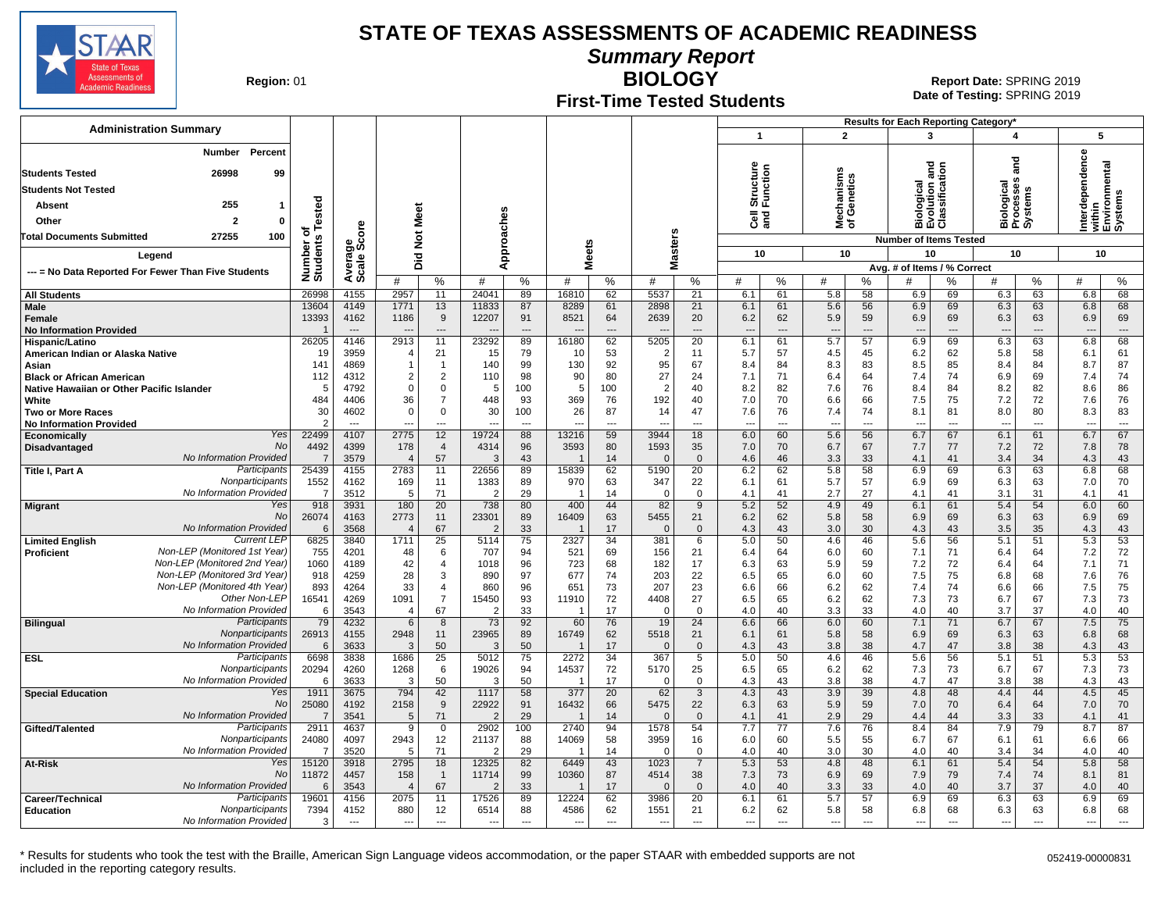

**Summary Report**

**Region: 01** 

# **First-Time Tested Students**

**BIOLOGY** 01 **Report Date:** SPRING 2019 **Date of Testing:**  SPRING 2019

|                                                                         |                                                                                                     |                      |                  |                                 |                      |                                  |                                |                                  |                                |                  |                                             |                                 |                      |                                 |           | Results for Each Reporting Category*                                |                                   |                                              |                      |                  |                                    |
|-------------------------------------------------------------------------|-----------------------------------------------------------------------------------------------------|----------------------|------------------|---------------------------------|----------------------|----------------------------------|--------------------------------|----------------------------------|--------------------------------|------------------|---------------------------------------------|---------------------------------|----------------------|---------------------------------|-----------|---------------------------------------------------------------------|-----------------------------------|----------------------------------------------|----------------------|------------------|------------------------------------|
| <b>Administration Summary</b>                                           |                                                                                                     |                      |                  |                                 |                      |                                  |                                |                                  |                                |                  |                                             | $\mathbf{1}$                    |                      | $\overline{2}$                  |           | 3                                                                   |                                   | 4                                            |                      | 5                |                                    |
| <b>Students Tested</b><br><b>Students Not Tested</b><br>Absent<br>Other | <b>Number</b><br><b>Percent</b><br>26998<br>99<br>255<br>$\mathbf{1}$<br>$\overline{2}$<br>$\Omega$ | Tested               |                  | Meet                            |                      |                                  | Approaches                     |                                  |                                |                  |                                             | Structure<br>Function<br>ੌਰ ਫ਼ੂ |                      | Mechanisms<br>of Genetics       |           | gra<br>శై<br>ā٥<br>흉불環<br>$\frac{1}{8}$ $\frac{1}{8}$ $\frac{8}{8}$ | ā<br>$\overline{3}$<br><u>ğ ö</u> | ᅙ<br>ā<br>Biological<br>Processes<br>Systems |                      | Φ<br>erdependenc | within<br>Environmental<br>Systems |
| <b>Total Documents Submitted</b>                                        | 100<br>27255                                                                                        | ъ                    | ge<br>Score      |                                 |                      |                                  |                                |                                  |                                |                  |                                             |                                 |                      |                                 |           |                                                                     |                                   |                                              |                      | Ë                |                                    |
|                                                                         |                                                                                                     | Number o<br>Students |                  | $\frac{5}{2}$                   |                      |                                  |                                | <b>Meets</b>                     |                                | asters           |                                             | 10                              |                      | 10                              |           | <b>Number of Items Tested</b><br>10                                 |                                   | 10                                           |                      | 10               |                                    |
| Legend                                                                  |                                                                                                     |                      | Avera            | Did                             |                      |                                  |                                |                                  |                                | ž                |                                             |                                 |                      |                                 |           | Avg. # of Items / % Correct                                         |                                   |                                              |                      |                  |                                    |
| --- = No Data Reported For Fewer Than Five Students                     |                                                                                                     |                      |                  | #                               | %                    | #                                | %                              | #                                | %                              | #                | %                                           | #                               | %                    | #                               | %         | #                                                                   | %                                 | #                                            | %                    | #                | $\%$                               |
| <b>All Students</b>                                                     |                                                                                                     | 26998                | 4155             | 2957                            | 11                   | 24041                            | 89                             | 16810                            | 62                             | 5537             | 21                                          | 6.1                             | 61                   | 5.8                             | 58        | 6.9                                                                 | 69                                | 6.3                                          | 63                   | 6.8              | 68                                 |
| Male                                                                    |                                                                                                     | 13604                | 4149             | 1771                            | 13                   | 11833                            | 87                             | 8289                             | 61                             | 2898             | 21                                          | 6.1                             | 61                   | 5.6                             | 56        | 6.9                                                                 | 69                                | 6.3                                          | 63                   | 6.8              | 68                                 |
| Female                                                                  |                                                                                                     | 13393                | 4162             | 1186                            | 9                    | 12207                            | 91                             | 8521                             | 64                             | 2639             | 20                                          | 6.2                             | 62<br>$\overline{a}$ | 5.9                             | 59        | 6.9                                                                 | 69<br>$\overline{a}$              | 6.3                                          | 63                   | 6.9              | 69<br>$\overline{a}$               |
| <b>No Information Provided</b><br>Hispanic/Latino                       |                                                                                                     | 26205                | $---$<br>4146    | 2913                            | $\overline{a}$<br>11 | 23292                            | 89                             | 16180                            | $\overline{\phantom{a}}$<br>62 | 5205             | $\overline{\phantom{a}}$<br>$\overline{20}$ | 6.1                             | 61                   | $\overline{\phantom{a}}$<br>5.7 | 57        | $\overline{a}$<br>6.9                                               | 69                                | 6.3                                          | $\overline{a}$<br>63 | 6.8              | 68                                 |
| American Indian or Alaska Native                                        |                                                                                                     | 19                   | 3959             |                                 | 21                   | 15                               | 79                             | 10                               | 53                             | -2               | 11                                          | 5.7                             | 57                   | 4.5                             | 45        | 6.2                                                                 | 62                                | 5.8                                          | 58                   | 6.1              | 61                                 |
| Asian                                                                   |                                                                                                     | 141                  | 4869             |                                 | $\overline{1}$       | 140                              | 99                             | 130                              | 92                             | 95               | 67                                          | 8.4                             | 84                   | 8.3                             | 83        | 8.5                                                                 | 85                                | 8.4                                          | 84                   | 8.7              | 87                                 |
| <b>Black or African American</b>                                        |                                                                                                     | 112                  | 4312             | $\overline{2}$                  | $\overline{2}$       | 110                              | 98                             | 90                               | 80                             | 27               | 24                                          | 7.1                             | 71                   | 6.4                             | 64        | 7.4                                                                 | 74                                | 6.9                                          | 69                   | 7.4              | 74                                 |
| Native Hawaiian or Other Pacific Islander                               |                                                                                                     | 5                    | 4792             | 0                               | $\pmb{0}$            | 5                                | 100                            | 5                                | 100                            | $\mathcal{P}$    | 40                                          | 8.2                             | 82                   | 7.6                             | 76        | 8.4                                                                 | 84                                | 8.2                                          | 82                   | 8.6              | 86                                 |
| White<br><b>Two or More Races</b>                                       |                                                                                                     | 484<br>30            | 4406<br>4602     | 36<br>$\Omega$                  | $\overline{7}$<br>0  | 448<br>30                        | 93<br>100                      | 369<br>26                        | 76<br>87                       | 192<br>14        | 40<br>47                                    | 7.0<br>7.6                      | 70<br>76             | 6.6<br>7.4                      | 66<br>74  | 7.5<br>8.1                                                          | 75<br>81                          | 7.2<br>8.0                                   | 72<br>80             | 7.6<br>8.3       | 76<br>83                           |
| <b>No Information Provided</b>                                          |                                                                                                     | $\mathcal{P}$        | $---$            | ---                             | $\overline{a}$       | ---                              | $\overline{a}$                 | $\overline{\phantom{a}}$         | $\overline{a}$                 | $\sim$           | ---                                         | $---$                           | $\overline{a}$       | ---                             | ---       | $\overline{\phantom{a}}$                                            | $\overline{a}$                    | ---                                          | $---$                | $\overline{a}$   | $\overline{\phantom{a}}$           |
| Economically                                                            | Yes                                                                                                 | 22499                | 4107             | 2775                            | 12                   | 19724                            | 88                             | 13216                            | 59                             | 3944             | 18                                          | 6.0                             | 60                   | 5.6                             | 56        | 6.7                                                                 | 67                                | 6.1                                          | 61                   | 6.7              | 67                                 |
| Disadvantaged                                                           | No                                                                                                  | 4492                 | 4399             | 178                             | 4                    | 4314                             | 96                             | 3593                             | 80                             | 1593             | 35                                          | 7.0                             | 70                   | 6.7                             | 67        | 7.7                                                                 | 77                                | 7.2                                          | 72                   | 7.8              | 78                                 |
|                                                                         | No Information Provideo                                                                             | $\overline{7}$       | 3579             | $\sqrt{2}$                      | 57                   | 3                                | 43                             |                                  | 14                             |                  | $\mathbf{0}$                                | 4.6                             | 46                   | 3.3                             | 33        | 4.1                                                                 | 41                                | 3.4                                          | 34                   | 4.3              | 43                                 |
| Title I, Part A                                                         | Participants<br>Nonparticipants                                                                     | 25439<br>1552        | 4155<br>4162     | 2783<br>169                     | 11<br>11             | 22656<br>1383                    | 89<br>89                       | 15839<br>970                     | 62<br>63                       | 5190<br>347      | 20<br>22                                    | 6.2<br>6.1                      | 62<br>61             | 5.8<br>5.7                      | 58<br>57  | 6.9<br>6.9                                                          | 69<br>69                          | 6.3<br>6.3                                   | 63<br>63             | 6.8<br>7.0       | 68<br>70                           |
|                                                                         | No Information Provided                                                                             | $\overline{7}$       | 3512             | 5                               | 71                   | $\overline{2}$                   | 29                             | $\overline{\mathbf{1}}$          | 14                             | $\Omega$         | $\mathbf 0$                                 | 4.1                             | 41                   | 2.7                             | 27        | 4.1                                                                 | 41                                | 3.1                                          | 31                   | 4.1              | 41                                 |
| <b>Migrant</b>                                                          | Yes                                                                                                 | 918                  | 3931             | 180                             | 20                   | 738                              | 80                             | 400                              | 44                             | 82               | 9                                           | 5.2                             | 52                   | 4.9                             | 49        | 6.1                                                                 | 61                                | 5.4                                          | 54                   | 6.0              | 60                                 |
|                                                                         | <b>No</b>                                                                                           | 26074                | 4163             | 2773                            | 11                   | 23301                            | 89                             | 16409                            | 63                             | 5455             | 21                                          | 6.2                             | 62                   | 5.8                             | 58        | 6.9                                                                 | 69                                | 6.3                                          | 63                   | 6.9              | 69                                 |
|                                                                         | No Information Provideo<br><b>Current LEP</b>                                                       | 6                    | 3568             |                                 | 67                   | $\overline{2}$                   | 33<br>75                       |                                  | 17<br>34                       |                  | $\Omega$                                    | 4.3                             | 43                   | 3.0                             | 30        | 4.3                                                                 | 43                                | 3.5                                          | 35                   | 4.3              | 43                                 |
| <b>Limited English</b><br>Proficient                                    | Non-LEP (Monitored 1st Year)                                                                        | 6825<br>755          | 3840<br>4201     | 1711<br>48                      | $\overline{25}$<br>6 | 5114<br>707                      | 94                             | 2327<br>521                      | 69                             | 381<br>156       | 6<br>21                                     | 5.0<br>6.4                      | 50<br>64             | 4.6<br>6.0                      | 46<br>60  | 5.6<br>7.1                                                          | 56<br>71                          | 5.1<br>6.4                                   | 51<br>64             | 5.3<br>7.2       | $\overline{53}$<br>72              |
|                                                                         | Non-LEP (Monitored 2nd Year)                                                                        | 1060                 | 4189             | 42                              | $\overline{4}$       | 1018                             | 96                             | 723                              | 68                             | 182              | 17                                          | 6.3                             | 63                   | 5.9                             | 59        | 7.2                                                                 | 72                                | 6.4                                          | 64                   | 7.1              | 71                                 |
|                                                                         | Non-LEP (Monitored 3rd Year)                                                                        | 918                  | 4259             | 28                              | $\mathsf 3$          | 890                              | 97                             | 677                              | 74                             | 203              | 22                                          | 6.5                             | 65                   | 6.0                             | 60        | 7.5                                                                 | 75                                | 6.8                                          | 68                   | 7.6              | 76                                 |
|                                                                         | Non-LEP (Monitored 4th Year)                                                                        | 893                  | 4264             | 33                              | $\overline{4}$       | 860                              | 96                             | 651                              | 73                             | 207              | 23                                          | 6.6                             | 66                   | 6.2                             | 62        | 7.4                                                                 | 74                                | 6.6                                          | 66                   | 7.5              | 75                                 |
|                                                                         | Other Non-LEP<br>No Information Provideo                                                            | 16541                | 4269             | 1091                            | $\overline{7}$       | 15450                            | 93                             | 11910                            | 72                             | 4408             | 27                                          | 6.5                             | 65                   | 6.2                             | 62        | 7.3                                                                 | 73                                | 6.7                                          | 67                   | 7.3              | 73                                 |
| <b>Bilingual</b>                                                        | Participants                                                                                        | 6<br>79              | 3543<br>4232     | $\overline{4}$<br>6             | 67<br>8              | 2<br>73                          | 33<br>92                       | 60                               | 17<br>76                       | $\Omega$<br>19   | $\Omega$<br>24                              | 4.0<br>6.6                      | 40<br>66             | 3.3<br>6.0                      | 33<br>60  | 4.0<br>7.1                                                          | 40<br>71                          | 3.7<br>6.7                                   | 37<br>67             | 4.0<br>7.5       | 40<br>75                           |
|                                                                         | Nonparticipants                                                                                     | 26913                | 4155             | 2948                            | 11                   | 23965                            | 89                             | 16749                            | 62                             | 5518             | 21                                          | 6.1                             | 61                   | 5.8                             | 58        | 6.9                                                                 | 69                                | 6.3                                          | 63                   | 6.8              | 68                                 |
|                                                                         | No Information Provided                                                                             | 6                    | 3633             | 3                               | 50                   | 3                                | 50                             |                                  | 17                             | $\Omega$         | $\Omega$                                    | 4.3                             | 43                   | 3.8                             | 38        | 4.7                                                                 | 47                                | 3.8                                          | 38                   | 4.3              | 43                                 |
| <b>ESL</b>                                                              | Participants                                                                                        | 6698                 | 3838             | 1686                            | 25                   | 5012                             | 75                             | 2272                             | 34                             | 367              | 5                                           | 5.0                             | 50                   | 4.6                             | 46        | 5.6                                                                 | 56                                | 5.1                                          | 51                   | 5.3              | 53                                 |
|                                                                         | Nonparticipants<br>No Information Provided                                                          | 20294<br>6           | 4260<br>3633     | 1268<br>3                       | 6<br>50              | 19026<br>3                       | 94<br>50                       | 14537<br>$\overline{\mathbf{1}}$ | 72<br>17                       | 5170<br>$\Omega$ | 25<br>$\mathbf 0$                           | 6.5<br>4.3                      | 65<br>43             | 6.2<br>3.8                      | 62<br>38  | 7.3<br>4.7                                                          | 73<br>47                          | 6.7<br>3.8                                   | 67<br>38             | 7.3<br>4.3       | 73<br>43                           |
| <b>Special Education</b>                                                | Yes                                                                                                 | 1911                 | 3675             | 794                             | 42                   | 1117                             | 58                             | 377                              | 20                             | 62               | 3                                           | 4.3                             | 43                   | 3.9                             | 39        | 4.8                                                                 | 48                                | 4.4                                          | 44                   | 4.5              | 45                                 |
|                                                                         | <b>No</b>                                                                                           | 25080                | 4192             | 2158                            | 9                    | 22922                            | 91                             | 16432                            | 66                             | 5475             | 22                                          | 6.3                             | 63                   | 5.9                             | 59        | 7.0                                                                 | 70                                | 6.4                                          | 64                   | 7.0              | 70                                 |
|                                                                         | No Information Provideo                                                                             | $\overline{7}$       | 3541             | .5                              | 71                   | $\overline{2}$                   | 29                             |                                  | 14                             |                  | $\Omega$                                    | 4.1                             | 41                   | 2.9                             | 29        | 4.4                                                                 | 44                                | 3.3                                          | 33                   | 4.1              | 41                                 |
| Gifted/Talented                                                         | Participants                                                                                        | 2911                 | 4637             | 9                               | $\mathbf 0$          | 2902                             | 100                            | 2740                             | 94                             | 1578             | 54                                          | 7.7                             | 77                   | 7.6                             | 76        | 8.4                                                                 | 84                                | 7.9                                          | 79                   | 8.7              | 87                                 |
|                                                                         | Nonparticipants<br>No Information Provideo                                                          | 24080<br>7           | 4097<br>3520     | 2943<br>-5                      | 12<br>71             | 21137<br>2                       | 88<br>29                       | 14069<br>- 1                     | 58<br>14                       | 3959<br>$\Omega$ | 16<br>0                                     | 6.0<br>4.0                      | 60<br>40             | 5.5<br>3.0                      | 55<br>30  | 6.7<br>4.0                                                          | 67<br>40                          | 6.1<br>3.4                                   | 61<br>34             | 6.6<br>4.0       | 66<br>40                           |
| At-Risk                                                                 | Yes                                                                                                 | 15120                | 3918             | 2795                            | 18                   | 12325                            | 82                             | 6449                             | 43                             | 1023             | $\overline{7}$                              | 5.3                             | 53                   | 4.8                             | 48        | 6.1                                                                 | 61                                | 5.4                                          | 54                   | 5.8              | 58                                 |
|                                                                         | No                                                                                                  | 11872                | 4457             | 158                             | $\overline{1}$       | 11714                            | 99                             | 10360                            | 87                             | 4514             | 38                                          | 7.3                             | 73                   | 6.9                             | 69        | 7.9                                                                 | 79                                | 7.4                                          | 74                   | 8.1              | 81                                 |
|                                                                         | No Information Provideo                                                                             | 6                    | 3543             | $\overline{\mathbf{A}}$         | 67                   | $\overline{2}$                   | 33                             |                                  | 17                             |                  | $\mathbf{0}$                                | 4.0                             | 40                   | 3.3                             | 33        | 4.0                                                                 | 40                                | 3.7                                          | 37                   | 4.0              | 40                                 |
| Career/Technical                                                        | Participants                                                                                        | 19601                | 4156             | 2075                            | 11                   | 17526                            | 89                             | 12224                            | 62                             | 3986             | 20                                          | 6.1                             | 61                   | 5.7                             | 57        | 6.9                                                                 | 69                                | 6.3                                          | 63                   | 6.9              | 69                                 |
| <b>Education</b>                                                        | Nonparticipants<br>No Information Provided                                                          | 7394<br>3            | 4152<br>$\cdots$ | 880<br>$\overline{\phantom{a}}$ | 12<br>$\sim$         | 6514<br>$\overline{\phantom{a}}$ | 88<br>$\overline{\phantom{a}}$ | 4586<br>$\overline{\phantom{a}}$ | 62<br>$\hspace{0.05cm} \ldots$ | 1551<br>$\sim$   | 21<br>$\overline{a}$                        | 6.2<br>$\overline{\phantom{a}}$ | 62<br>$\overline{a}$ | 5.8<br>$\overline{\phantom{a}}$ | 58<br>--- | 6.8<br>$\hspace{0.05cm} \ldots$                                     | 68<br>---                         | 6.3<br>---                                   | 63<br>$---$          | 6.8<br>---       | 68<br>---                          |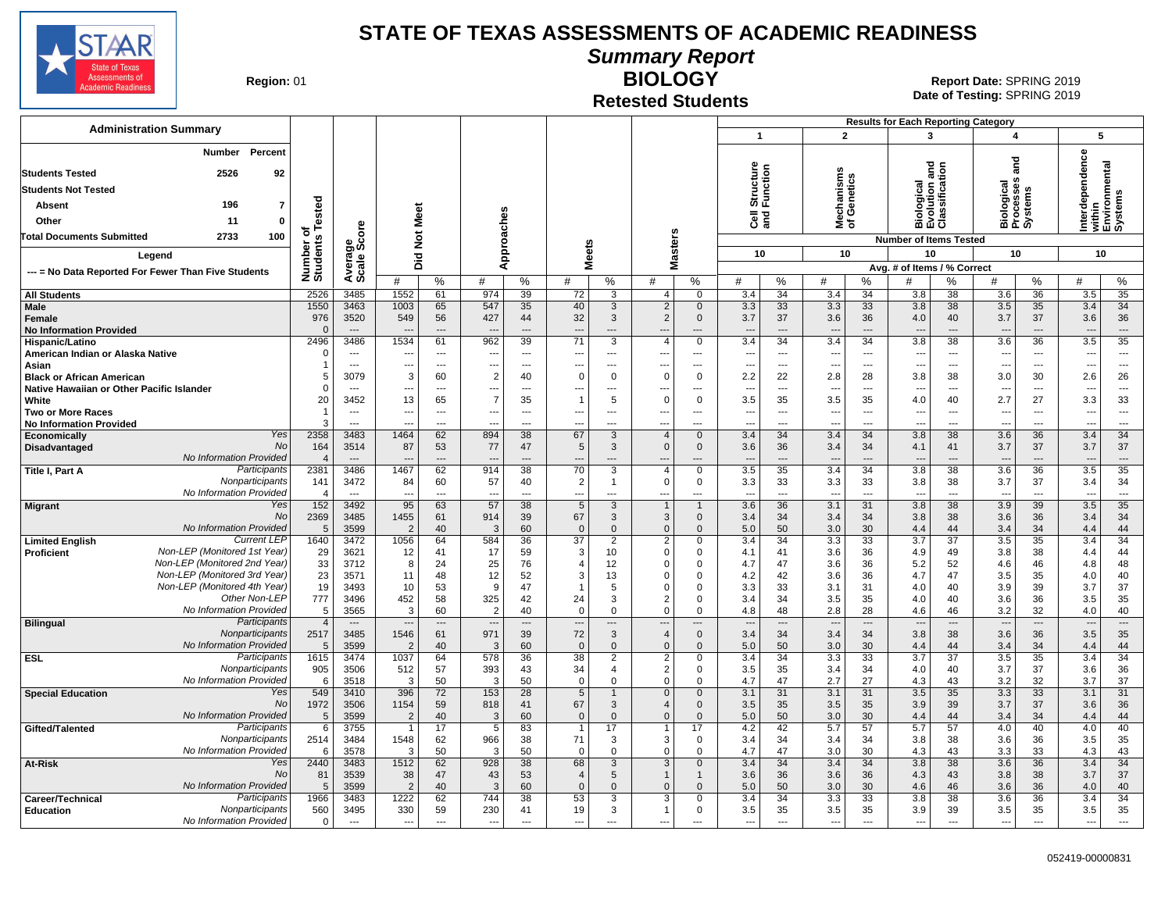

**Summary Report**

**Region: 01** 

# **Retested Students**

**BIOLOGY** 01 **Report Date:** SPRING 2019 **Date of Testing:**  SPRING 2019

| <b>Administration Summary</b>                                              |                              |                                  |                                  |                                |                          |                                |                                |                               |                            |                             | $\mathbf{1}$                    |                        | $\overline{2}$                  |                                | <b>Results for Each Reporting Category</b><br>3 |                                | 4                               |                                  |                                 | 5                                           |
|----------------------------------------------------------------------------|------------------------------|----------------------------------|----------------------------------|--------------------------------|--------------------------|--------------------------------|--------------------------------|-------------------------------|----------------------------|-----------------------------|---------------------------------|------------------------|---------------------------------|--------------------------------|-------------------------------------------------|--------------------------------|---------------------------------|----------------------------------|---------------------------------|---------------------------------------------|
| Percent<br>Number                                                          |                              |                                  |                                  |                                |                          |                                |                                |                               |                            |                             |                                 |                        |                                 |                                |                                                 |                                |                                 |                                  |                                 |                                             |
|                                                                            |                              |                                  |                                  |                                |                          |                                |                                |                               |                            |                             |                                 |                        |                                 |                                |                                                 |                                |                                 | nd<br>and                        | dependence                      |                                             |
| <b>Students Tested</b><br>2526<br>92                                       |                              |                                  |                                  |                                |                          |                                |                                |                               |                            |                             | Structure<br>Function           |                        |                                 |                                |                                                 | $\overline{a}$<br>ē            |                                 |                                  |                                 | within<br>Environmental<br>Systems          |
| <b>Students Not Tested</b>                                                 |                              |                                  |                                  |                                |                          |                                |                                |                               |                            |                             |                                 |                        | lechanisms<br>f Genetics        |                                | డై                                              | e ati                          | iological<br>rocesses           |                                  |                                 |                                             |
| 196<br>$\overline{7}$<br><b>Absent</b>                                     |                              |                                  |                                  |                                |                          |                                |                                |                               |                            |                             |                                 |                        |                                 |                                | 홍별                                              |                                |                                 | Biologica<br>Processe<br>Systems |                                 |                                             |
| Other<br>11<br>0                                                           |                              |                                  | Meet                             |                                |                          |                                |                                |                               |                            |                             | මි දි                           |                        | ౾ స                             |                                | <b>EVEN</b><br>EVEN                             |                                |                                 |                                  | ō<br>Ξ                          |                                             |
| 100<br>2733<br><b>Total Documents Submitted</b>                            | Number of<br>Students Tested | Average<br>Scale Score           | $\breve{\mathbf{z}}$             |                                |                          | Approaches                     |                                |                               |                            |                             |                                 |                        |                                 |                                | <b>Number of Items Tested</b>                   |                                |                                 |                                  |                                 |                                             |
| Legend                                                                     |                              |                                  |                                  |                                |                          |                                | <b>Meets</b>                   |                               | <b>Masters</b>             |                             | 10                              |                        | 10                              |                                | 10                                              |                                |                                 | 10                               |                                 | 10                                          |
|                                                                            |                              |                                  | Did                              |                                |                          |                                |                                |                               |                            |                             |                                 |                        |                                 |                                | Avg. # of Items / % Correct                     |                                |                                 |                                  |                                 |                                             |
| --- = No Data Reported For Fewer Than Five Students                        |                              |                                  | #                                | %                              | #                        | %                              | #                              | %                             | #                          | %                           | #                               | %                      | #                               | %                              | #                                               | %                              | #                               | %                                | #                               | %                                           |
| <b>All Students</b>                                                        | 2526                         | 3485                             | 1552                             | 61                             | 974                      | 39                             | 72                             | 3                             | $\overline{4}$             | $\mathbf 0$                 | 3.4                             | 34                     | 3.4                             | 34                             | 3.8                                             | 38                             | 3.6                             | 36                               | 3.5                             | 35                                          |
| Male                                                                       | 1550                         | 3463                             | 1003                             | 65                             | 547                      | 35                             | 40                             | 3                             | 2                          | $\mathbf 0$                 | 3.3                             | 33                     | 3.3                             | 33                             | 3.8                                             | 38                             | 3.5                             | 35                               | 3.4                             | 34                                          |
| Female                                                                     | 976<br>$\Omega$              | 3520<br>$\sim$                   | 549                              | 56<br>$\overline{a}$           | 427                      | 44                             | 32                             | 3                             | $\overline{2}$             | $\mathbf{0}$                | 3.7                             | 37                     | 3.6                             | 36                             | 4.0                                             | 40<br>$\overline{\phantom{a}}$ | 3.7                             | 37                               | 3.6                             | 36                                          |
| <b>No Information Provided</b><br>Hispanic/Latino                          | 2496                         | 3486                             | 1534                             | 61                             | 962                      | $\overline{a}$<br>39           | $\overline{\phantom{a}}$<br>71 | $\overline{\phantom{a}}$<br>3 | $\overline{a}$<br>4        | $---$<br>$\mathbf 0$        | $\overline{a}$<br>3.4           | ---<br>$\overline{34}$ | $\overline{a}$<br>3.4           | $---$<br>$\overline{34}$       | 3.8                                             | 38                             | $\overline{\phantom{a}}$<br>3.6 | ---<br>36                        | $\overline{a}$<br>3.5           | $\overline{\phantom{a}}$<br>$\overline{35}$ |
| American Indian or Alaska Native                                           | $\Omega$                     | $\overline{a}$                   | --                               | $\overline{a}$                 |                          | $\overline{a}$                 | $\overline{a}$                 |                               |                            | $\overline{a}$              | $\overline{\phantom{a}}$        | ---                    | ---                             | $\overline{\phantom{a}}$       |                                                 | $\overline{a}$                 | ---                             | $\overline{a}$                   | --                              | $\overline{\phantom{a}}$                    |
| Asian                                                                      | $\overline{1}$               | $\sim$                           | --                               | $\hspace{0.05cm} \ldots$       |                          | $\overline{\phantom{a}}$       | $\overline{\phantom{a}}$       | $\overline{\phantom{a}}$      | $\overline{\phantom{a}}$   | $\overline{a}$              | ---                             | ---                    | ---                             | $\overline{\phantom{a}}$       | $\overline{\phantom{a}}$                        | $\hspace{0.05cm} \ldots$       | ---                             | ---                              | --                              | $\hspace{0.05cm} \ldots$                    |
| <b>Black or African American</b>                                           | 5                            | 3079                             | 3                                | 60                             | 2                        | 40                             | $\mathbf 0$                    | $\Omega$                      | $\Omega$                   | $\mathsf 0$                 | 2.2                             | 22                     | 2.8                             | 28                             | 3.8                                             | 38                             | 3.0                             | 30                               | 2.6                             | 26                                          |
| Native Hawaiian or Other Pacific Islander<br>White                         | $\Omega$<br>20               | $\sim$<br>3452                   | --<br>13                         | $\overline{\phantom{a}}$<br>65 | $\overline{7}$           | $\overline{a}$<br>35           | ---<br>$\overline{1}$          | $\sim$<br>5                   | $\overline{a}$<br>$\Omega$ | $---$<br>$\mathbf 0$        | $\overline{\phantom{a}}$<br>3.5 | $\overline{a}$<br>35   | ---<br>3.5                      | $\sim$<br>35                   | $\overline{\phantom{a}}$<br>4.0                 | $\overline{\phantom{a}}$<br>40 | $\overline{\phantom{a}}$<br>2.7 | $\sim$<br>27                     | 3.3                             | $\sim$<br>33                                |
| <b>Two or More Races</b>                                                   | $\overline{1}$               | $-$                              | $\overline{a}$                   | $\overline{a}$                 | $---$                    | $---$                          | $\sim$                         | $---$                         | $\overline{a}$             | $---$                       | $\overline{a}$                  | $\overline{a}$         | $\overline{\phantom{a}}$        | $\sim$                         | $\overline{\phantom{a}}$                        | $\overline{\phantom{a}}$       | $\sim$                          | $\overline{a}$                   | $\overline{\phantom{a}}$        | $---$                                       |
| <b>No Information Provided</b>                                             | 3                            | $\sim$                           | ---                              | $\overline{a}$                 |                          | $\overline{a}$                 | $\overline{a}$                 | $\overline{a}$                | $\overline{a}$             | $---$                       | $\overline{a}$                  | $\overline{a}$         | ---                             | $\sim$                         | $\overline{a}$                                  | $\overline{\phantom{a}}$       | $\overline{a}$                  | ---                              | ---                             | $\overline{\phantom{a}}$                    |
| Yes<br>Economically                                                        | 2358                         | 3483                             | 1464                             | 62                             | 894                      | 38                             | 67                             | 3                             | $\overline{4}$             | $\mathbf{0}$                | 3.4                             | 34                     | 3.4                             | 34                             | 3.8                                             | 38                             | 3.6                             | 36                               | 3.4                             | 34                                          |
| No<br>Disadvantaged<br>No Information Provided                             | 164<br>$\overline{4}$        | 3514<br>$---$                    | 87                               | 53<br>$---$                    | 77                       | 47<br>$\overline{a}$           | 5<br>$\overline{a}$            | 3<br>$\overline{a}$           | $\Omega$                   | $\mathbf 0$<br>---          | 3.6                             | 36<br>---              | 3.4<br>$\overline{a}$           | 34<br>$---$                    | 4.1                                             | 41<br>$\overline{\phantom{a}}$ | 3.7                             | 37<br>---                        | 3.7<br>$\overline{\phantom{a}}$ | 37<br>$---$                                 |
| Participants<br>Title I, Part A                                            | 2381                         | 3486                             | 1467                             | 62                             | 914                      | 38                             | 70                             | 3                             | $\overline{4}$             | $\mathbf 0$                 | 3.5                             | 35                     | 3.4                             | 34                             | 3.8                                             | 38                             | 3.6                             | 36                               | 3.5                             | 35                                          |
| Nonparticipants                                                            | 141                          | 3472                             | 84                               | 60                             | 57                       | 40                             | $\overline{2}$                 | -1                            | $\Omega$                   | $\mathsf 0$                 | 3.3                             | 33                     | 3.3                             | 33                             | 3.8                                             | 38                             | 3.7                             | 37                               | 3.4                             | 34                                          |
| No Information Provided                                                    | $\overline{4}$               | $\overline{\phantom{a}}$         | --                               | $---$                          | $\overline{a}$           | $\overline{a}$                 | ---                            | $\overline{a}$                | $\overline{a}$             | $---$                       | $\overline{a}$                  | $\overline{a}$         | $\overline{\phantom{a}}$        | $\sim$                         | $\overline{\phantom{a}}$                        | $---$                          | $\overline{\phantom{a}}$        | $\overline{a}$                   | $\sim$                          | $\overline{\phantom{a}}$                    |
| Yes<br><b>Migrant</b><br><b>No</b>                                         | 152<br>2369                  | 3492<br>3485                     | 95<br>1455                       | 63<br>61                       | 57<br>914                | 38<br>39                       | 5<br>67                        | 3<br>3                        | $\overline{1}$<br>3        | $\mathbf{1}$<br>$\mathbf 0$ | 3.6<br>3.4                      | 36<br>34               | 3.1<br>3.4                      | 31<br>34                       | 3.8<br>3.8                                      | 38<br>38                       | 3.9<br>3.6                      | 39<br>36                         | 3.5<br>3.4                      | 35<br>34                                    |
| No Information Provided                                                    | 5                            | 3599                             | $\overline{2}$                   | 40                             | 3                        | 60                             | $\Omega$                       | $\mathbf{0}$                  | $\mathbf{0}$               | $\Omega$                    | 5.0                             | 50                     | 3.0                             | 30                             | 4.4                                             | 44                             | 3.4                             | 34                               | 4.4                             | 44                                          |
| <b>Current LEP</b><br><b>Limited English</b>                               | 1640                         | 3472                             | 1056                             | 64                             | 584                      | 36                             | $\overline{37}$                | $\overline{2}$                | 2                          | $\mathbf 0$                 | 3.4                             | 34                     | 3.3                             | 33                             | 3.7                                             | 37                             | 3.5                             | 35                               | 3.4                             | 34                                          |
| Non-LEP (Monitored 1st Year)<br>Proficient<br>Non-LEP (Monitored 2nd Year) | 29                           | 3621                             | 12                               | 41                             | 17                       | 59                             | 3                              | 10                            | $\mathbf 0$                | $\mathbf 0$                 | 4.1                             | 41                     | 3.6                             | 36                             | 4.9                                             | 49                             | 3.8                             | 38                               | 4.4                             | 44                                          |
| Non-LEP (Monitored 3rd Year)                                               | 33<br>23                     | 3712<br>3571                     | 8<br>11                          | 24<br>48                       | 25<br>12                 | 76<br>52                       | $\overline{4}$<br>3            | 12<br>13                      | $\mathbf 0$<br>$\Omega$    | $\mathbf 0$<br>0            | 4.7<br>4.2                      | 47<br>42               | 3.6<br>3.6                      | 36<br>36                       | 5.2<br>4.7                                      | 52<br>47                       | 4.6<br>3.5                      | 46<br>35                         | 4.8<br>4.0                      | 48<br>40                                    |
| Non-LEP (Monitored 4th Year)                                               | 19                           | 3493                             | 10                               | 53                             | 9                        | 47                             | $\overline{1}$                 | 5                             | $\Omega$                   | $\Omega$                    | 3.3                             | 33                     | 3.1                             | 31                             | 4.0                                             | 40                             | 3.9                             | 39                               | 3.7                             | 37                                          |
| Other Non-LEP                                                              | 777                          | 3496                             | 452                              | 58                             | 325                      | 42                             | 24                             | 3                             | 2                          | $\Omega$                    | 3.4                             | 34                     | 3.5                             | 35                             | 4.0                                             | 40                             | 3.6                             | 36                               | 3.5                             | 35                                          |
| No Information Provided                                                    | 5                            | 3565                             | 3                                | 60                             | $\overline{2}$           | 40                             | $\Omega$                       | $\Omega$                      | $\Omega$                   | $\Omega$                    | 4.8                             | 48                     | 2.8                             | 28                             | 4.6                                             | 46                             | 3.2                             | 32                               | 4.0                             | 40                                          |
| Participants<br><b>Bilingual</b><br>Nonparticipants                        | $\overline{4}$<br>2517       | $\overline{\phantom{a}}$<br>3485 | $\overline{\phantom{a}}$<br>1546 | $\overline{\phantom{a}}$<br>61 | 971                      | $\overline{\phantom{a}}$<br>39 | $\overline{\phantom{a}}$<br>72 | $\overline{\phantom{a}}$<br>3 | $\overline{4}$             | $---$<br>$\mathbf 0$        | $\overline{a}$<br>3.4           | ---<br>34              | $\overline{\phantom{a}}$<br>3.4 | $\overline{\phantom{a}}$<br>34 | $\overline{a}$<br>3.8                           | $\overline{\phantom{a}}$<br>38 | $\overline{\phantom{a}}$<br>3.6 | ---<br>36                        | $\overline{\phantom{a}}$<br>3.5 | $\cdots$<br>35                              |
| No Information Provided                                                    | 5                            | 3599                             | $\overline{2}$                   | 40                             | 3                        | 60                             | $\mathbf 0$                    | $\mathbf{0}$                  | $\mathbf 0$                | $\mathbf 0$                 | 5.0                             | 50                     | 3.0                             | 30                             | 4.4                                             | 44                             | 3.4                             | 34                               | 4.4                             | 44                                          |
| Participants<br><b>ESL</b>                                                 | 1615                         | 3474                             | 1037                             | 64                             | 578                      | 36                             | $\overline{38}$                | $\overline{2}$                | 2                          | $\mathbf 0$                 | 3.4                             | 34                     | 3.3                             | 33                             | $\overline{3.7}$                                | $\overline{37}$                | 3.5                             | 35                               | $\overline{3.4}$                | 34                                          |
| Nonparticipants<br>No Information Provided                                 | 905                          | 3506                             | 512                              | 57                             | 393                      | 43                             | 34                             | 4                             | $\overline{2}$             | 0                           | 3.5                             | 35                     | 3.4                             | 34                             | 4.0                                             | 40                             | 3.7                             | 37                               | 3.6                             | 36                                          |
| Yes<br><b>Special Education</b>                                            | 6<br>549                     | 3518<br>3410                     | 3<br>396                         | 50<br>72                       | 3<br>153                 | 50<br>28                       | $\mathbf 0$<br>5               | $\Omega$<br>$\mathbf{1}$      | $\Omega$<br>$\mathbf{0}$   | $\mathbf 0$<br>$\mathbf{0}$ | 4.7<br>3.1                      | 47<br>31               | 2.7<br>3.1                      | 27<br>31                       | 4.3<br>3.5                                      | 43<br>35                       | 3.2<br>3.3                      | 32<br>33                         | 3.7<br>3.1                      | 37<br>31                                    |
| No                                                                         | 1972                         | 3506                             | 1154                             | 59                             | 818                      | 41                             | 67                             | 3                             | $\overline{4}$             | $\Omega$                    | 3.5                             | 35                     | 3.5                             | 35                             | 3.9                                             | 39                             | 3.7                             | 37                               | 3.6                             | 36                                          |
| No Information Provided                                                    | 5                            | 3599                             | $\overline{2}$                   | 40                             | 3                        | 60                             | $\Omega$                       | $\mathbf{0}$                  | $\Omega$                   | $\mathbf{0}$                | 5.0                             | 50                     | 3.0                             | 30                             | 4.4                                             | 44                             | 3.4                             | 34                               | 4.4                             | 44                                          |
| Participants<br>Gifted/Talented                                            | 6                            | 3755                             | $\overline{1}$                   | 17                             | 5                        | 83                             | $\overline{1}$                 | 17                            |                            | 17                          | 4.2                             | 42                     | 5.7                             | 57                             | 5.7                                             | 57                             | 4.0                             | 40                               | 4.0                             | 40                                          |
| Nonparticipants<br>No Information Provided                                 | 2514<br>6                    | 3484<br>3578                     | 1548<br>$\mathcal{R}$            | 62<br>50                       | 966<br>3                 | 38<br>50                       | 71<br>$\mathbf 0$              | 3<br>$\Omega$                 | 3<br>0                     | $\mathbf 0$<br>$\mathbf 0$  | 3.4<br>4.7                      | 34<br>47               | 3.4<br>3.0                      | 34<br>30                       | 3.8<br>4.3                                      | 38<br>43                       | 3.6<br>3.3                      | 36<br>33                         | 3.5<br>4.3                      | 35<br>43                                    |
| Yes<br>At-Risk                                                             | 2440                         | 3483                             | 1512                             | 62                             | 928                      | 38                             | 68                             | 3                             | 3                          | $\mathbf 0$                 | 3.4                             | 34                     | 3.4                             | 34                             | 3.8                                             | 38                             | 3.6                             | 36                               | 3.4                             | 34                                          |
| No                                                                         | 81                           | 3539                             | 38                               | 47                             | 43                       | 53                             | $\overline{4}$                 | 5                             |                            | $\mathbf{1}$                | 3.6                             | 36                     | 3.6                             | 36                             | 4.3                                             | 43                             | 3.8                             | 38                               | 3.7                             | 37                                          |
| No Information Provided                                                    | 5                            | 3599                             | $\overline{2}$                   | 40                             | 3                        | 60                             | $\mathbf{0}$                   | $\Omega$                      | $\Omega$                   | $\mathbf{0}$                | 5.0                             | 50                     | 3.0                             | 30                             | 4.6                                             | 46                             | 3.6                             | 36                               | 4.0                             | 40                                          |
| Participants<br>Career/Technical<br>Nonparticipants<br><b>Education</b>    | 1966<br>560                  | 3483<br>3495                     | 1222<br>330                      | 62<br>59                       | 744<br>230               | 38<br>41                       | 53<br>19                       | 3<br>3                        | 3<br>-1                    | $\Omega$<br>0               | 3.4<br>3.5                      | 34<br>35               | 3.3<br>3.5                      | 33<br>35                       | 3.8<br>3.9                                      | 38<br>39                       | 3.6<br>3.5                      | 36<br>35                         | 3.4<br>3.5                      | 34<br>35                                    |
| No Information Provided                                                    | $\Omega$                     | $\sim$                           | $\overline{\phantom{a}}$         | $\overline{a}$                 | $\overline{\phantom{a}}$ | $\overline{a}$                 | $\overline{a}$                 | $\overline{a}$                |                            | ---                         | $\overline{a}$                  | $\sim$                 | $\overline{a}$                  | $\overline{a}$                 | $\overline{\phantom{a}}$                        | $\overline{a}$                 | $\overline{\phantom{a}}$        | ---                              | $\sim$                          | $\overline{\phantom{a}}$                    |
|                                                                            |                              |                                  |                                  |                                |                          |                                |                                |                               |                            |                             |                                 |                        |                                 |                                |                                                 |                                |                                 |                                  |                                 |                                             |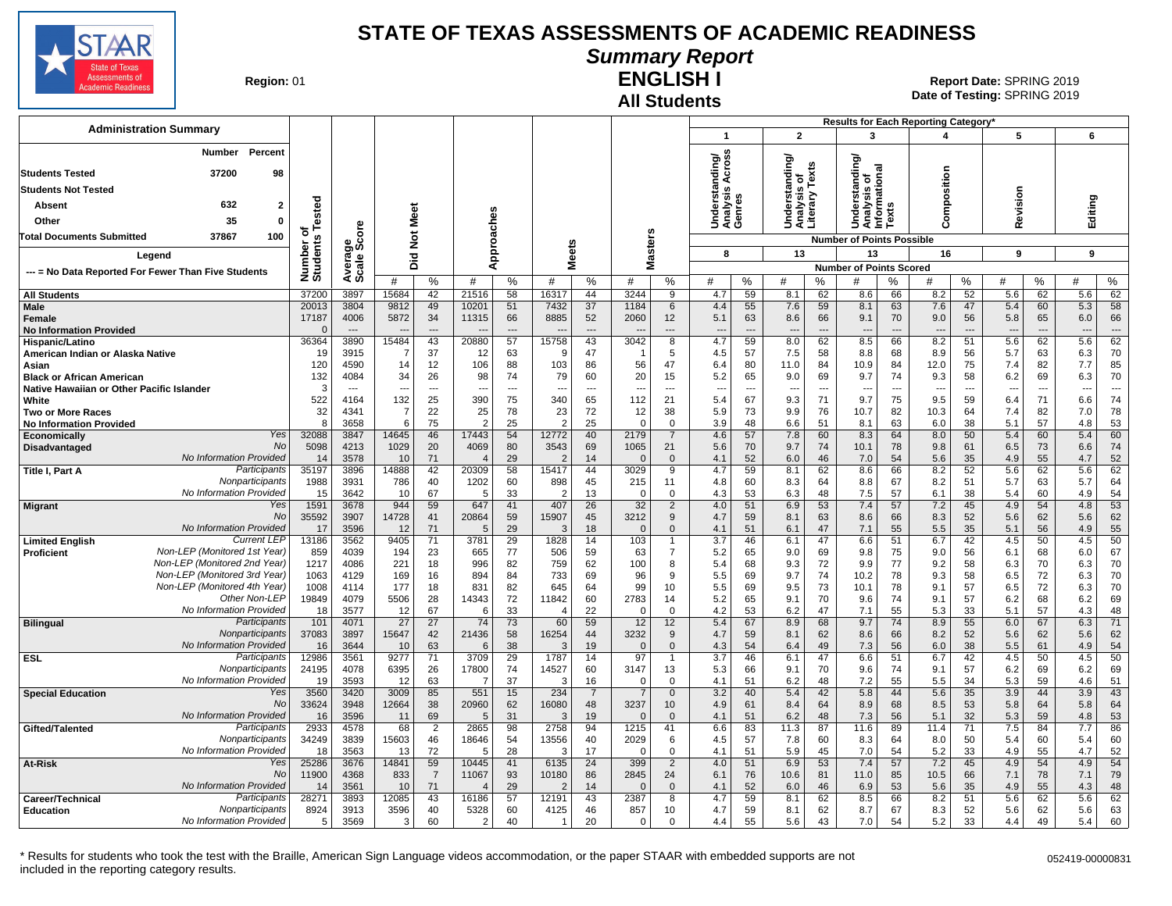

# **Summary Report**

**Region: 01** 

#### **All Students ENGLISH I**

**Date of Testing:**  SPRING 2019 01 **Report Date:** SPRING 2019

| <b>Administration Summary</b>                       |                                             |                        |                                  |                                   |                      |                                   |                      |                |                      |                            |                                |                               |             |                                  |                      |                                               |                  | Results for Each Reporting Category' |                                |                                 |                      |                       |                          |
|-----------------------------------------------------|---------------------------------------------|------------------------|----------------------------------|-----------------------------------|----------------------|-----------------------------------|----------------------|----------------|----------------------|----------------------------|--------------------------------|-------------------------------|-------------|----------------------------------|----------------------|-----------------------------------------------|------------------|--------------------------------------|--------------------------------|---------------------------------|----------------------|-----------------------|--------------------------|
|                                                     |                                             |                        |                                  |                                   |                      |                                   |                      |                |                      |                            |                                | $\mathbf{1}$                  |             | $\overline{2}$                   |                      | 3                                             |                  | 4                                    |                                | 5                               |                      | 6                     |                          |
| <b>Students Tested</b>                              | Percent<br><b>Number</b><br>37200           | 98                     |                                  |                                   |                      |                                   |                      |                |                      |                            |                                | ding/<br>\cross               |             | ding/                            |                      | tanding                                       |                  |                                      |                                |                                 |                      |                       |                          |
|                                                     |                                             |                        |                                  |                                   |                      |                                   |                      |                |                      |                            |                                | ∢<br>ັັ≌<br>ອັ                |             | $\circ$<br>ã                     | Texts                | Understanding<br>Analysis of<br>Informational |                  | Composition                          |                                |                                 |                      |                       |                          |
| <b>Students Not Tested</b>                          |                                             |                        |                                  |                                   |                      |                                   |                      |                |                      |                            |                                |                               |             | s                                |                      |                                               |                  |                                      |                                | Revision                        |                      |                       |                          |
| <b>Absent</b>                                       | 632                                         | Tested<br>$\mathbf{2}$ |                                  |                                   |                      |                                   |                      |                |                      |                            |                                | Underst<br>Analysis<br>Genres |             | Understa<br>Analysis<br>Literary |                      |                                               | $\boldsymbol{a}$ |                                      |                                |                                 |                      | Editing               |                          |
| Other                                               | 35                                          | 0                      |                                  |                                   | Meet                 |                                   |                      |                |                      |                            |                                |                               |             |                                  |                      |                                               | ā                |                                      |                                |                                 |                      |                       |                          |
| <b>Total Documents Submitted</b>                    | 37867<br>100                                | ৳                      | ge<br>Score                      |                                   | $\frac{5}{2}$        |                                   |                      |                |                      |                            |                                |                               |             |                                  |                      | <b>Number of Points Possible</b>              |                  |                                      |                                |                                 |                      |                       |                          |
| Legend                                              |                                             |                        |                                  |                                   | $\overline{2}$       |                                   | Approaches           | <b>Meets</b>   |                      |                            | <b>Masters</b>                 | 8                             |             | 13                               |                      | 13                                            |                  | 16                                   |                                | 9                               |                      | 9                     |                          |
|                                                     |                                             | Number of<br>Students  | Avera<br>Scale                   |                                   | ۵                    |                                   |                      |                |                      |                            |                                |                               |             |                                  |                      | <b>Number of Points Scored</b>                |                  |                                      |                                |                                 |                      |                       |                          |
| --- = No Data Reported For Fewer Than Five Students |                                             |                        |                                  | #                                 | %                    | #                                 | %                    | #              | %                    | #                          | %                              | #                             | %           | #                                | ℅                    | #                                             | ℅                | #                                    | %                              | #                               | %                    | #                     | ℅                        |
| <b>All Students</b>                                 |                                             | 37200                  | 3897                             | 15684                             | 42                   | 21516                             | 58                   | 16317          | 44                   | 3244                       | 9                              | 4.7                           | 59          | 8.1                              | 62                   | 8.6                                           | 66               | 8.2                                  | 52                             | 5.6                             | 62                   | 5.6                   | 62                       |
| Male                                                |                                             | 20013                  | 3804                             | 9812                              | 49                   | 10201                             | 51                   | 7432           | 37                   | 1184                       | 6                              | 4.4                           | 55          | 7.6                              | 59                   | 8.1                                           | 63               | 7.6                                  | 47                             | 5.4                             | 60                   | 5.3                   | 58                       |
| Female                                              |                                             | 17187                  | 4006<br>$\overline{\phantom{a}}$ | 5872                              | 34                   | 11315                             | 66<br>$\overline{a}$ | 8885           | 52<br>$\overline{a}$ | 2060                       | 12                             | 5.1                           | 63          | 8.6<br>$\overline{\phantom{a}}$  | 66                   | 9.1                                           | 70               | 9.0                                  | 56                             | 5.8                             | 65                   | 6.0                   | 66<br>$---$              |
| <b>No Information Provided</b><br>Hispanic/Latino   |                                             | 36364                  | 3890                             | $\overline{\phantom{a}}$<br>15484 | $\overline{a}$<br>43 | $\overline{\phantom{a}}$<br>20880 | 57                   | 15758          | 43                   | $\overline{a}$<br>3042     | $\overline{\phantom{a}}$<br>8  | $---$<br>4.7                  | $---$<br>59 | 8.0                              | $\overline{a}$<br>62 | ---<br>8.5                                    | $---$<br>66      | $\overline{\phantom{a}}$<br>8.2      | $\overline{\phantom{a}}$<br>51 | $\overline{\phantom{a}}$<br>5.6 | $\overline{a}$<br>62 | $\overline{a}$<br>5.6 | 62                       |
| American Indian or Alaska Native                    |                                             | 19                     | 3915                             | 7                                 | 37                   | 12                                | 63                   | 9              | 47                   |                            | 5                              | 4.5                           | 57          | 7.5                              | 58                   | 8.8                                           | 68               | 8.9                                  | 56                             | 5.7                             | 63                   | 6.3                   | 70                       |
| Asian                                               |                                             | 120                    | 4590                             | 14                                | 12                   | 106                               | 88                   | 103            | 86                   | 56                         | 47                             | 6.4                           | 80          | 11.0                             | 84                   | 10.9                                          | 84               | 12.0                                 | 75                             | 7.4                             | 82                   | 7.7                   | 85                       |
| <b>Black or African American</b>                    |                                             | 132                    | 4084                             | 34                                | 26                   | 98                                | 74                   | 79             | 60                   | 20                         | 15                             | 5.2                           | 65          | 9.0                              | 69                   | 9.7                                           | 74               | 9.3                                  | 58                             | 6.2                             | 69                   | 6.3                   | 70                       |
| Native Hawaiian or Other Pacific Islander           |                                             | 3                      |                                  |                                   | ---                  | ---                               |                      |                | $\overline{a}$       | -−                         | ---                            |                               | ---         | $\overline{\phantom{a}}$         | ---                  |                                               | $\sim$           |                                      | $\overline{a}$                 |                                 | ---                  | ---                   | $\overline{\phantom{a}}$ |
| White<br><b>Two or More Races</b>                   |                                             | 522<br>32              | 4164<br>4341                     | 132<br>$\overline{7}$             | 25<br>22             | 390<br>25                         | 75<br>78             | 340<br>23      | 65<br>72             | 112<br>12                  | 21<br>38                       | 5.4<br>5.9                    | 67<br>73    | 9.3<br>9.9                       | 71<br>76             | 9.7<br>10.7                                   | 75<br>82         | 9.5<br>10.3                          | 59<br>64                       | 6.4<br>7.4                      | 71<br>82             | 6.6<br>7.0            | 74<br>78                 |
| <b>No Information Provided</b>                      |                                             | 8                      | 3658                             | 6                                 | 75                   | $\overline{2}$                    | 25                   | $\overline{2}$ | 25                   | $\Omega$                   | $\overline{0}$                 | 3.9                           | 48          | 6.6                              | 51                   | 8.1                                           | 63               | 6.0                                  | 38                             | 5.1                             | 57                   | 4.8                   | 53                       |
| Economically                                        |                                             | Yes<br>32088           | 3847                             | 14645                             | 46                   | 17443                             | 54                   | 12772          | 40                   | 2179                       | $\overline{7}$                 | 4.6                           | 57          | 7.8                              | 60                   | 8.3                                           | 64               | 8.0                                  | 50                             | 5.4                             | 60                   | 5.4                   | 60                       |
| Disadvantaged                                       |                                             | No<br>5098             | 4213                             | 1029                              | 20                   | 4069                              | 80                   | 3543           | 69                   | 1065                       | 21                             | 5.6                           | 70          | 9.7                              | 74                   | 10.1                                          | 78               | 9.8                                  | 61                             | 6.5                             | 73                   | 6.6                   | 74                       |
|                                                     | No Information Provided                     | 14                     | 3578                             | 10                                | 71                   | $\Delta$                          | 29                   | 2              | 14                   | $\mathsf{C}$               | $\overline{0}$                 | 4.1                           | 52          | 6.0                              | 46                   | 7.0                                           | 54               | 5.6                                  | 35                             | 4.9                             | 55                   | 4.7                   | 52                       |
| <b>Title I, Part A</b>                              | Participants<br>Nonparticipants             | 35197                  | 3896                             | 14888                             | 42                   | 20309                             | 58                   | 15417          | 44                   | 3029                       | 9                              | 4.7                           | 59          | 8.1                              | 62                   | 8.6                                           | 66               | 8.2                                  | 52                             | 5.6                             | 62                   | 5.6                   | 62<br>64                 |
|                                                     | No Information Provided                     | 1988<br>15             | 3931<br>3642                     | 786<br>10                         | 40<br>67             | 1202<br>5                         | 60<br>33             | 898<br>2       | 45<br>13             | 215<br>$\Omega$            | 11<br>$\mathbf 0$              | 4.8<br>4.3                    | 60<br>53    | 8.3<br>6.3                       | 64<br>48             | 8.8<br>7.5                                    | 67<br>57         | 8.2<br>6.1                           | 51<br>38                       | 5.7<br>5.4                      | 63<br>60             | 5.7<br>4.9            | 54                       |
| <b>Migrant</b>                                      |                                             | Yes<br>1591            | 3678                             | 944                               | 59                   | 647                               | 41                   | 407            | 26                   | 32                         | 2                              | 4.0                           | 51          | 6.9                              | 53                   | 7.4                                           | 57               | 7.2                                  | 45                             | 4.9                             | 54                   | 4.8                   | 53                       |
|                                                     |                                             | <b>No</b><br>35592     | 3907                             | 14728                             | 41                   | 20864                             | 59                   | 15907          | 45                   | 3212                       | $9\,$                          | 4.7                           | 59          | 8.1                              | 63                   | 8.6                                           | 66               | 8.3                                  | 52                             | 5.6                             | 62                   | 5.6                   | 62                       |
|                                                     | No Information Provided                     | 17                     | 3596                             | 12                                | 71                   | 5                                 | 29                   | 3              | 18                   | $\Omega$                   | $\mathbf 0$                    | 4.1                           | 51          | 6.1                              | 47                   | 7.1                                           | 55               | 5.5                                  | 35                             | 5.1                             | 56                   | 4.9                   | 55                       |
| <b>Limited English</b>                              | Current LEF<br>Non-LEP (Monitored 1st Year) | 13186<br>859           | 3562<br>4039                     | 9405<br>194                       | 71<br>23             | 3781<br>665                       | 29<br>77             | 1828<br>506    | 14<br>59             | 103<br>63                  | $\mathbf{1}$<br>$\overline{7}$ | 3.7<br>5.2                    | 46<br>65    | 6.1<br>9.0                       | 47<br>69             | 6.6<br>9.8                                    | 51<br>75         | 6.7<br>9.0                           | 42<br>56                       | 4.5<br>6.1                      | 50<br>68             | 4.5<br>6.0            | 50<br>67                 |
| Proficient                                          | Non-LEP (Monitored 2nd Year)                | 1217                   | 4086                             | 221                               | 18                   | 996                               | 82                   | 759            | 62                   | 100                        | 8                              | 5.4                           | 68          | 9.3                              | 72                   | 9.9                                           | 77               | 9.2                                  | 58                             | 6.3                             | 70                   | 6.3                   | 70                       |
|                                                     | Non-LEP (Monitored 3rd Year)                | 1063                   | 4129                             | 169                               | 16                   | 894                               | 84                   | 733            | 69                   | 96                         | 9                              | 5.5                           | 69          | 9.7                              | 74                   | 10.2                                          | 78               | 9.3                                  | 58                             | 6.5                             | 72                   | 6.3                   | 70                       |
|                                                     | Non-LEP (Monitored 4th Year)                | 1008                   | 4114                             | 177                               | 18                   | 831                               | 82                   | 645            | 64                   | 99                         | 10                             | 5.5                           | 69          | 9.5                              | 73                   | 10.1                                          | 78               | 9.1                                  | 57                             | 6.5                             | 72                   | 6.3                   | 70                       |
|                                                     | Other Non-LEP                               | 19849                  | 4079                             | 5506                              | 28                   | 14343                             | 72                   | 11842          | 60                   | 2783                       | 14                             | 5.2                           | 65          | 9.1                              | 70                   | 9.6                                           | 74               | 9.1                                  | 57                             | 6.2                             | 68                   | 6.2                   | 69                       |
|                                                     | No Information Provided<br>Participants     | 18<br>101              | 3577<br>4071                     | 12<br>27                          | 67                   | 6<br>74                           | 33<br>73             | 4              | 22<br>59             | $\Omega$                   | $\overline{0}$                 | 4.2                           | 53          | 6.2                              | 47                   | 7.1<br>9.7                                    | 55<br>74         | 5.3<br>8.9                           | 33                             | 5.1                             | 57<br>67             | 4.3                   | 48<br>71                 |
| <b>Bilingual</b>                                    | Nonparticipants                             | 37083                  | 3897                             | 15647                             | 27<br>42             | 21436                             | 58                   | 60<br>16254    | 44                   | 12<br>3232                 | 12<br>9                        | 5.4<br>4.7                    | 67<br>59    | 8.9<br>8.1                       | 68<br>62             | 8.6                                           | 66               | 8.2                                  | 55<br>52                       | 6.0<br>5.6                      | 62                   | 6.3<br>5.6            | 62                       |
|                                                     | No Information Provided                     | 16                     | 3644                             | 10                                | 63                   | 6                                 | 38                   | 3              | 19                   | $\Omega$                   | $\mathbf 0$                    | 4.3                           | 54          | 6.4                              | 49                   | 7.3                                           | 56               | 6.0                                  | 38                             | 5.5                             | 61                   | 4.9                   | 54                       |
| <b>ESL</b>                                          | Participants                                | 12986                  | 3561                             | 9277                              | 71                   | 3709                              | 29                   | 1787           | 14                   | 97                         | $\overline{1}$                 | 3.7                           | 46          | 6.1                              | 47                   | 6.6                                           | 51               | 6.7                                  | 42                             | 4.5                             | 50                   | $\overline{4.5}$      | 50                       |
|                                                     | Nonparticipants                             | 24195                  | 4078                             | 6395                              | 26                   | 17800                             | 74                   | 14527          | 60                   | 3147                       | 13                             | 5.3                           | 66          | 9.1                              | 70                   | 9.6                                           | 74               | 9.1                                  | 57                             | 6.2                             | 69                   | 6.2                   | 69                       |
|                                                     | No Information Provided                     | 19<br>Yes<br>3560      | 3593<br>3420                     | 12<br>3009                        | 63<br>85             | -7<br>551                         | 37                   | -3<br>234      | 16                   | $\Omega$<br>$\overline{7}$ | $\overline{0}$                 | 4.1<br>3.2                    | 51<br>40    | 6.2<br>5.4                       | 48                   | 7.2<br>5.8                                    | 55<br>44         | 5.5<br>5.6                           | 34<br>35                       | 5.3<br>3.9                      | 59<br>44             | 4.6<br>3.9            | 51<br>43                 |
| <b>Special Education</b>                            |                                             | No<br>33624            | 3948                             | 12664                             | 38                   | 20960                             | 15<br>62             | 16080          | $\overline{7}$<br>48 | 3237                       | $\overline{0}$<br>10           | 4.9                           | 61          | 8.4                              | 42<br>64             | 8.9                                           | 68               | 8.5                                  | 53                             | 5.8                             | 64                   | 5.8                   | 64                       |
|                                                     | No Information Provided                     | 16                     | 3596                             | 11                                | 69                   | 5                                 | 31                   | 3              | 19                   | $\Omega$                   | $\overline{0}$                 | 4.1                           | 51          | 6.2                              | 48                   | 7.3                                           | 56               | 5.1                                  | 32                             | 5.3                             | 59                   | 4.8                   | 53                       |
| Gifted/Talented                                     | Participants                                | 2933                   | 4578                             | 68                                | $\overline{2}$       | 2865                              | 98                   | 2758           | 94                   | 1215                       | 41                             | 6.6                           | 83          | 11.3                             | 87                   | 11.6                                          | 89               | 11.4                                 | 71                             | 7.5                             | 84                   | 7.7                   | 86                       |
|                                                     | Nonparticipants                             | 34249                  | 3839                             | 15603                             | 46                   | 18646                             | 54                   | 13556          | 40                   | 2029                       | 6                              | 4.5                           | 57          | 7.8                              | 60                   | 8.3                                           | 64               | 8.0                                  | 50                             | 5.4                             | 60                   | 5.4                   | 60                       |
|                                                     | No Information Provided                     | 18<br>25286<br>Yes     | 3563                             | 13<br>14841                       | 72<br>59             | .5<br>10445                       | 28<br>41             | 3              | 17                   | $\Omega$<br>399            | $\mathbf{0}$                   | 4.1                           | 51          | 5.9                              | 45<br>53             | 7.0                                           | 54               | 5.2<br>7.2                           | 33                             | 4.9                             | 55<br>54             | 4.7<br>4.9            | 52<br>54                 |
| At-Risk                                             |                                             | No<br>11900            | 3676<br>4368                     | 833                               | $\overline{7}$       | 11067                             | 93                   | 6135<br>10180  | 24<br>86             | 2845                       | $\overline{2}$<br>24           | 4.0<br>6.1                    | 51<br>76    | 6.9<br>10.6                      | 81                   | 7.4<br>11.0                                   | 57<br>85         | 10.5                                 | 45<br>66                       | 4.9<br>7.1                      | 78                   | 7.1                   | 79                       |
|                                                     | No Information Provided                     | 14                     | 3561                             | 10                                | 71                   |                                   | 29                   | 2              | 14                   | $\sqrt{ }$                 | $\overline{0}$                 | 4.1                           | 52          | 6.0                              | 46                   | 6.9                                           | 53               | 5.6                                  | 35                             | 4.9                             | 55                   | 4.3                   | 48                       |
| Career/Technical                                    | Participants                                | 28271                  | 3893                             | 12085                             | 43                   | 16186                             | 57                   | 12191          | 43                   | 2387                       | 8                              | 4.7                           | 59          | 8.1                              | 62                   | 8.5                                           | 66               | 8.2                                  | 51                             | 5.6                             | 62                   | 5.6                   | 62                       |
| <b>Education</b>                                    | Nonparticipants                             | 8924                   | 3913                             | 3596                              | 40                   | 5328                              | 60                   | 4125           | 46                   | 857                        | 10                             | 4.7                           | 59          | 8.1                              | 62                   | 8.7                                           | 67               | 8.3                                  | 52                             | 5.6                             | 62                   | 5.6                   | 63                       |
|                                                     | No Information Provided                     | 5                      | 3569                             | 3                                 | 60                   | $\mathcal{P}$                     | 40                   | $\mathbf{1}$   | 20                   | $\mathsf 0$                | $\mathbf 0$                    | 4.4                           | 55          | 5.6                              | 43                   | 7.0                                           | 54               | 5.2                                  | 33                             | 4.4                             | 49                   | 5.4                   | 60                       |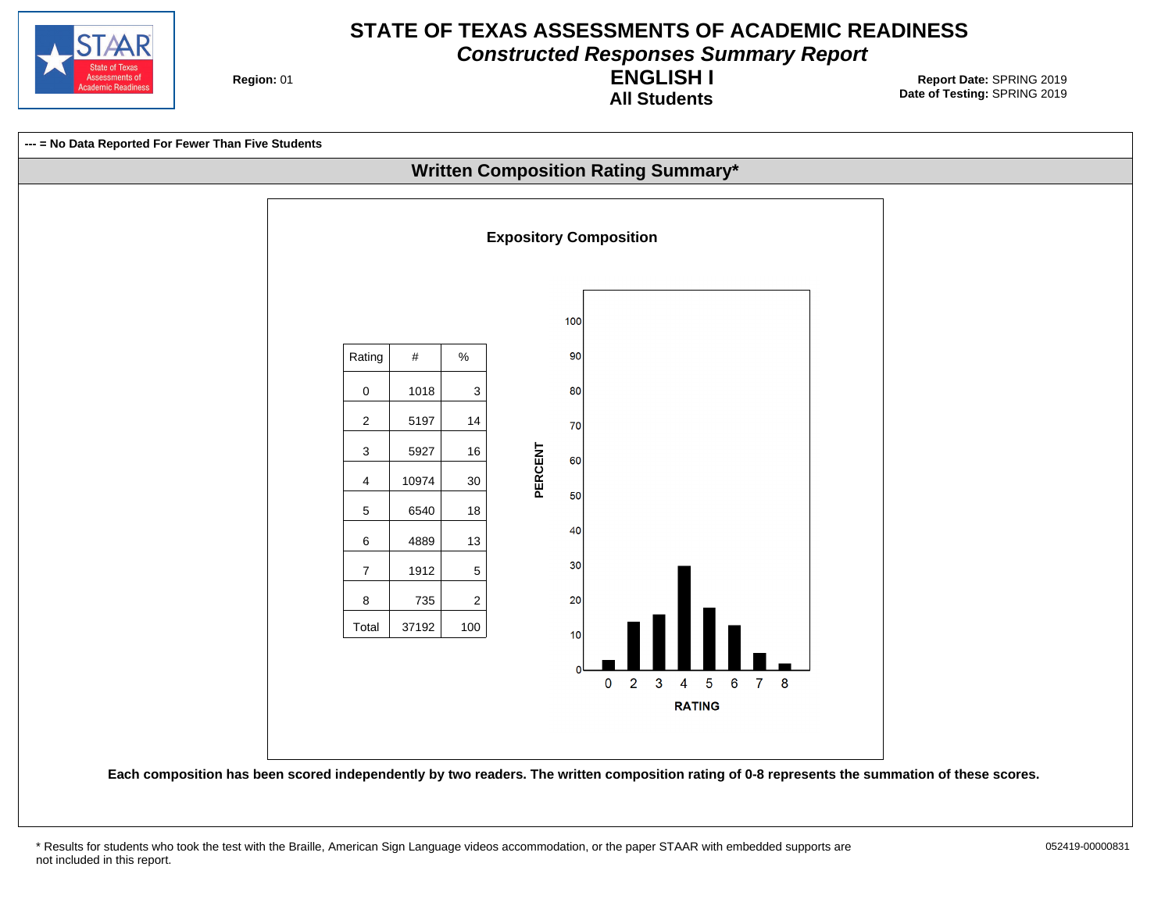

**Constructed Responses Summary Report**

**Region: 01** 

**All Students ENGLISH I**

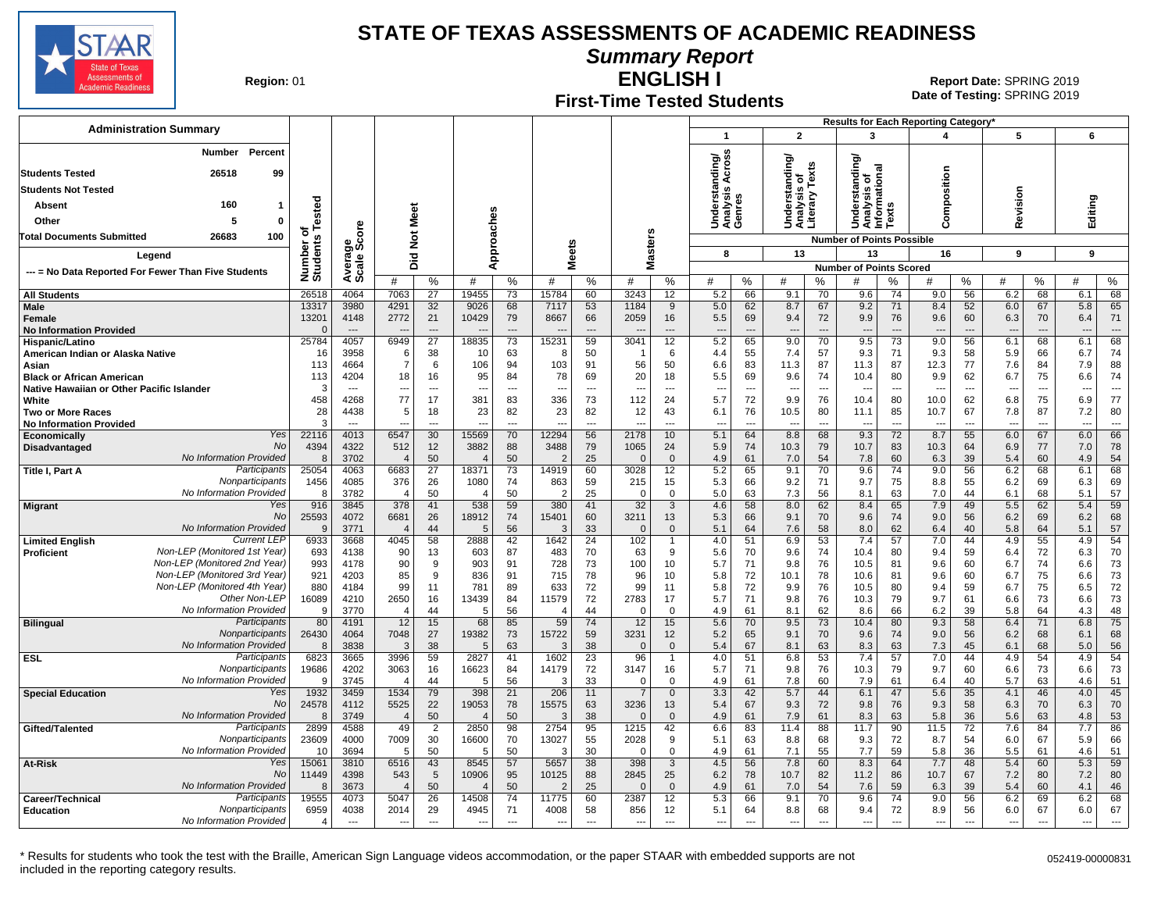

**Summary Report**

**Region: 01** 

#### **First-Time Tested Students ENGLISH I**

**Date of Testing:**  SPRING 2019 01 **Report Date:** SPRING 2019

|                                                              |                       |                          |                               |                       |                         |                          |                                |                       |                                |                          |                                   |                |                                                 |                      | Results for Each Reporting Category*                   |                          |                                  |                          |                                 |                      |                                 |                      |
|--------------------------------------------------------------|-----------------------|--------------------------|-------------------------------|-----------------------|-------------------------|--------------------------|--------------------------------|-----------------------|--------------------------------|--------------------------|-----------------------------------|----------------|-------------------------------------------------|----------------------|--------------------------------------------------------|--------------------------|----------------------------------|--------------------------|---------------------------------|----------------------|---------------------------------|----------------------|
| <b>Administration Summary</b>                                |                       |                          |                               |                       |                         |                          |                                |                       |                                |                          | $\overline{1}$                    |                | $\overline{2}$                                  |                      | 3                                                      |                          | 4                                |                          | 5                               |                      | 6                               |                      |
| <b>Number</b><br>Percent                                     |                       |                          |                               |                       |                         |                          |                                |                       |                                |                          | Across                            |                |                                                 |                      | টা                                                     |                          |                                  |                          |                                 |                      |                                 |                      |
| <b>Students Tested</b><br>26518<br>99                        |                       |                          |                               |                       |                         |                          |                                |                       |                                |                          | nding/                            |                | Understanding/<br>Analysis of<br>Literary Texts |                      | Understanding<br>Analysis of<br>Informational<br>Texts |                          |                                  |                          |                                 |                      |                                 |                      |
| <b>Students Not Tested</b>                                   |                       |                          |                               |                       |                         |                          |                                |                       |                                |                          |                                   |                |                                                 |                      |                                                        |                          | position                         |                          |                                 |                      |                                 |                      |
| 160<br>Absent<br>1                                           |                       |                          |                               |                       |                         |                          |                                |                       |                                |                          | Understar<br>Analysis A<br>Genres |                |                                                 |                      |                                                        |                          |                                  |                          | evision                         |                      | Editing                         |                      |
| 5<br>0                                                       | ested                 |                          | Meet                          |                       |                         |                          |                                |                       |                                |                          |                                   |                |                                                 |                      |                                                        |                          | ξ                                |                          |                                 |                      |                                 |                      |
| Other                                                        |                       | <b>D</b>                 |                               |                       |                         |                          |                                |                       |                                | w                        |                                   |                |                                                 |                      |                                                        |                          | ပ                                |                          | $\alpha$                        |                      |                                 |                      |
| <b>Total Documents Submitted</b><br>26683<br>100             | Number o<br>Students  | క్టిన్ల                  | $\frac{5}{2}$                 |                       |                         | Approaches               |                                |                       |                                | laster:                  |                                   |                |                                                 |                      | <b>Number of Points Possible</b>                       |                          |                                  |                          |                                 |                      |                                 |                      |
| Legend                                                       |                       |                          | 흐                             |                       |                         |                          | <b>Meets</b>                   |                       |                                |                          | 8                                 |                | 13                                              |                      | 13                                                     |                          | 16                               |                          | 9                               |                      | 9                               |                      |
| --- = No Data Reported For Fewer Than Five Students          |                       | Avera<br>Scale           | ه                             |                       |                         |                          |                                |                       | ż                              |                          |                                   |                |                                                 |                      | <b>Number of Points Scored</b>                         |                          |                                  |                          |                                 |                      |                                 |                      |
| <b>All Students</b>                                          | 26518                 | 4064                     | #<br>7063                     | %<br>27               | #<br>19455              | %<br>73                  | #<br>15784                     | %<br>60               | #<br>3243                      | %<br>12                  | #<br>5.2                          | %<br>66        | #<br>9.1                                        | %<br>70              | #<br>9.6                                               | %<br>74                  | #<br>9.0                         | %<br>56                  | #<br>6.2                        | %<br>68              | #<br>6.1                        | $\%$<br>68           |
| <b>Male</b>                                                  | 13317                 | 3980                     | 4291                          | 32                    | 9026                    | 68                       | 7117                           | 53                    | 1184                           | 9                        | 5.0                               | 62             | 8.7                                             | 67                   | 9.2                                                    | 71                       | 8.4                              | 52                       | 6.0                             | 67                   | 5.8                             | 65                   |
| Female                                                       | 13201                 | 4148                     | 2772                          | 21                    | 10429                   | 79                       | 8667                           | 66                    | 2059                           | 16                       | 5.5                               | 69             | 9.4                                             | 72                   | 9.9                                                    | 76                       | 9.6                              | 60                       | 6.3                             | 70                   | 6.4                             | 71                   |
| <b>No Information Provided</b>                               | $\sqrt{ }$            | $\overline{\phantom{a}}$ |                               | $\overline{a}$        |                         | $\overline{a}$           |                                |                       |                                | $\overline{\phantom{a}}$ | $\overline{a}$                    | $\overline{a}$ | ---                                             | $\overline{a}$       | ---                                                    | $\overline{a}$           | $\overline{a}$                   | $\overline{\phantom{a}}$ | $\overline{\phantom{a}}$        | $\overline{a}$       | $\overline{\phantom{a}}$        | $\overline{a}$       |
| Hispanic/Latino                                              | 25784                 | 4057                     | 6949                          | $\overline{27}$       | 18835                   | $\overline{73}$          | 15231                          | 59                    | 3041                           | 12                       | 5.2                               | 65             | 9.0                                             | 70                   | 9.5                                                    | 73                       | 9.0                              | 56                       | 6.1                             | 68                   | 6.1                             | 68                   |
| American Indian or Alaska Native<br>Asian                    | 16<br>113             | 3958<br>4664             | 6<br>$\overline{7}$           | 38<br>6               | 10<br>106               | 63<br>94                 | 8<br>103                       | 50<br>91              | 56                             | 6<br>50                  | 4.4<br>6.6                        | 55<br>83       | 7.4<br>11.3                                     | 57<br>87             | 9.3<br>11.3                                            | 71<br>87                 | 9.3<br>12.3                      | 58<br>77                 | 5.9<br>7.6                      | 66<br>84             | 6.7<br>7.9                      | 74<br>88             |
| <b>Black or African American</b>                             | 113                   | 4204                     | 18                            | 16                    | 95                      | 84                       | 78                             | 69                    | 20                             | 18                       | 5.5                               | 69             | 9.6                                             | 74                   | 10.4                                                   | 80                       | 9.9                              | 62                       | 6.7                             | 75                   | 6.6                             | 74                   |
| Native Hawaiian or Other Pacific Islander                    | Э                     |                          | $\overline{\phantom{a}}$      | ---                   | ---                     | $\overline{a}$           |                                | $\overline{a}$        | $\overline{\phantom{a}}$       | $\overline{\phantom{a}}$ | $\overline{\phantom{a}}$          | --             | --                                              | ---                  |                                                        | $\overline{\phantom{a}}$ | $\overline{\phantom{a}}$         | $\overline{\phantom{a}}$ | $\overline{\phantom{a}}$        | ---                  | $\overline{\phantom{a}}$        |                      |
| White                                                        | 458                   | 4268                     | 77                            | 17                    | 381                     | 83                       | 336                            | 73                    | 112                            | 24                       | 5.7                               | 72             | 9.9                                             | 76                   | 10.4                                                   | 80                       | 10.0                             | 62                       | 6.8                             | 75                   | 6.9                             | 77                   |
| <b>Two or More Races</b><br><b>No Information Provided</b>   | 28<br>Ŀ.              | 4438<br>$\overline{a}$   | 5<br>$\overline{\phantom{a}}$ | 18<br>$\overline{a}$  | 23<br>$\overline{a}$    | 82<br>$---$              | 23<br>$\overline{\phantom{a}}$ | 82<br>$\overline{a}$  | 12<br>$\overline{\phantom{a}}$ | 43<br>$\overline{a}$     | 6.1<br>$\overline{\phantom{a}}$   | 76<br>---      | 10.5<br>$\overline{\phantom{a}}$                | 80<br>$\overline{a}$ | 11.1<br>$\overline{\phantom{a}}$                       | 85<br>$\sim$             | 10.7<br>$\overline{\phantom{a}}$ | 67<br>---                | 7.8<br>$\overline{\phantom{a}}$ | 87<br>$\overline{a}$ | 7.2<br>$\overline{\phantom{a}}$ | 80<br>$\overline{a}$ |
| Yes<br>Economically                                          | 22116                 | 4013                     | 6547                          | 30                    | 15569                   | 70                       | 12294                          | 56                    | 2178                           | 10                       | 5.1                               | 64             | 8.8                                             | 68                   | 9.3                                                    | 72                       | 8.7                              | 55                       | 6.0                             | 67                   | 6.0                             | 66                   |
| No<br>Disadvantaged                                          | 4394                  | 4322                     | 512                           | 12                    | 3882                    | 88                       | 3488                           | 79                    | 1065                           | 24                       | 5.9                               | 74             | 10.3                                            | 79                   | 10.7                                                   | 83                       | 10.3                             | 64                       | 6.9                             | 77                   | 7.0                             | 78                   |
| No Information Provided                                      | -8                    | 3702                     | $\overline{4}$                | 50                    | $\overline{4}$          | 50                       | $\overline{2}$                 | 25                    |                                | $\Omega$                 | 4.9                               | 61             | 7.0                                             | 54                   | 7.8                                                    | 60                       | 6.3                              | 39                       | 5.4                             | 60                   | 4.9                             | 54                   |
| Participants<br>Title I, Part A<br>Nonparticipants           | 25054<br>1456         | 4063<br>4085             | 6683<br>376                   | $\overline{27}$<br>26 | 18371<br>1080           | 73<br>74                 | 14919<br>863                   | 60<br>59              | 3028<br>215                    | 12<br>15                 | 5.2<br>5.3                        | 65<br>66       | 9.1<br>9.2                                      | 70<br>71             | 9.6<br>9.7                                             | 74<br>75                 | 9.0<br>8.8                       | 56<br>55                 | 6.2<br>6.2                      | 68<br>69             | 6.1<br>6.3                      | 68<br>69             |
| No Information Provided                                      | -8                    | 3782                     | 4                             | 50                    | $\overline{4}$          | 50                       | $\overline{2}$                 | 25                    | $\Omega$                       | $\mathbf 0$              | 5.0                               | 63             | 7.3                                             | 56                   | 8.1                                                    | 63                       | 7.0                              | 44                       | 6.1                             | 68                   | 5.1                             | 57                   |
| Yes<br><b>Migrant</b>                                        | 916                   | 3845                     | 378                           | 41                    | 538                     | 59                       | 380                            | 41                    | 32                             | 3                        | 4.6                               | 58             | 8.0                                             | 62                   | 8.4                                                    | 65                       | 7.9                              | 49                       | 5.5                             | 62                   | 5.4                             | 59                   |
| <b>No</b><br>No Information Provided                         | 25593<br>$\mathbf c$  | 4072                     | 6681<br>$\overline{4}$        | 26                    | 18912                   | 74                       | 15401                          | 60                    | 3211                           | 13                       | 5.3                               | 66             | 9.1                                             | 70                   | 9.6                                                    | 74                       | 9.0                              | 56                       | 6.2                             | 69                   | 6.2                             | 68                   |
| <b>Current LEP</b><br><b>Limited English</b>                 | 6933                  | 3771<br>3668             | 4045                          | 44<br>58              | 5<br>2888               | 56<br>42                 | 3<br>1642                      | 33<br>$\overline{24}$ | $\Omega$<br>102                | $\Omega$                 | 5.1<br>4.0                        | 64<br>51       | 7.6<br>6.9                                      | 58<br>53             | 8.0<br>7.4                                             | 62<br>57                 | 6.4<br>7.0                       | 40<br>44                 | 5.8<br>4.9                      | 64<br>55             | 5.1<br>4.9                      | 57<br>54             |
| Non-LEP (Monitored 1st Year)<br><b>Proficient</b>            | 693                   | 4138                     | 90                            | 13                    | 603                     | 87                       | 483                            | 70                    | 63                             | 9                        | 5.6                               | 70             | 9.6                                             | 74                   | 10.4                                                   | 80                       | 9.4                              | 59                       | 6.4                             | 72                   | 6.3                             | 70                   |
| Non-LEP (Monitored 2nd Year)                                 | 993                   | 4178                     | 90                            | 9                     | 903                     | 91                       | 728                            | 73                    | 100                            | 10                       | 5.7                               | 71             | 9.8                                             | 76                   | 10.5                                                   | 81                       | 9.6                              | 60                       | 6.7                             | 74                   | 6.6                             | 73                   |
| Non-LEP (Monitored 3rd Year)<br>Non-LEP (Monitored 4th Year) | 921                   | 4203                     | 85                            | 9                     | 836                     | 91                       | 715                            | 78                    | 96                             | 10                       | 5.8                               | 72             | 10.1                                            | 78                   | 10.6                                                   | 81                       | 9.6                              | 60                       | 6.7                             | 75                   | 6.6                             | 73                   |
| Other Non-LEP                                                | 880<br>16089          | 4184<br>4210             | 99<br>2650                    | 11<br>16              | 781<br>13439            | 89<br>84                 | 633<br>11579                   | 72<br>72              | 99<br>2783                     | 11<br>17                 | 5.8<br>5.7                        | 72<br>71       | 9.9<br>9.8                                      | 76<br>76             | 10.5<br>10.3                                           | 80<br>79                 | 9.4<br>9.7                       | 59<br>61                 | 6.7<br>6.6                      | 75<br>73             | 6.5<br>6.6                      | 72<br>73             |
| No Information Provided                                      | - c                   | 3770                     | 4                             | 44                    | -5                      | 56                       | 4                              | 44                    |                                | $\Omega$                 | 4.9                               | 61             | 8.1                                             | 62                   | 8.6                                                    | 66                       | 6.2                              | 39                       | 5.8                             | 64                   | 4.3                             | 48                   |
| Participants<br><b>Bilingual</b>                             | 80                    | 4191                     | 12                            | 15                    | 68                      | 85                       | 59                             | 74                    | 12                             | 15                       | 5.6                               | 70             | 9.5                                             | 73                   | 10.4                                                   | 80                       | 9.3                              | 58                       | 6.4                             | 71                   | 6.8                             | 75                   |
| Nonparticipants<br>No Information Provided                   | 26430                 | 4064                     | 7048                          | 27                    | 19382                   | 73                       | 15722                          | 59                    | 3231                           | 12                       | 5.2                               | 65             | 9.1                                             | 70                   | 9.6                                                    | 74                       | 9.0                              | 56                       | 6.2                             | 68                   | 6.1                             | 68                   |
| Participants<br><b>ESL</b>                                   | $\mathcal{E}$<br>6823 | 3838<br>3665             | $\mathcal{R}$<br>3996         | 38<br>59              | -5<br>2827              | 63<br>41                 | 3<br>1602                      | 38<br>$\overline{23}$ | $\Omega$<br>96                 | $\mathbf{0}$             | 5.4<br>4.0                        | 67<br>51       | 8.1<br>6.8                                      | 63<br>53             | 8.3<br>7.4                                             | 63<br>57                 | 7.3<br>7.0                       | 45<br>44                 | 6.1<br>4.9                      | 68<br>54             | 5.0<br>4.9                      | 56<br>54             |
| Nonparticipants                                              | 19686                 | 4202                     | 3063                          | 16                    | 16623                   | 84                       | 14179                          | 72                    | 3147                           | 16                       | 5.7                               | 71             | 9.8                                             | 76                   | 10.3                                                   | 79                       | 9.7                              | 60                       | 6.6                             | 73                   | 6.6                             | 73                   |
| No Information Provided                                      | ç                     | 3745                     | $\overline{4}$                | 44                    | -5                      | 56                       | 3                              | 33                    | $\mathbf 0$                    | $\Omega$                 | 4.9                               | 61             | 7.8                                             | 60                   | 7.9                                                    | 61                       | 6.4                              | 40                       | 5.7                             | 63                   | 4.6                             | 51                   |
| Yes<br><b>Special Education</b>                              | 1932                  | 3459                     | 1534                          | 79                    | 398                     | 21                       | 206                            | 11                    | $\overline{7}$                 | $\mathbf{0}$             | 3.3                               | 42             | 5.7                                             | 44                   | 6.1                                                    | 47                       | 5.6                              | 35                       | 4.1                             | 46                   | 4.0                             | 45                   |
| No<br>No Information Provided                                | 24578<br>-8           | 4112<br>3749             | 5525<br>$\overline{4}$        | 22<br>50              | 19053<br>$\overline{4}$ | 78<br>50                 | 15575<br>3                     | 63<br>38              | 3236                           | 13<br>$\Omega$           | 5.4<br>4.9                        | 67<br>61       | 9.3<br>7.9                                      | 72<br>61             | 9.8<br>8.3                                             | 76<br>63                 | 9.3<br>5.8                       | 58<br>36                 | 6.3<br>5.6                      | 70<br>63             | 6.3<br>4.8                      | 70<br>53             |
| Participants<br>Gifted/Talented                              | 2899                  | 4588                     | 49                            | $\overline{2}$        | 2850                    | 98                       | 2754                           | 95                    | 1215                           | 42                       | 6.6                               | 83             | 11.4                                            | 88                   | 11.7                                                   | 90                       | 11.5                             | 72                       | 7.6                             | 84                   | 7.7                             | 86                   |
| Nonparticipants                                              | 23609                 | 4000                     | 7009                          | 30                    | 16600                   | 70                       | 13027                          | 55                    | 2028                           | 9                        | 5.1                               | 63             | 8.8                                             | 68                   | 9.3                                                    | 72                       | 8.7                              | 54                       | 6.0                             | 67                   | 5.9                             | 66                   |
| No Information Provided                                      | 10                    | 3694                     | -5                            | 50                    | -5                      | 50                       | 3                              | 30                    | $\Omega$                       | $\Omega$                 | 4.9                               | 61             | 7.1                                             | 55                   | 7.7                                                    | 59                       | 5.8                              | 36                       | 5.5                             | 61                   | 4.6                             | 51                   |
| Yes<br>At-Risk<br>No                                         | 15061<br>11449        | 3810<br>4398             | 6516<br>543                   | 43                    | 8545<br>10906           | 57                       | 5657                           | 38<br>88              | 398<br>2845                    | 3                        | 4.5<br>6.2                        | 56<br>78       | 7.8<br>10.7                                     | 60                   | 8.3<br>11.2                                            | 64<br>86                 | 7.7                              | 48<br>67                 | 5.4<br>7.2                      | 60<br>80             | 5.3                             | 59<br>80             |
| No Information Provided                                      |                       | 3673                     | $\overline{\mathcal{A}}$      | 5<br>50               |                         | 95<br>50                 | 10125<br>$\overline{2}$        | 25                    |                                | 25<br>$\Omega$           | 4.9                               | 61             | 7.0                                             | 82<br>54             | 7.6                                                    | 59                       | 10.7<br>6.3                      | 39                       | 5.4                             | 60                   | 7.2<br>4.1                      | 46                   |
| Participants<br>Career/Technical                             | 19555                 | 4073                     | 5047                          | 26                    | 14508                   | 74                       | 11775                          | 60                    | 2387                           | 12                       | 5.3                               | 66             | 9.1                                             | 70                   | 9.6                                                    | 74                       | 9.0                              | 56                       | 6.2                             | 69                   | 6.2                             | 68                   |
| Nonparticipants<br><b>Education</b>                          | 6959                  | 4038                     | 2014                          | 29                    | 4945                    | 71                       | 4008                           | 58                    | 856                            | 12                       | 5.1                               | 64             | 8.8                                             | 68                   | 9.4                                                    | 72                       | 8.9                              | 56                       | 6.0                             | 67                   | 6.0                             | 67                   |
| No Information Provided                                      | $\overline{4}$        | $-$                      | ---                           | $\overline{a}$        | $\sim$                  | $\overline{\phantom{a}}$ | $\overline{\phantom{a}}$       | $\overline{a}$        | $\sim$                         | $---$                    | $\overline{\phantom{a}}$          | ---            | ---                                             | $\overline{a}$       | ---                                                    | $\overline{\phantom{a}}$ | $\overline{a}$                   | $\overline{\phantom{a}}$ | $\sim$                          | $\overline{a}$       | $\overline{\phantom{a}}$        |                      |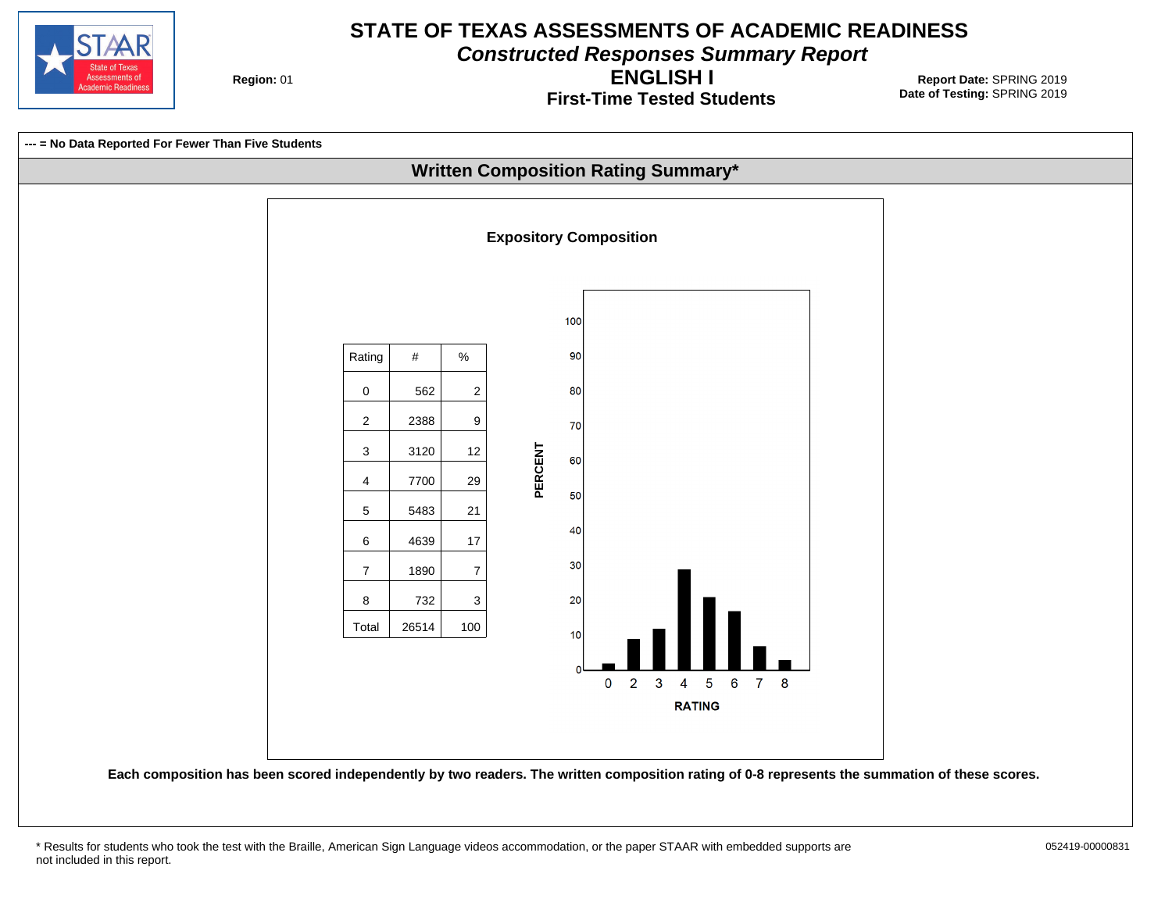

**Constructed Responses Summary Report**

**Region: 01** 

**First-Time Tested Students ENGLISH I**

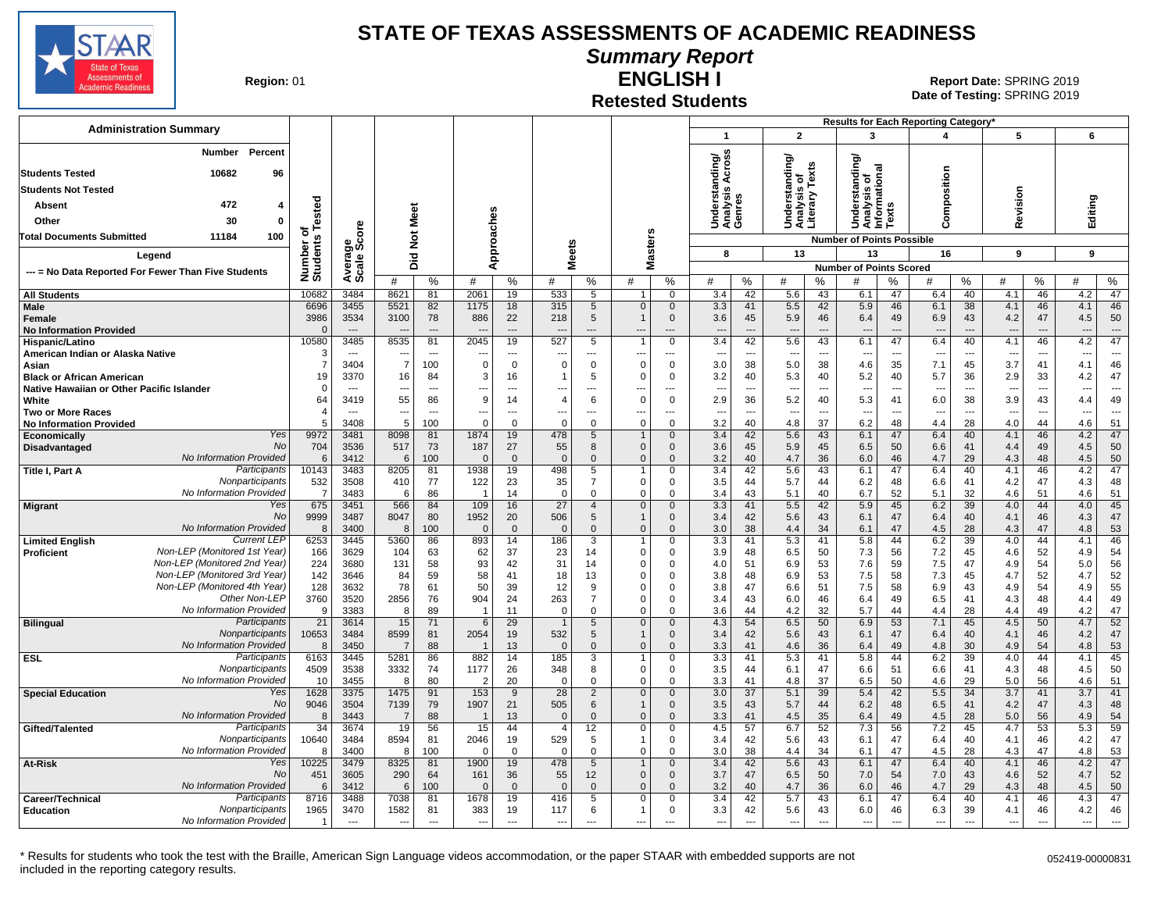

**Summary Report**

**Region: 01** 

#### **Retested Students ENGLISH I**

**Date of Testing:**  SPRING 2019 01 **Report Date:** SPRING 2019

|                                                                   |                              |                |                          |                      |                          |                    |                          |                             |                              |                             |                               |                                |                                 |                                | Results for Each Reporting Category*           |                |                          |                          |                          |                          |            |                          |
|-------------------------------------------------------------------|------------------------------|----------------|--------------------------|----------------------|--------------------------|--------------------|--------------------------|-----------------------------|------------------------------|-----------------------------|-------------------------------|--------------------------------|---------------------------------|--------------------------------|------------------------------------------------|----------------|--------------------------|--------------------------|--------------------------|--------------------------|------------|--------------------------|
| <b>Administration Summary</b>                                     |                              |                |                          |                      |                          |                    |                          |                             |                              |                             | $\mathbf 1$                   |                                | $\overline{2}$                  |                                | 3                                              |                | 4                        |                          | 5                        |                          | 6          |                          |
| Percent<br><b>Number</b><br>10682<br>96<br><b>Students Tested</b> |                              |                |                          |                      |                          |                    |                          |                             |                              |                             | S<br>ding/<br>ŏ<br>Scro       |                                | ding/<br>s of<br>Texts          |                                | tanding<br><b>Ta</b>                           |                |                          |                          |                          |                          |            |                          |
| <b>Students Not Tested</b>                                        |                              |                |                          |                      |                          |                    |                          |                             |                              |                             | ر ڇ                           |                                | Ğ.                              |                                | ö                                              |                | Composition              |                          |                          |                          |            |                          |
| 472                                                               |                              |                |                          |                      |                          |                    |                          |                             |                              |                             | Underst<br>Analysis<br>Genres |                                | ន្ទ្រីខ្ល                       |                                | Understar<br>Analysis c<br>Informatic<br>Texts |                |                          |                          | Revision                 |                          |            |                          |
| Absent<br>4                                                       |                              |                | Meet                     |                      |                          |                    |                          |                             |                              |                             |                               |                                |                                 |                                |                                                |                |                          |                          |                          |                          | Editing    |                          |
| 30<br>Other<br>$\mathbf{0}$                                       |                              | ទី             |                          |                      |                          |                    |                          |                             |                              |                             |                               |                                | naria<br>Sarah<br>Sarah         |                                |                                                |                |                          |                          |                          |                          |            |                          |
| <b>Total Documents Submitted</b><br>11184<br>100                  |                              | ౚౣ౿ఀ           |                          | $\breve{\mathbf{z}}$ | Approaches               |                    |                          |                             |                              | <b>Masters</b>              |                               |                                |                                 |                                | <b>Number of Points Possible</b>               |                |                          |                          |                          |                          |            |                          |
| Legend                                                            |                              |                |                          | 흐                    |                          |                    | <b>Meets</b>             |                             |                              |                             | 8                             |                                | 13                              |                                | 13                                             |                | 16                       |                          | 9                        |                          | 9          |                          |
| --- = No Data Reported For Fewer Than Five Students               |                              | Avera<br>Scale |                          | ه                    |                          |                    |                          |                             |                              |                             |                               |                                |                                 |                                | <b>Number of Points Scored</b>                 |                |                          |                          |                          |                          |            |                          |
|                                                                   | Number or<br>Students Tested |                | #                        | %                    | #                        | %                  | #                        | %                           | #                            | $\%$                        | #                             | %                              | #                               | %                              | #                                              | ℅              | #                        | %                        | #                        | %                        | #          | ℅                        |
| <b>All Students</b>                                               | 10682                        | 3484           | 8621                     | 81                   | 2061                     | 19                 | 533                      | 5                           |                              | $\mathbf 0$                 | 3.4                           | 42                             | 5.6                             | 43                             | 6.1                                            | 47             | 6.4                      | 40                       | 4.1                      | 46                       | 4.2        | 47                       |
| Male                                                              | 6696                         | 3455           | 5521                     | 82                   | 1175                     | 18                 | 315                      | $5\overline{)}$             | $\mathbf 0$                  | $\mathbf 0$                 | 3.3                           | 41                             | 5.5                             | 42                             | 5.9                                            | 46             | 6.1                      | 38                       | 4.1                      | 46                       | 4.1        | 46                       |
| Female                                                            | 3986                         | 3534           | 3100                     | 78                   | 886                      | 22                 | 218                      | 5                           |                              | $\mathbf{0}$                | 3.6                           | 45                             | 5.9                             | 46                             | 6.4                                            | 49             | 6.9                      | 43                       | 4.2                      | 47                       | 4.5        | 50                       |
| <b>No Information Provided</b>                                    | $\Omega$                     |                |                          | $---$                |                          | $\overline{a}$     |                          |                             | $\overline{1}$               | ---                         | $\overline{a}$                | ---                            | $\overline{\phantom{a}}$        | $\overline{a}$                 | ---                                            | $\overline{a}$ |                          |                          |                          |                          |            | ---                      |
| Hispanic/Latino<br>American Indian or Alaska Native               | 10580<br>3                   | 3485           | 8535                     | 81<br>$\overline{a}$ | 2045                     | 19<br>---          | 527                      | $\overline{5}$              |                              | $\mathbf 0$<br>---          | 3.4<br>$\overline{a}$         | 42<br>$\overline{\phantom{a}}$ | 5.6<br>$\overline{\phantom{a}}$ | 43<br>$\overline{\phantom{a}}$ | 6.1                                            | 47<br>---      | 6.4                      | 40                       | 4.1                      | 46                       | 4.2        | 47<br>---                |
| Asian                                                             | 7                            | 3404           | $\overline{7}$           | 100                  | $\Omega$                 | $\mathbf 0$        | $\Omega$                 | $\mathbf 0$                 | $\Omega$                     | $\mathbf 0$                 | 3.0                           | 38                             | 5.0                             | 38                             | 4.6                                            | 35             | 7.1                      | 45                       | 3.7                      | 41                       | 4.1        | 46                       |
| <b>Black or African American</b>                                  | 19                           | 3370           | 16                       | 84                   | 3                        | 16                 | 1                        | 5                           | $\Omega$                     | 0                           | 3.2                           | 40                             | 5.3                             | 40                             | 5.2                                            | 40             | 5.7                      | 36                       | 2.9                      | 33                       | 4.2        | 47                       |
| Native Hawaiian or Other Pacific Islander                         | $\mathbf 0$                  | $\sim$         | $\overline{\phantom{a}}$ | ---                  | ---                      | $---$              | ---                      | $---$                       | ---                          | ---                         | $\overline{\phantom{a}}$      | $\overline{\phantom{a}}$       | $\overline{\phantom{a}}$        | ---                            | ---                                            | ---            | $\overline{\phantom{a}}$ | $\overline{\phantom{a}}$ | $\overline{\phantom{a}}$ | $\overline{a}$           | ---        | $\overline{\phantom{a}}$ |
| White                                                             | 64                           | 3419           | 55                       | 86                   | 9                        | 14                 | $\overline{4}$           | 6                           | $\Omega$                     | $\Omega$                    | 2.9                           | 36                             | 5.2                             | 40                             | 5.3                                            | 41             | 6.0                      | 38                       | 3.9                      | 43                       | 4.4        | 49                       |
| <b>Two or More Races</b>                                          | $\boldsymbol{\Lambda}$       | $\sim$         | $\sim$                   | $---$                | $\overline{\phantom{a}}$ | $---$              | ---                      | $---$                       | ---                          | ---                         | $\overline{a}$                | $\sim$                         | $\overline{\phantom{a}}$        | $\overline{a}$                 | $\sim$                                         | $\overline{a}$ | $\overline{a}$           | $\sim$                   | $\sim$                   | $\sim$                   | ---        | $\overline{a}$           |
| <b>No Information Provided</b><br>Yes                             |                              | 3408           | 5<br>8098                | 100                  | $\Omega$<br>1874         | $\Omega$           | $\Omega$                 | $\Omega$                    | $\Omega$                     | $\Omega$                    | 3.2                           | 40                             | 4.8                             | 37                             | 6.2<br>6.1                                     | 48             | 4.4<br>6.4               | 28                       | 4.0                      | 44                       | 4.6        | 51<br>47                 |
| Economically<br>No<br><b>Disadvantaged</b>                        | 9972<br>704                  | 3481<br>3536   | 517                      | 81<br>73             | 187                      | 19<br>27           | 478<br>55                | $5\overline{)}$<br>8        | $\mathbf{1}$<br>$\mathbf{0}$ | $\mathbf{0}$<br>$\Omega$    | 3.4<br>3.6                    | 42<br>45                       | 5.6<br>5.9                      | 43<br>45                       | 6.5                                            | 47<br>50       | 6.6                      | 40<br>41                 | 4.1<br>4.4               | 46<br>49                 | 4.2<br>4.5 | 50                       |
| No Information Provided                                           | 6                            | 3412           | 6                        | 100                  | $\Omega$                 | $\overline{0}$     | $\Omega$                 | $\mathbf{0}$                | $\mathbf{0}$                 | $\Omega$                    | 3.2                           | 40                             | 4.7                             | 36                             | 6.0                                            | 46             | 4.7                      | 29                       | 4.3                      | 48                       | 4.5        | 50                       |
| Participants<br>Title I, Part A                                   | 10143                        | 3483           | 8205                     | 81                   | 1938                     | 19                 | 498                      | $5\overline{}$              |                              | $\Omega$                    | 3.4                           | 42                             | 5.6                             | 43                             | 6.1                                            | 47             | 6.4                      | 40                       | 4.1                      | 46                       | 4.2        | 47                       |
| Nonparticipants                                                   | 532                          | 3508           | 410                      | 77                   | 122                      | 23                 | 35                       | $\overline{7}$              | $\mathbf 0$                  | 0                           | 3.5                           | 44                             | 5.7                             | 44                             | 6.2                                            | 48             | 6.6                      | 41                       | 4.2                      | 47                       | 4.3        | 48                       |
| No Information Provided                                           | $\overline{7}$               | 3483           | 6                        | 86                   | -1                       | 14                 | 0                        | $\Omega$                    | $\mathbf 0$                  | $\Omega$                    | 3.4                           | 43                             | 5.1                             | 40                             | 6.7                                            | 52             | 5.1                      | 32                       | 4.6                      | 51                       | 4.6        | 51                       |
| Yes<br><b>Migrant</b><br><b>No</b>                                | 675                          | 3451           | 566                      | 84                   | 109                      | 16                 | 27                       | $\overline{4}$              | $\mathbf 0$                  | $\mathbf{0}$                | 3.3                           | 41                             | 5.5                             | 42                             | 5.9                                            | 45             | 6.2                      | 39                       | 4.0                      | 44                       | 4.0        | 45                       |
| No Information Provided                                           | 9999<br>8                    | 3487<br>3400   | 8047<br>8                | 80<br>100            | 1952<br>$\Omega$         | 20<br>$\mathbf{0}$ | 506<br>$\Omega$          | 5<br>$\Omega$               | $\Omega$                     | $\mathbf 0$<br>$\Omega$     | 3.4<br>3.0                    | 42<br>38                       | 5.6<br>4.4                      | 43<br>34                       | 6.1<br>6.1                                     | 47<br>47       | 6.4<br>4.5               | 40<br>28                 | 4.1<br>4.3               | 46<br>47                 | 4.3<br>4.8 | 47<br>53                 |
| <b>Current LEP</b><br><b>Limited English</b>                      | 6253                         | 3445           | 5360                     | 86                   | 893                      | 14                 | 186                      | 3                           | $\mathbf{1}$                 | $\Omega$                    | 3.3                           | 41                             | 5.3                             | 41                             | 5.8                                            | 44             | 6.2                      | 39                       | 4.0                      | 44                       | 4.1        | 46                       |
| Non-LEP (Monitored 1st Year)<br><b>Proficient</b>                 | 166                          | 3629           | 104                      | 63                   | 62                       | 37                 | 23                       | 14                          | $\Omega$                     | $\Omega$                    | 3.9                           | 48                             | 6.5                             | 50                             | 7.3                                            | 56             | 7.2                      | 45                       | 4.6                      | 52                       | 4.9        | 54                       |
| Non-LEP (Monitored 2nd Year)                                      | 224                          | 3680           | 131                      | 58                   | 93                       | 42                 | 31                       | 14                          | $\mathbf 0$                  | $\Omega$                    | 4.0                           | 51                             | 6.9                             | 53                             | 7.6                                            | 59             | 7.5                      | 47                       | 4.9                      | 54                       | 5.0        | 56                       |
| Non-LEP (Monitored 3rd Year)                                      | 142                          | 3646           | 84                       | 59                   | 58                       | 41                 | 18                       | 13                          | $\Omega$                     | $\Omega$                    | 3.8                           | 48                             | 6.9                             | 53                             | 7.5                                            | 58             | 7.3                      | 45                       | 4.7                      | 52                       | 4.7        | 52                       |
| Non-LEP (Monitored 4th Year)                                      | 128                          | 3632           | 78                       | 61                   | 50                       | 39                 | 12                       | 9                           | $\Omega$                     | $\Omega$                    | 3.8                           | 47                             | 6.6                             | 51                             | 7.5                                            | 58             | 6.9                      | 43                       | 4.9                      | 54                       | 4.9        | 55                       |
| Other Non-LEP<br>No Information Provided                          | 3760<br>9                    | 3520<br>3383   | 2856<br>8                | 76                   | 904<br>-1                | 24                 | 263<br>$\Omega$          | $\overline{7}$<br>$\Omega$  | $\mathbf 0$<br>$\Omega$      | $\Omega$<br>$\Omega$        | 3.4                           | 43                             | 6.0                             | 46<br>32                       | 6.4                                            | 49<br>44       | 6.5                      | 41                       | 4.3<br>4.4               | 48                       | 4.4        | 49<br>47                 |
| Participants<br><b>Bilingual</b>                                  | 21                           | 3614           | 15                       | 89<br>71             | 6                        | 11<br>29           | $\overline{1}$           | 5                           | $\mathbf 0$                  | $\mathbf 0$                 | 3.6<br>4.3                    | 44<br>54                       | 4.2<br>6.5                      | 50                             | 5.7<br>6.9                                     | 53             | 4.4<br>7.1               | 28<br>45                 | 4.5                      | 49<br>50                 | 4.2<br>4.7 | 52                       |
| Nonparticipants                                                   | 10653                        | 3484           | 8599                     | 81                   | 2054                     | 19                 | 532                      | 5                           |                              | $\Omega$                    | 3.4                           | 42                             | 5.6                             | 43                             | 6.1                                            | 47             | 6.4                      | 40                       | 4.1                      | 46                       | 4.2        | 47                       |
| No Information Provided                                           | 8                            | 3450           | $\overline{7}$           | 88                   | -1                       | 13                 | $\Omega$                 | $\mathbf 0$                 | $\mathbf{0}$                 | $\mathbf{0}$                | 3.3                           | 41                             | 4.6                             | 36                             | 6.4                                            | 49             | 4.8                      | 30                       | 4.9                      | 54                       | 4.8        | 53                       |
| Participants<br><b>ESL</b>                                        | 6163                         | 3445           | 5281                     | 86                   | 882                      | 14                 | 185                      | $\overline{3}$              | $\mathbf{1}$                 | $\mathbf 0$                 | 3.3                           | 41                             | 5.3                             | 41                             | 5.8                                            | 44             | 6.2                      | 39                       | 4.0                      | 44                       | 4.1        | 45                       |
| Nonparticipants                                                   | 4509                         | 3538           | 3332                     | 74                   | 1177                     | 26                 | 348                      | 8                           | $\mathbf 0$                  | 0                           | 3.5                           | 44                             | 6.1                             | 47                             | 6.6                                            | 51             | 6.6                      | 41                       | 4.3                      | 48                       | 4.5        | 50                       |
| No Information Provided                                           | 10                           | 3455           | 8                        | 80                   | $\overline{2}$           | 20                 | $\Omega$                 | $\Omega$                    | $\Omega$                     | $\Omega$                    | 3.3                           | 41                             | 4.8                             | 37                             | 6.5                                            | 50             | 4.6                      | 29                       | 5.0                      | 56                       | 4.6        | 51                       |
| <b>Special Education</b><br>Yes<br><b>No</b>                      | 1628<br>9046                 | 3375<br>3504   | 1475<br>7139             | 91<br>79             | 153<br>1907              | 9<br>21            | 28<br>505                | $\overline{2}$<br>6         | $\mathbf 0$<br>-1            | $\mathbf 0$<br>$\mathbf{0}$ | 3.0<br>3.5                    | 37<br>43                       | 5.1<br>5.7                      | 39<br>44                       | 5.4<br>6.2                                     | 42<br>48       | 5.5<br>6.5               | 34<br>41                 | 3.7<br>4.2               | 41<br>47                 | 3.7<br>4.3 | 41<br>48                 |
| No Information Provided                                           | 8                            | 3443           | $\overline{7}$           | 88                   | - 1                      | 13                 | $\Omega$                 | $\Omega$                    | $\Omega$                     | $\Omega$                    | 3.3                           | 41                             | 4.5                             | 35                             | 6.4                                            | 49             | 4.5                      | 28                       | 5.0                      | 56                       | 4.9        | 54                       |
| Participants<br>Gifted/Talented                                   | $\overline{34}$              | 3674           | 19                       | 56                   | 15                       | 44                 | $\overline{4}$           | 12                          | $\mathbf 0$                  | $\Omega$                    | 4.5                           | 57                             | 6.7                             | 52                             | 7.3                                            | 56             | 7.2                      | 45                       | 4.7                      | 53                       | 5.3        | 59                       |
| Nonparticipants                                                   | 10640                        | 3484           | 8594                     | 81                   | 2046                     | 19                 | 529                      | 5                           |                              | $\Omega$                    | 3.4                           | 42                             | 5.6                             | 43                             | 6.1                                            | 47             | 6.4                      | 40                       | 4.1                      | 46                       | 4.2        | 47                       |
| No Information Provided                                           | 8                            | 3400           | 8                        | 100                  | $\Omega$                 | $\mathbf 0$        | 0                        | 0                           | $\mathbf 0$                  | 0                           | 3.0                           | 38                             | 4.4                             | 34                             | 6.1                                            | 47             | 4.5                      | 28                       | 4.3                      | 47                       | 4.8        | 53                       |
| Yes<br><b>At-Risk</b>                                             | 10225                        | 3479           | 8325                     | 81                   | 1900                     | 19                 | 478                      | 5                           |                              | $\mathbf{0}$                | 3.4                           | 42                             | 5.6                             | 43                             | 6.1                                            | 47             | 6.4                      | 40                       | 4.1                      | 46                       | 4.2        | 47                       |
| No<br>No Information Provided                                     | 451                          | 3605<br>3412   | 290                      | 64                   | 161<br>$\Omega$          | 36<br>$\Omega$     | 55<br>$\Omega$           | 12 <sup>2</sup><br>$\Omega$ | $\mathbf{0}$<br>$\Omega$     | $\Omega$<br>$\Omega$        | 3.7                           | 47<br>40                       | 6.5<br>4.7                      | 50                             | 7.0<br>6.0                                     | 54<br>46       | 7.0<br>4.7               | 43<br>29                 | 4.6<br>4.3               | 52                       | 4.7<br>4.5 | 52<br>50                 |
| Participants<br>Career/Technical                                  | 6<br>8716                    | 3488           | 6<br>7038                | 100<br>81            | 1678                     | 19                 | 416                      | 5                           | $\Omega$                     | $\Omega$                    | 3.2<br>3.4                    | 42                             | 5.7                             | 36<br>43                       | 6.1                                            | 47             | 6.4                      | 40                       | 4.1                      | 48<br>46                 | 4.3        | 47                       |
| Nonparticipants<br><b>Education</b>                               | 1965                         | 3470           | 1582                     | 81                   | 383                      | 19                 | 117                      | 6                           | 1                            | $\mathbf 0$                 | 3.3                           | 42                             | 5.6                             | 43                             | 6.0                                            | 46             | 6.3                      | 39                       | 4.1                      | 46                       | 4.2        | 46                       |
| No Information Provided                                           | -1                           | $\sim$         | ---                      | $\overline{a}$       | $\overline{\phantom{a}}$ | $\overline{a}$     | $\overline{\phantom{a}}$ | ---                         | ---                          | $\overline{a}$              | $\overline{a}$                | $\overline{\phantom{a}}$       | $\overline{\phantom{a}}$        | $\overline{a}$                 | ---                                            | $\overline{a}$ | $---$                    | $\overline{\phantom{a}}$ | $\overline{\phantom{a}}$ | $\overline{\phantom{a}}$ | ---        | $\overline{a}$           |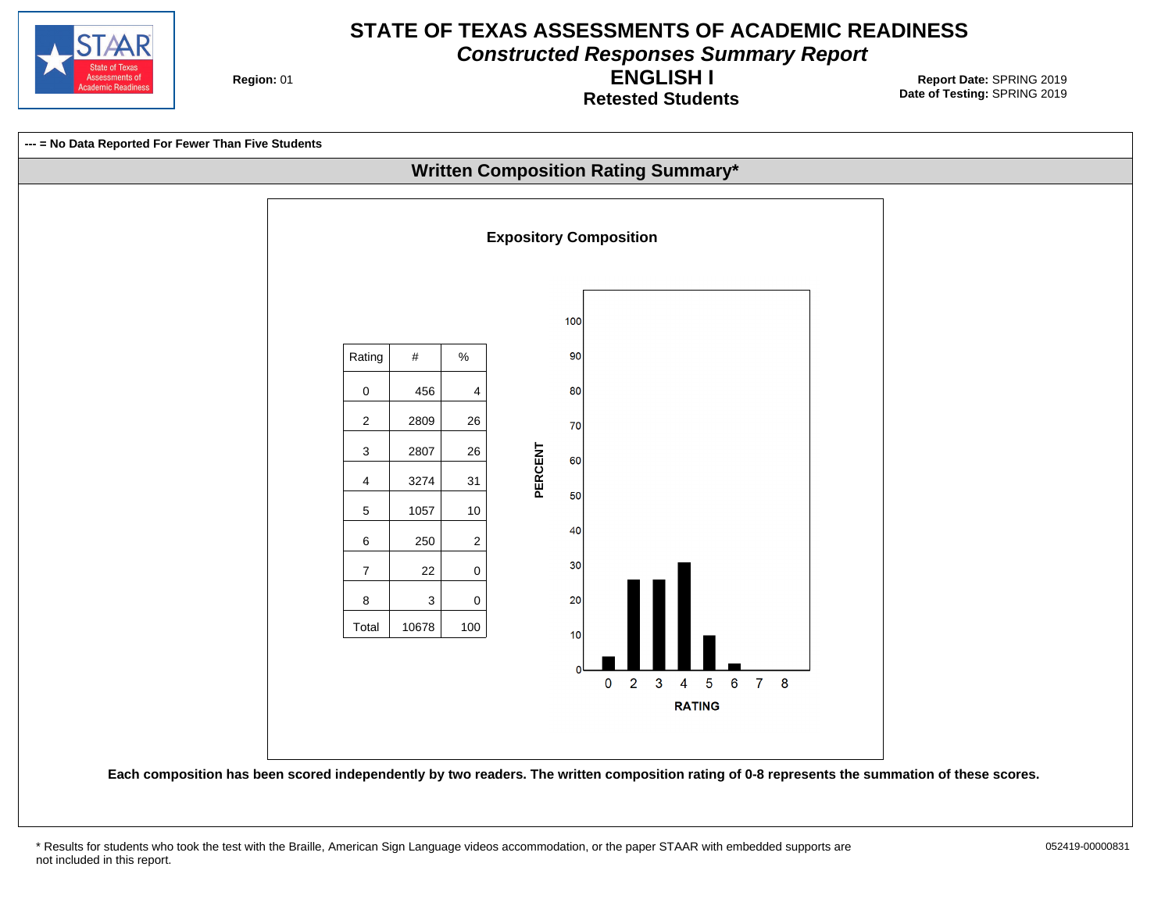

**Constructed Responses Summary Report**

**Region: 01** 

**Retested Students ENGLISH I**



<sup>\*</sup> Results for students who took the test with the Braille, American Sign Language videos accommodation, or the paper STAAR with embedded supports are 052419-00000831 not included in this report.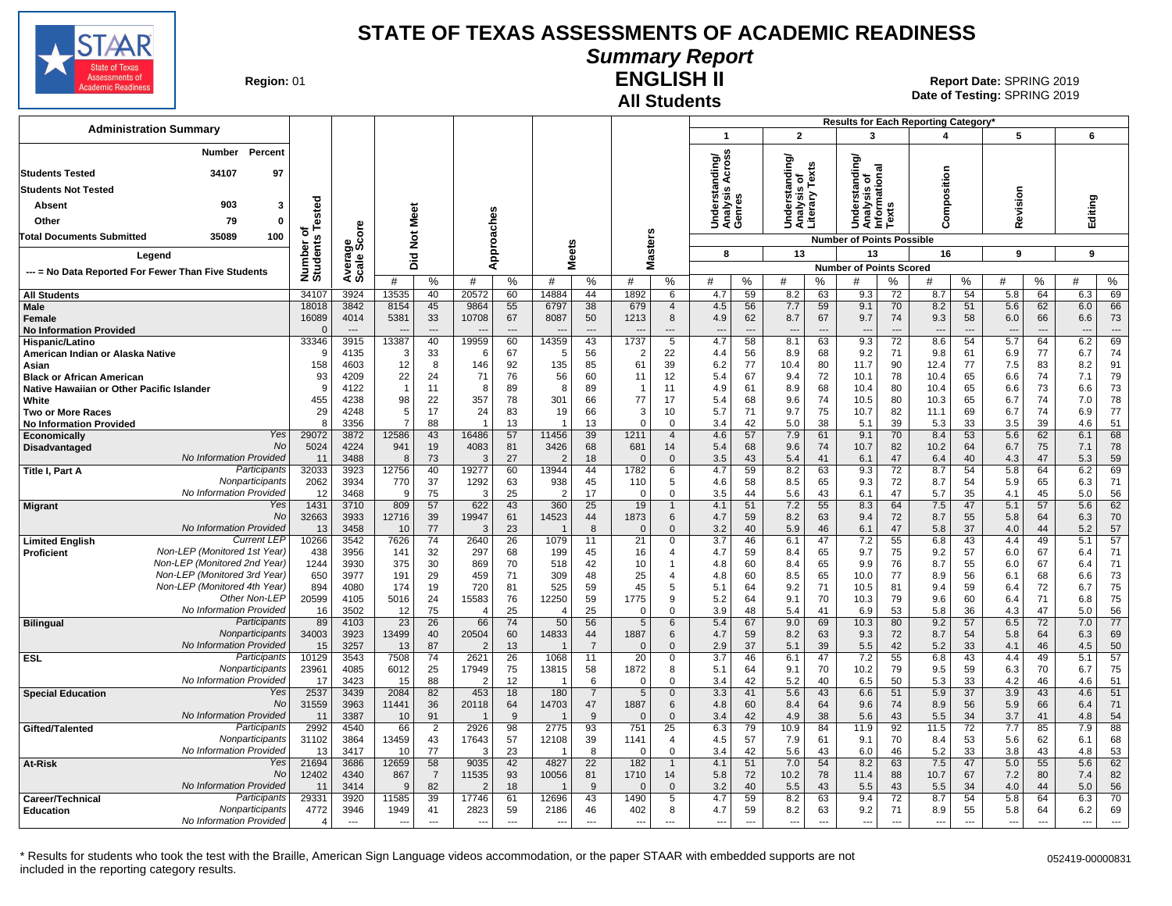

# **Summary Report**

**Region: 01** 

## **All Students ENGLISH II**

**Date of Testing:**  SPRING 2019 01 **Report Date:** SPRING 2019

| <b>Administration Summary</b>                                              |                       |                                  |                                   |                      |                                   |                |              |                      |                          |                                            |                               |                                |                                  |                      |                                               |                  | Results for Each Reporting Category' |                |                                 |                      |                       |             |
|----------------------------------------------------------------------------|-----------------------|----------------------------------|-----------------------------------|----------------------|-----------------------------------|----------------|--------------|----------------------|--------------------------|--------------------------------------------|-------------------------------|--------------------------------|----------------------------------|----------------------|-----------------------------------------------|------------------|--------------------------------------|----------------|---------------------------------|----------------------|-----------------------|-------------|
|                                                                            |                       |                                  |                                   |                      |                                   |                |              |                      |                          |                                            | $\mathbf{1}$                  |                                | $\overline{2}$                   |                      | 3                                             |                  | 4                                    |                | 5                               |                      | 6                     |             |
| <b>Number</b><br>Percent                                                   |                       |                                  |                                   |                      |                                   |                |              |                      |                          |                                            | ding/<br>\cross               |                                | ding/                            |                      | tanding                                       |                  |                                      |                |                                 |                      |                       |             |
| <b>Students Tested</b><br>34107<br>97                                      |                       |                                  |                                   |                      |                                   |                |              |                      |                          |                                            | ∢<br>ັັ≌<br>ອັ                |                                | $\circ$<br>ã                     | Texts                | Understanding<br>Analysis of<br>Informational |                  | Composition                          |                |                                 |                      |                       |             |
| <b>Students Not Tested</b>                                                 |                       |                                  |                                   |                      |                                   |                |              |                      |                          |                                            |                               |                                | s                                |                      |                                               |                  |                                      |                | Revision                        |                      |                       |             |
| 903<br>Absent<br>3                                                         | of<br>s Tested        |                                  |                                   |                      |                                   |                |              |                      |                          |                                            | Underst<br>Analysis<br>Genres |                                | Understa<br>Analysis<br>Literary |                      |                                               | $\boldsymbol{a}$ |                                      |                |                                 |                      | Editing               |             |
| 79<br>Other<br>0                                                           |                       |                                  |                                   | Meet                 |                                   |                |              |                      |                          |                                            |                               |                                |                                  |                      |                                               | ā                |                                      |                |                                 |                      |                       |             |
| 35089<br>100<br><b>Total Documents Submitted</b>                           |                       | ige<br>Score                     | $\frac{5}{2}$                     |                      |                                   |                |              |                      |                          |                                            |                               |                                |                                  |                      | <b>Number of Points Possible</b>              |                  |                                      |                |                                 |                      |                       |             |
| Legend                                                                     |                       |                                  |                                   |                      |                                   |                |              |                      |                          | <b>Masters</b>                             | 8                             |                                | 13                               |                      | 13                                            |                  | 16                                   |                | 9                               |                      | 9                     |             |
|                                                                            |                       | Avera<br>Scale                   | $\overline{2}$<br>۵               |                      |                                   | Approaches     | <b>Meets</b> |                      |                          |                                            |                               |                                |                                  |                      | <b>Number of Points Scored</b>                |                  |                                      |                |                                 |                      |                       |             |
| --- = No Data Reported For Fewer Than Five Students                        | Number of<br>Students |                                  | #                                 | %                    | #                                 | %              | #            | %                    | #                        | %                                          | #                             | %                              | #                                | ℅                    | #                                             | ℅                | #                                    | %              | #                               | %                    | #                     | ℅           |
| <b>All Students</b>                                                        | 34107                 | 3924                             | 13535                             | 40                   | 20572                             | 60             | 14884        | 44                   | 1892                     | 6                                          | 4.7                           | 59                             | 8.2                              | 63                   | 9.3                                           | $\overline{72}$  | 8.7                                  | 54             | 5.8                             | 64                   | 6.3                   | 69          |
| Male                                                                       | 18018                 | 3842                             | 8154                              | 45                   | 9864                              | 55             | 6797         | 38                   | 679                      | $\overline{4}$                             | 4.5                           | 56                             | 7.7                              | 59                   | 9.1                                           | 70               | 8.2                                  | 51             | 5.6                             | 62                   | 6.0                   | 66          |
| Female                                                                     | 16089                 | 4014                             | 5381                              | 33                   | 10708                             | 67             | 8087         | 50                   | 1213                     | 8                                          | 4.9                           | 62                             | 8.7                              | 67                   | 9.7                                           | 74               | 9.3                                  | 58             | 6.0                             | 66                   | 6.6                   | 73          |
| <b>No Information Provided</b><br>Hispanic/Latino                          | 33346                 | $\overline{\phantom{a}}$<br>3915 | $\overline{\phantom{a}}$<br>13387 | $\overline{a}$<br>40 | $\overline{\phantom{a}}$<br>19959 | $---$<br>60    | 14359        | $---$<br>43          | $\overline{a}$<br>1737   | $\overline{\phantom{a}}$<br>$5\overline{}$ | $---$<br>4.7                  | $\overline{\phantom{a}}$<br>58 | $---$<br>8.1                     | $\overline{a}$<br>63 | ---<br>9.3                                    | $---$<br>72      | $\overline{\phantom{a}}$<br>8.6      | $---$<br>54    | $\overline{\phantom{a}}$<br>5.7 | $\overline{a}$<br>64 | $\overline{a}$<br>6.2 | $---$<br>69 |
| American Indian or Alaska Native                                           |                       | 4135                             | 3                                 | 33                   | 6                                 | 67             | 5            | 56                   | $\overline{2}$           | 22                                         | 4.4                           | 56                             | 8.9                              | 68                   | 9.2                                           | 71               | 9.8                                  | 61             | 6.9                             | 77                   | 6.7                   | 74          |
| Asian                                                                      | 158                   | 4603                             | 12                                | 8                    | 146                               | 92             | 135          | 85                   | 61                       | 39                                         | 6.2                           | 77                             | 10.4                             | 80                   | 11.7                                          | 90               | 12.4                                 | 77             | 7.5                             | 83                   | 8.2                   | 91          |
| <b>Black or African American</b>                                           | 93                    | 4209                             | 22                                | 24                   | 71                                | 76             | 56           | 60                   | 11                       | 12                                         | 5.4                           | 67                             | 9.4                              | 72                   | 10.1                                          | 78               | 10.4                                 | 65             | 6.6                             | 74                   | 7.1                   | 79          |
| Native Hawaiian or Other Pacific Islander                                  | <sub>9</sub>          | 4122                             | $\overline{1}$                    | 11                   | 8                                 | 89             | 8            | 89                   | $\overline{1}$           | 11                                         | 4.9                           | 61                             | 8.9                              | 68                   | 10.4                                          | 80               | 10.4                                 | 65             | 6.6                             | 73                   | 6.6                   | 73          |
| White                                                                      | 455                   | 4238                             | 98                                | 22                   | 357                               | 78             | 301          | 66                   | 77                       | 17                                         | 5.4                           | 68                             | 9.6                              | 74                   | 10.5                                          | 80               | 10.3                                 | 65             | 6.7                             | 74                   | 7.0                   | 78          |
| <b>Two or More Races</b><br><b>No Information Provided</b>                 | 29<br>8               | 4248<br>3356                     | 5<br>$\overline{7}$               | 17<br>88             | 24<br>$\overline{1}$              | 83<br>13       | 19<br>-1     | 66<br>13             | 3<br>$\Omega$            | 10<br>$\overline{0}$                       | 5.7<br>3.4                    | 71<br>42                       | 9.7<br>5.0                       | 75<br>38             | 10.7<br>5.1                                   | 82<br>39         | 11.1<br>5.3                          | 69<br>33       | 6.7<br>3.5                      | 74<br>39             | 6.9<br>4.6            | 77<br>51    |
| <b>Yes</b><br>Economically                                                 | 29072                 | 3872                             | 12586                             | 43                   | 16486                             | 57             | 11456        | 39                   | 1211                     | $\overline{4}$                             | 4.6                           | 57                             | 7.9                              | 61                   | 9.1                                           | 70               | 8.4                                  | 53             | 5.6                             | 62                   | 6.1                   | 68          |
| No<br><b>Disadvantaged</b>                                                 | 5024                  | 4224                             | 941                               | 19                   | 4083                              | 81             | 3426         | 68                   | 681                      | 14                                         | 5.4                           | 68                             | 9.6                              | 74                   | 10.7                                          | 82               | 10.2                                 | 64             | 6.7                             | 75                   | 7.1                   | 78          |
| No Information Provided                                                    | 11                    | 3488                             | 8                                 | 73                   | $\mathcal{B}$                     | 27             | 2            | 18                   | $\sqrt{ }$               | $\overline{0}$                             | 3.5                           | 43                             | 5.4                              | 41                   | 6.1                                           | 47               | 6.4                                  | 40             | 4.3                             | 47                   | 5.3                   | 59          |
| Participants<br><b>Title I, Part A</b>                                     | 32033                 | 3923                             | 12756                             | 40                   | 19277                             | 60             | 13944        | 44                   | 1782                     | 6                                          | 4.7                           | 59                             | 8.2                              | 63                   | 9.3                                           | $\overline{72}$  | 8.7                                  | 54             | 5.8                             | 64                   | 6.2                   | 69          |
| Nonparticipants<br>No Information Provided                                 | 2062<br>12            | 3934<br>3468                     | 770                               | 37<br>75             | 1292<br>3                         | 63<br>25       | 938<br>2     | 45<br>17             | 110<br>$\Omega$          | 5<br>$\mathbf 0$                           | 4.6<br>3.5                    | 58<br>44                       | 8.5<br>5.6                       | 65<br>43             | 9.3<br>6.1                                    | 72<br>47         | 8.7<br>5.7                           | 54<br>35       | 5.9                             | 65<br>45             | 6.3<br>5.0            | 71<br>56    |
| Yes<br><b>Migrant</b>                                                      | 1431                  | 3710                             | 9<br>809                          | 57                   | 622                               | 43             | 360          | 25                   | 19                       | $\overline{1}$                             | 4.1                           | 51                             | 7.2                              | 55                   | 8.3                                           | 64               | 7.5                                  | 47             | 4.1<br>5.1                      | 57                   | 5.6                   | 62          |
| <b>No</b>                                                                  | 32663                 | 3933                             | 12716                             | 39                   | 19947                             | 61             | 14523        | 44                   | 1873                     | $6\phantom{1}6$                            | 4.7                           | 59                             | 8.2                              | 63                   | 9.4                                           | 72               | 8.7                                  | 55             | 5.8                             | 64                   | 6.3                   | 70          |
| No Information Provided                                                    | 13                    | 3458                             | 10                                | 77                   | 3                                 | 23             |              | 8                    | $\Omega$                 | $\mathbf{0}$                               | 3.2                           | 40                             | 5.9                              | 46                   | 6.1                                           | 47               | 5.8                                  | 37             | 4.0                             | 44                   | 5.2                   | 57          |
| Current LEF<br><b>Limited English</b>                                      | 10266                 | 3542                             | 7626                              | 74                   | 2640                              | 26             | 1079         | 11                   | 21                       | 0                                          | 3.7                           | 46                             | 6.1                              | 47                   | 7.2                                           | 55               | 6.8                                  | 43             | 4.4                             | 49                   | 5.1                   | 57          |
| Non-LEP (Monitored 1st Year)<br>Proficient<br>Non-LEP (Monitored 2nd Year) | 438                   | 3956                             | 141                               | 32                   | 297                               | 68             | 199          | 45                   | 16                       | $\overline{4}$                             | 4.7                           | 59                             | 8.4                              | 65                   | 9.7                                           | 75               | 9.2                                  | 57             | 6.0                             | 67                   | 6.4                   | 71          |
| Non-LEP (Monitored 3rd Year)                                               | 1244<br>650           | 3930<br>3977                     | 375<br>191                        | 30<br>29             | 869<br>459                        | 70<br>71       | 518<br>309   | 42<br>48             | 10<br>25                 | $\overline{1}$<br>$\overline{4}$           | 4.8<br>4.8                    | 60<br>60                       | 8.4<br>8.5                       | 65<br>65             | 9.9<br>10.0                                   | 76<br>77         | 8.7<br>8.9                           | 55<br>56       | 6.0<br>6.1                      | 67<br>68             | 6.4<br>6.6            | 71<br>73    |
| Non-LEP (Monitored 4th Year)                                               | 894                   | 4080                             | 174                               | 19                   | 720                               | 81             | 525          | 59                   | 45                       | 5                                          | 5.1                           | 64                             | 9.2                              | 71                   | 10.5                                          | 81               | 9.4                                  | 59             | 6.4                             | 72                   | 6.7                   | 75          |
| Other Non-LEP                                                              | 20599                 | 4105                             | 5016                              | 24                   | 15583                             | 76             | 12250        | 59                   | 1775                     | 9                                          | 5.2                           | 64                             | 9.1                              | 70                   | 10.3                                          | 79               | 9.6                                  | 60             | 6.4                             | 71                   | 6.8                   | 75          |
| No Information Provided                                                    | 16                    | 3502                             | 12                                | 75                   | $\overline{4}$                    | 25             | 4            | 25                   | $\Omega$                 | $\mathbf 0$                                | 3.9                           | 48                             | 5.4                              | 41                   | 6.9                                           | 53               | 5.8                                  | 36             | 4.3                             | 47                   | 5.0                   | 56          |
| Participants<br><b>Bilingual</b>                                           | 89                    | 4103                             | 23                                | 26                   | 66                                | 74             | 50           | 56                   | 5                        | 6                                          | 5.4                           | 67                             | 9.0                              | 69                   | 10.3                                          | 80               | 9.2                                  | 57             | 6.5                             | 72                   | 7.0                   | 77          |
| Nonparticipants<br>No Information Provided                                 | 34003<br>15           | 3923<br>3257                     | 13499<br>13                       | 40<br>87             | 20504<br>$\overline{2}$           | 60<br>13       | 14833        | 44<br>$\overline{7}$ | 1887<br>$\Omega$         | 6<br>$\mathbf 0$                           | 4.7<br>2.9                    | 59<br>37                       | 8.2<br>5.1                       | 63<br>39             | 9.3<br>5.5                                    | 72<br>42         | 8.7<br>5.2                           | 54<br>33       | 5.8<br>4.1                      | 64<br>46             | 6.3<br>4.5            | 69<br>50    |
| Participants<br><b>ESL</b>                                                 | 10129                 | 3543                             | 7508                              | $\overline{74}$      | 2621                              | 26             | 1068         | 11                   | $\overline{20}$          | $\mathbf 0$                                | 3.7                           | 46                             | 6.1                              | 47                   | 7.2                                           | 55               | 6.8                                  | 43             | 4.4                             | 49                   | 5.1                   | 57          |
| Nonparticipants                                                            | 23961                 | 4085                             | 6012                              | 25                   | 17949                             | 75             | 13815        | 58                   | 1872                     | 8                                          | 5.1                           | 64                             | 9.1                              | 70                   | 10.2                                          | 79               | 9.5                                  | 59             | 6.3                             | 70                   | 6.7                   | 75          |
| No Information Provided                                                    | -17                   | 3423                             | 15                                | 88                   | $\overline{2}$                    | 12             |              | 6                    | $\Omega$                 | $\mathbf 0$                                | 3.4                           | 42                             | 5.2                              | 40                   | 6.5                                           | 50               | 5.3                                  | 33             | 4.2                             | 46                   | 4.6                   | 51          |
| Yes<br><b>Special Education</b>                                            | 2537                  | 3439                             | 2084                              | 82                   | 453                               | 18             | 180          | $\overline{7}$       | 5                        | $\mathbf 0$                                | 3.3                           | 41                             | 5.6                              | 43                   | 6.6                                           | 51               | 5.9                                  | 37             | 3.9                             | 43                   | 4.6                   | 51          |
| No<br>No Information Provided                                              | 31559<br>11           | 3963<br>3387                     | 11441<br>10                       | 36<br>91             | 20118                             | 64<br>9        | 14703        | 47<br>9              | 1887<br>$\Omega$         | 6<br>$\mathbf{0}$                          | 4.8<br>3.4                    | 60<br>42                       | 8.4<br>4.9                       | 64<br>38             | 9.6<br>5.6                                    | 74<br>43         | 8.9<br>5.5                           | 56<br>34       | 5.9<br>3.7                      | 66<br>41             | 6.4<br>4.8            | 71<br>54    |
| Participants<br>Gifted/Talented                                            | 2992                  | 4540                             | 66                                | $\overline{2}$       | 2926                              | 98             | 2775         | 93                   | 751                      | 25                                         | 6.3                           | 79                             | 10.9                             | 84                   | 11.9                                          | 92               | 11.5                                 | 72             | 7.7                             | 85                   | 7.9                   | 88          |
| Nonparticipants                                                            | 31102                 | 3864                             | 13459                             | 43                   | 17643                             | 57             | 12108        | 39                   | 1141                     | $\overline{4}$                             | 4.5                           | 57                             | 7.9                              | 61                   | 9.1                                           | 70               | 8.4                                  | 53             | 5.6                             | 62                   | 6.1                   | 68          |
| No Information Provided                                                    | 13                    | 3417                             | 10                                | 77                   | 3                                 | 23             | -1           | 8                    | $\Omega$                 | $\mathbf{0}$                               | 3.4                           | 42                             | 5.6                              | 43                   | 6.0                                           | 46               | 5.2                                  | 33             | 3.8                             | 43                   | 4.8                   | 53          |
| At-Risk<br>Yes                                                             | 21694                 | 3686                             | 12659                             | 58                   | 9035                              | 42             | 4827         | 22                   | 182                      | $\overline{1}$                             | 4.1                           | 51                             | 7.0                              | 54                   | 8.2                                           | 63               | 7.5                                  | 47             | 5.0                             | 55                   | 5.6                   | 62          |
| No<br>No Information Provided                                              | 12402                 | 4340                             | 867<br>$\mathbf{Q}$               | $\overline{7}$       | 11535                             | 93             | 10056        | 81                   | 1710                     | 14                                         | 5.8                           | 72                             | 10.2                             | 78                   | 11.4                                          | 88               | 10.7                                 | 67             | 7.2                             | 80                   | 7.4                   | 82          |
| Participants<br>Career/Technical                                           | 11<br>29331           | 3414<br>3920                     | 11585                             | 82<br>39             | -2<br>17746                       | 18<br>61       | 12696        | 9<br>43              | $\sqrt{ }$<br>1490       | $\overline{0}$<br>5                        | 3.2<br>4.7                    | 40<br>59                       | 5.5<br>8.2                       | 43<br>63             | 5.5<br>9.4                                    | 43<br>72         | 5.5<br>8.7                           | 34<br>54       | 4.0<br>5.8                      | 44<br>64             | 5.0<br>6.3            | 56<br>70    |
| Nonparticipants<br><b>Education</b>                                        | 4772                  | 3946                             | 1949                              | 41                   | 2823                              | 59             | 2186         | 46                   | 402                      | 8                                          | 4.7                           | 59                             | 8.2                              | 63                   | 9.2                                           | 71               | 8.9                                  | 55             | 5.8                             | 64                   | 6.2                   | 69          |
| No Information Provided                                                    | 4                     | $\overline{a}$                   | $\overline{a}$                    | $-$                  | $\overline{a}$                    | $\overline{a}$ | $\sim$       | $\overline{a}$       | $\overline{\phantom{a}}$ | $\sim$                                     | $-$                           | $\overline{a}$                 | $\overline{a}$                   | $\overline{a}$       | $\sim$                                        | $\overline{a}$   | $\overline{a}$                       | $\overline{a}$ | $\overline{a}$                  | $\sim$               | ---                   | $\ddotsc$   |
|                                                                            |                       |                                  |                                   |                      |                                   |                |              |                      |                          |                                            |                               |                                |                                  |                      |                                               |                  |                                      |                |                                 |                      |                       |             |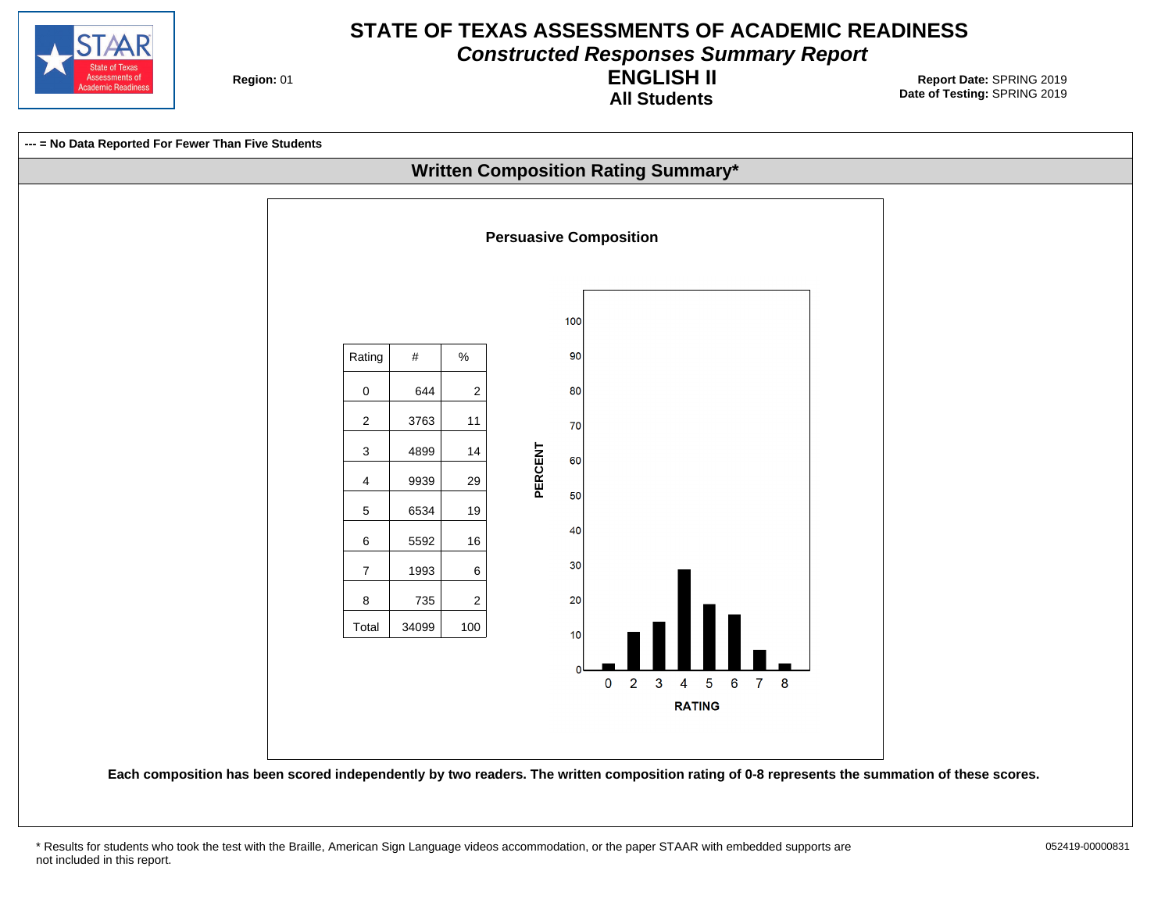

**Constructed Responses Summary Report**

**Region: 01** 

**All Students ENGLISH II**



<sup>\*</sup> Results for students who took the test with the Braille, American Sign Language videos accommodation, or the paper STAAR with embedded supports are 052419-00000831 not included in this report.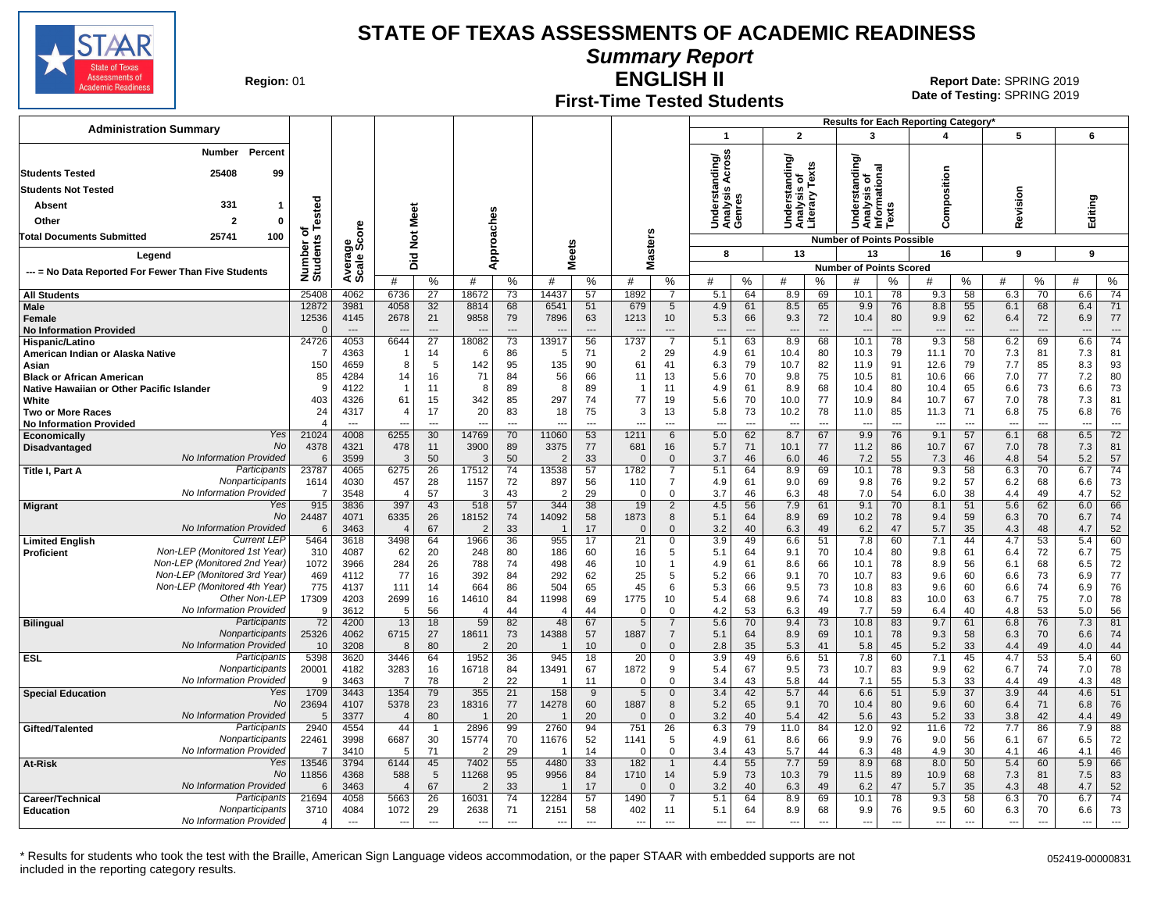

**Summary Report**

**Region: 01** 

#### **First-Time Tested Students ENGLISH II**

**Date of Testing:**  SPRING 2019 01 **Report Date:** SPRING 2019

|                                                              |                      |                                  |                          |                          |                         |                          |                         |                      |                             |                            |                                     |           |                                                 |                      |                                                |                                | Results for Each Reporting Category' |                                |                                 |                                |                          |                      |
|--------------------------------------------------------------|----------------------|----------------------------------|--------------------------|--------------------------|-------------------------|--------------------------|-------------------------|----------------------|-----------------------------|----------------------------|-------------------------------------|-----------|-------------------------------------------------|----------------------|------------------------------------------------|--------------------------------|--------------------------------------|--------------------------------|---------------------------------|--------------------------------|--------------------------|----------------------|
| <b>Administration Summary</b>                                |                      |                                  |                          |                          |                         |                          |                         |                      |                             |                            | $\mathbf{1}$                        |           | $\overline{2}$                                  |                      | 3                                              |                                |                                      |                                | 5                               |                                | 6                        |                      |
| Percent<br><b>Number</b>                                     |                      |                                  |                          |                          |                         |                          |                         |                      |                             |                            | ৯                                   |           |                                                 |                      | টা                                             |                                |                                      |                                |                                 |                                |                          |                      |
| <b>Students Tested</b><br>25408<br>99                        |                      |                                  |                          |                          |                         |                          |                         |                      |                             |                            | Across<br>듬                         |           | Understanding/<br>Analysis of<br>Literary Texts |                      | ᇢ                                              | त्त                            |                                      |                                |                                 |                                |                          |                      |
| <b>Students Not Tested</b>                                   |                      |                                  |                          |                          |                         |                          |                         |                      |                             |                            | Understanc<br>Analysis Ao<br>Genres |           |                                                 |                      | ō<br>ā                                         | 둥                              | omposition                           |                                |                                 |                                |                          |                      |
| 331<br>Absent<br>-1                                          |                      |                                  |                          |                          |                         |                          |                         |                      |                             |                            |                                     |           |                                                 |                      | Understar<br>Analysis o<br>Informatic<br>Texts |                                |                                      |                                | evision                         |                                | Editing                  |                      |
| Other<br>$\overline{\mathbf{z}}$<br>$\Omega$                 | ested                |                                  |                          | Meet                     |                         |                          |                         |                      |                             |                            |                                     |           |                                                 |                      |                                                |                                |                                      |                                |                                 |                                |                          |                      |
| <b>Total Documents Submitted</b><br>25741<br>100             | ō                    | ō                                |                          |                          |                         |                          |                         |                      | n                           |                            |                                     |           |                                                 |                      |                                                |                                | Ō                                    |                                | ≃                               |                                |                          |                      |
|                                                              | Number o<br>Students | ౚౣ౿ఀ                             | $\frac{5}{2}$            |                          | Approaches              |                          |                         |                      | aster                       |                            |                                     |           |                                                 |                      | <b>Number of Points Possible</b>               |                                |                                      |                                |                                 |                                |                          |                      |
| Legend                                                       |                      |                                  |                          | 흐<br>ه                   |                         |                          | <b>Meets</b>            |                      | ż                           |                            | 8                                   |           | 13                                              |                      | 13                                             |                                | 16                                   |                                | 9                               |                                | 9                        |                      |
| --- = No Data Reported For Fewer Than Five Students          |                      | Avera<br>Scale                   | #                        | %                        | #                       | %                        | #                       | ℅                    | #                           | $\%$                       | #                                   | %         | #                                               | %                    | <b>Number of Points Scored</b><br>#            | $\%$                           | #                                    | %                              | #                               | %                              | #                        | ℅                    |
| <b>All Students</b>                                          | 25408                | 4062                             | 6736                     | 27                       | 18672                   | 73                       | 14437                   | 57                   | 1892                        | $\overline{7}$             | 5.1                                 | 64        | 8.9                                             | 69                   | 10.1                                           | 78                             | 9.3                                  | 58                             | 6.3                             | 70                             | 6.6                      | 74                   |
| <b>Male</b>                                                  | 12872                | 3981                             | 4058                     | 32                       | 8814                    | 68                       | 6541                    | 51                   | 679                         | 5                          | 4.9                                 | 61        | 8.5                                             | 65                   | 9.9                                            | 76                             | 8.8                                  | 55                             | 6.1                             | 68                             | 6.4                      | 71                   |
| <b>Female</b>                                                | 12536                | 4145                             | 2678                     | 21                       | 9858                    | 79                       | 7896                    | 63                   | 1213                        | 10 <sup>1</sup>            | 5.3                                 | 66        | 9.3                                             | 72                   | 10.4                                           | 80                             | 9.9                                  | 62                             | 6.4                             | 72                             | 6.9                      | 77                   |
| <b>No Information Provided</b>                               | $\sqrt{ }$           | $\overline{\phantom{a}}$<br>4053 | 6644                     | $---$<br>$\overline{27}$ |                         | $\overline{a}$           |                         | 56                   |                             | ---                        | $\overline{\phantom{a}}$            | ÷÷<br>63  | $\overline{\phantom{a}}$                        | $\overline{a}$<br>68 |                                                | $\overline{\phantom{a}}$<br>78 | 9.3                                  | $\overline{\phantom{a}}$<br>58 | $\overline{\phantom{a}}$        | $\overline{\phantom{a}}$<br>69 | $\overline{\phantom{a}}$ | $\overline{74}$      |
| Hispanic/Latino<br>American Indian or Alaska Native          | 24726                | 4363                             |                          | 14                       | 18082<br>-6             | 73<br>86                 | 13917<br>5              | 71                   | 1737<br>2                   | $\overline{7}$<br>29       | 5.1<br>4.9                          | 61        | 8.9<br>10.4                                     | 80                   | 10.1<br>10.3                                   | 79                             | 11.1                                 | 70                             | 6.2<br>7.3                      | 81                             | 6.6<br>7.3               | 81                   |
| Asian                                                        | 150                  | 4659                             | 8                        | 5                        | 142                     | 95                       | 135                     | 90                   | 61                          | 41                         | 6.3                                 | 79        | 10.7                                            | 82                   | 11.9                                           | 91                             | 12.6                                 | 79                             | 7.7                             | 85                             | 8.3                      | 93                   |
| <b>Black or African American</b>                             | 85                   | 4284                             | 14                       | 16                       | 71                      | 84                       | 56                      | 66                   | 11                          | 13                         | 5.6                                 | 70        | 9.8                                             | 75                   | 10.5                                           | 81                             | 10.6                                 | 66                             | 7.0                             | 77                             | 7.2                      | 80                   |
| Native Hawaiian or Other Pacific Islander                    | .c                   | 4122                             | -1                       | 11                       | 8                       | 89                       | 8                       | 89                   |                             | 11                         | 4.9                                 | 61        | 8.9                                             | 68                   | 10.4                                           | 80                             | 10.4                                 | 65                             | 6.6                             | 73                             | 6.6                      | 73                   |
| White                                                        | 403<br>24            | 4326<br>4317                     | 61<br>$\overline{4}$     | 15                       | 342<br>20               | 85                       | 297                     | 74                   | 77<br>3                     | 19                         | 5.6                                 | 70        | 10.0                                            | 77                   | 10.9                                           | 84                             | 10.7                                 | 67<br>71                       | 7.0                             | 78<br>75                       | 7.3                      | 81                   |
| <b>Two or More Races</b><br><b>No Information Provided</b>   |                      | $\overline{\phantom{a}}$         | $\sim$                   | 17<br>$\overline{a}$     | $\overline{a}$          | 83<br>$\overline{a}$     | 18                      | 75<br>$\overline{a}$ | $\overline{\phantom{a}}$    | 13<br>$\overline{a}$       | 5.8<br>---                          | 73<br>--- | 10.2<br>$\overline{\phantom{a}}$                | 78<br>$\overline{a}$ | 11.0<br>$\overline{\phantom{a}}$               | 85<br>$\overline{\phantom{a}}$ | 11.3<br>$\overline{\phantom{a}}$     | $\overline{a}$                 | 6.8<br>$\overline{\phantom{a}}$ | $\overline{\phantom{a}}$       | 6.8<br>$\overline{a}$    | 76<br>$\overline{a}$ |
| Yes<br>Economically                                          | 21024                | 4008                             | 6255                     | 30                       | 14769                   | 70                       | 11060                   | 53                   | 1211                        | 6                          | 5.0                                 | 62        | 8.7                                             | 67                   | 9.9                                            | 76                             | 9.1                                  | 57                             | 6.1                             | 68                             | 6.5                      | 72                   |
| No<br>Disadvantaged                                          | 4378                 | 4321                             | 478                      | 11                       | 3900                    | 89                       | 3375                    | 77                   | 681                         | 16                         | 5.7                                 | 71        | 10.1                                            | 77                   | 11.2                                           | 86                             | 10.7                                 | 67                             | 7.0                             | 78                             | 7.3                      | 81                   |
| No Information Provided<br>Participants<br>Title I, Part A   | -6<br>23787          | 3599<br>4065                     | 3<br>6275                | 50<br>$\overline{26}$    | -3<br>17512             | 50<br>$\overline{74}$    | $\overline{2}$<br>13538 | 33<br>57             | 1782                        | $\Omega$<br>$\overline{7}$ | 3.7<br>5.1                          | 46<br>64  | 6.0<br>8.9                                      | 46<br>69             | 7.2<br>10.1                                    | 55<br>78                       | 7.3<br>9.3                           | 46<br>58                       | 4.8<br>6.3                      | 54<br>70                       | 5.2<br>6.7               | 57<br>74             |
| Nonparticipants                                              | 1614                 | 4030                             | 457                      | 28                       | 1157                    | 72                       | 897                     | 56                   | 110                         | $\overline{7}$             | 4.9                                 | 61        | 9.0                                             | 69                   | 9.8                                            | 76                             | 9.2                                  | 57                             | 6.2                             | 68                             | 6.6                      | 73                   |
| No Information Provided                                      | -7                   | 3548                             | 4                        | 57                       | -3                      | 43                       | 2                       | 29                   | $\Omega$                    | 0                          | 3.7                                 | 46        | 6.3                                             | 48                   | 7.0                                            | 54                             | 6.0                                  | 38                             | 4.4                             | 49                             | 4.7                      | 52                   |
| Yes<br><b>Migrant</b>                                        | 915                  | 3836                             | 397                      | 43                       | 518                     | 57                       | 344                     | 38                   | 19                          | $\overline{2}$             | 4.5                                 | 56        | 7.9                                             | 61                   | 9.1                                            | 70                             | 8.1                                  | 51                             | 5.6                             | 62                             | 6.0                      | 66                   |
| No<br>No Information Provided                                | 24487<br>6           | 4071<br>3463                     | 6335<br>$\overline{4}$   | 26<br>67                 | 18152<br>$\overline{2}$ | 74<br>33                 | 14092<br>$\overline{1}$ | 58<br>17             | 1873<br>$\Omega$            | 8<br>$\mathbf{0}$          | 5.1<br>3.2                          | 64<br>40  | 8.9<br>6.3                                      | 69<br>49             | 10.2<br>6.2                                    | 78<br>47                       | 9.4<br>5.7                           | 59<br>35                       | 6.3<br>4.3                      | 70<br>48                       | 6.7<br>4.7               | 74<br>52             |
| <b>Current LEF</b><br><b>Limited English</b>                 | 5464                 | 3618                             | 3498                     | 64                       | 1966                    | 36                       | 955                     | 17                   | 21                          | 0                          | 3.9                                 | 49        | 6.6                                             | 51                   | 7.8                                            | 60                             | 7.1                                  | 44                             | 4.7                             | 53                             | 5.4                      | 60                   |
| Non-LEP (Monitored 1st Year)<br><b>Proficient</b>            | 310                  | 4087                             | 62                       | 20                       | 248                     | 80                       | 186                     | 60                   | 16                          | 5                          | 5.1                                 | 64        | 9.1                                             | 70                   | 10.4                                           | 80                             | 9.8                                  | 61                             | 6.4                             | 72                             | 6.7                      | 75                   |
| Non-LEP (Monitored 2nd Year)                                 | 1072                 | 3966                             | 284                      | 26                       | 788                     | 74                       | 498                     | 46                   | 10                          | $\mathbf 1$                | 4.9                                 | 61        | 8.6                                             | 66                   | 10.1                                           | 78                             | 8.9                                  | 56                             | 6.1                             | 68                             | 6.5                      | 72                   |
| Non-LEP (Monitored 3rd Year)<br>Non-LEP (Monitored 4th Year) | 469                  | 4112                             | 77                       | 16                       | 392                     | 84                       | 292                     | 62                   | 25                          | 5                          | 5.2                                 | 66        | 9.1                                             | 70                   | 10.7                                           | 83                             | 9.6                                  | 60                             | 6.6                             | 73                             | 6.9                      | 77                   |
| Other Non-LEP                                                | 775<br>17309         | 4137<br>4203                     | 111<br>2699              | 14<br>16                 | 664<br>14610            | 86<br>84                 | 504<br>11998            | 65<br>69             | 45<br>1775                  | 6<br>10                    | 5.3<br>5.4                          | 66<br>68  | 9.5<br>9.6                                      | 73<br>74             | 10.8<br>10.8                                   | 83<br>83                       | 9.6<br>10.0                          | 60<br>63                       | 6.6<br>6.7                      | 74<br>75                       | 6.9<br>7.0               | 76<br>78             |
| No Information Provided                                      | ŗ                    | 3612                             | 5                        | 56                       |                         | 44                       | 4                       | 44                   | $\Omega$                    | $\mathbf 0$                | 4.2                                 | 53        | 6.3                                             | 49                   | 7.7                                            | 59                             | 6.4                                  | 40                             | 4.8                             | 53                             | 5.0                      | 56                   |
| Participants<br><b>Bilingual</b>                             | 72                   | 4200                             | 13                       | 18                       | 59                      | 82                       | 48                      | 67                   | $5\overline{)}$             | $\overline{7}$             | 5.6                                 | 70        | 9.4                                             | 73                   | 10.8                                           | 83                             | 9.7                                  | 61                             | 6.8                             | 76                             | 7.3                      | 81                   |
| Nonparticipants<br>No Information Provided                   | 25326                | 4062                             | 6715                     | 27                       | 18611                   | 73                       | 14388                   | 57                   | 1887                        | $\overline{7}$             | 5.1                                 | 64        | 8.9                                             | 69                   | 10.1                                           | 78                             | 9.3                                  | 58                             | 6.3                             | 70                             | 6.6                      | 74                   |
| Participants<br><b>ESL</b>                                   | 10<br>5398           | 3208<br>3620                     | 8<br>3446                | 80<br>64                 | $\overline{2}$<br>1952  | 20<br>$\overline{36}$    | 945                     | 10<br>18             | $\Omega$<br>$\overline{20}$ | $\mathbf 0$<br>$\Omega$    | 2.8<br>3.9                          | 35<br>49  | 5.3<br>6.6                                      | 41<br>51             | 5.8<br>7.8                                     | 45<br>60                       | 5.2<br>7.1                           | 33<br>45                       | 4.4<br>4.7                      | 49<br>53                       | 4.0<br>5.4               | 44<br>60             |
| Nonparticipants                                              | 20001                | 4182                             | 3283                     | 16                       | 16718                   | 84                       | 13491                   | 67                   | 1872                        | 9                          | 5.4                                 | 67        | 9.5                                             | 73                   | 10.7                                           | 83                             | 9.9                                  | 62                             | 6.7                             | 74                             | 7.0                      | 78                   |
| No Information Provided                                      | ç                    | 3463                             | $\overline{7}$           | 78                       | $\mathcal{P}$           | 22                       |                         | 11                   | $\Omega$                    | $\Omega$                   | 3.4                                 | 43        | 5.8                                             | 44                   | 7.1                                            | 55                             | 5.3                                  | 33                             | 4.4                             | 49                             | 4.3                      | 48                   |
| Yes<br><b>Special Education</b><br><b>No</b>                 | 1709                 | 3443                             | 1354                     | 79                       | 355                     | 21                       | 158                     | 9                    | 5                           | $\mathbf 0$                | 3.4                                 | 42        | 5.7                                             | 44                   | 6.6                                            | 51                             | 5.9                                  | 37                             | 3.9                             | 44                             | 4.6                      | 51                   |
| No Information Provided                                      | 23694<br>-5          | 4107<br>3377                     | 5378<br>$\overline{4}$   | 23<br>80                 | 18316                   | 77<br>20                 | 14278                   | 60<br>20             | 1887<br>$\Omega$            | 8<br>$\mathbf{0}$          | 5.2<br>3.2                          | 65<br>40  | 9.1<br>5.4                                      | 70<br>42             | 10.4<br>5.6                                    | 80<br>43                       | 9.6<br>5.2                           | 60<br>33                       | 6.4<br>3.8                      | 71<br>42                       | 6.8<br>4.4               | 76<br>49             |
| Participants<br>Gifted/Talented                              | 2940                 | 4554                             | 44                       | $\mathbf{1}$             | 2896                    | 99                       | 2760                    | 94                   | 751                         | 26                         | 6.3                                 | 79        | 11.0                                            | 84                   | 12.0                                           | 92                             | 11.6                                 | 72                             | 7.7                             | 86                             | 7.9                      | 88                   |
| Nonparticipants                                              | 22461                | 3998                             | 6687                     | 30                       | 15774                   | 70                       | 11676                   | 52                   | 1141                        | 5                          | 4.9                                 | 61        | 8.6                                             | 66                   | 9.9                                            | 76                             | 9.0                                  | 56                             | 6.1                             | 67                             | 6.5                      | 72                   |
| No Information Provided                                      | -7                   | 3410                             | -5                       | 71                       | - 2                     | 29                       | -1                      | 14                   | $\Omega$                    | 0                          | 3.4                                 | 43        | 5.7                                             | 44                   | 6.3                                            | 48                             | 4.9                                  | 30                             | 4.1                             | 46                             | 4.1                      | 46                   |
| Yes<br>At-Risk<br>No                                         | 13546<br>11856       | 3794<br>4368                     | 6144<br>588              | 45<br>5                  | 7402<br>11268           | 55<br>95                 | 4480<br>9956            | 33<br>84             | 182<br>1710                 | $\overline{1}$<br>14       | 4.4<br>5.9                          | 55<br>73  | 7.7<br>10.3                                     | 59<br>79             | 8.9<br>11.5                                    | 68<br>89                       | 8.0<br>10.9                          | 50<br>68                       | 5.4<br>7.3                      | 60<br>81                       | 5.9<br>7.5               | 66<br>83             |
| No Information Provided                                      |                      | 3463                             |                          | 67                       | $\overline{2}$          | 33                       |                         | 17                   |                             | $\Omega$                   | 3.2                                 | 40        | 6.3                                             | 49                   | 6.2                                            | 47                             | 5.7                                  | 35                             | 4.3                             | 48                             | 4.7                      | 52                   |
| Participants<br>Career/Technical                             | 21694                | 4058                             | 5663                     | 26                       | 16031                   | 74                       | 12284                   | 57                   | 1490                        | $\overline{7}$             | 5.1                                 | 64        | 8.9                                             | 69                   | 10.1                                           | 78                             | 9.3                                  | 58                             | 6.3                             | 70                             | 6.7                      | 74                   |
| Nonparticipants<br><b>Education</b>                          | 3710                 | 4084                             | 1072                     | 29                       | 2638                    | 71                       | 2151                    | 58                   | 402                         | 11                         | 5.1                                 | 64        | 8.9                                             | 68                   | 9.9                                            | 76                             | 9.5                                  | 60                             | 6.3                             | 70                             | 6.6                      | 73                   |
| No Information Provided                                      | $\sqrt{2}$           | $-$                              | $\overline{\phantom{a}}$ | $---$                    | $-$                     | $\overline{\phantom{a}}$ | ---                     | $---$                | $\overline{\phantom{a}}$    | $\overline{a}$             | $\overline{a}$                      | ---       | ---                                             | ---                  | $\overline{\phantom{a}}$                       | $\overline{\phantom{a}}$       | $\overline{a}$                       | $\overline{\phantom{a}}$       | $\overline{a}$                  | $\overline{\phantom{a}}$       | $\overline{a}$           |                      |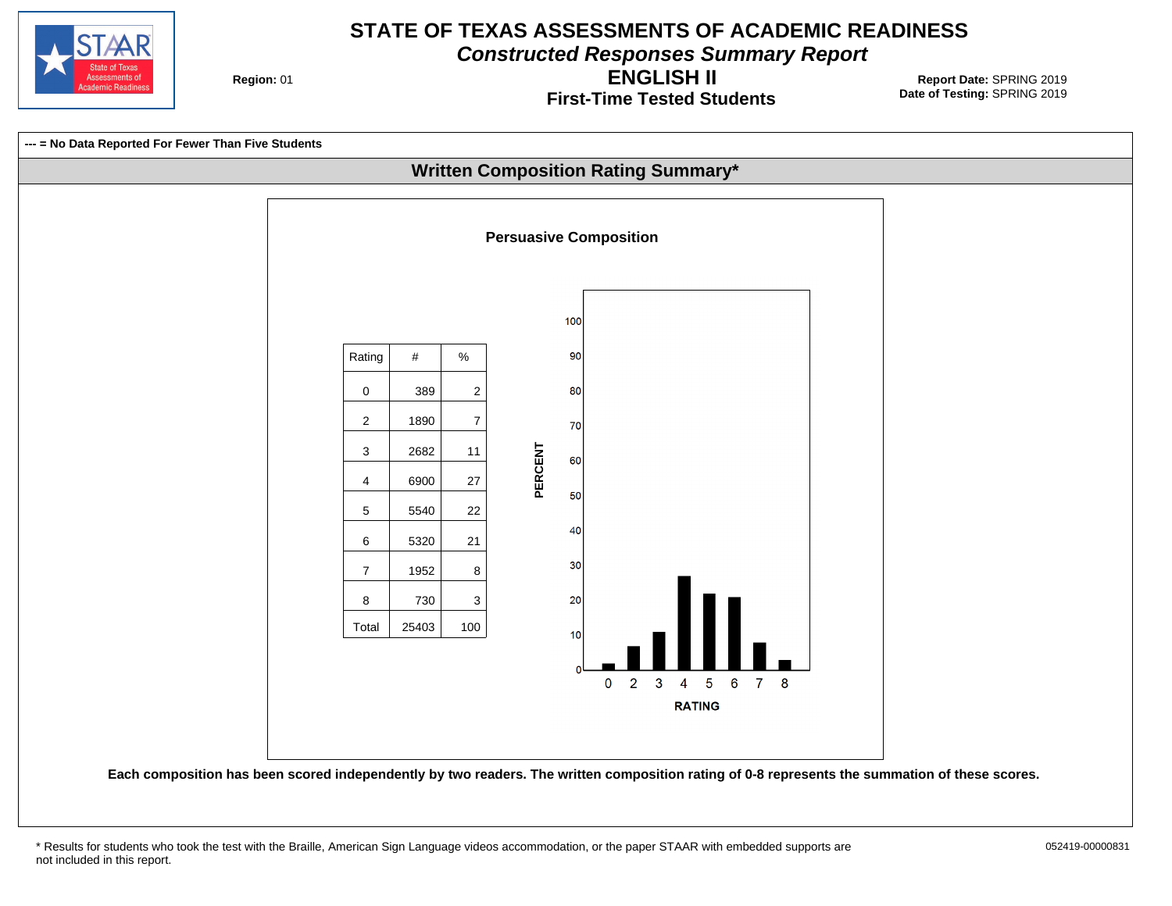

**Constructed Responses Summary Report**

**Region: 01** 

**First-Time Tested Students ENGLISH II**

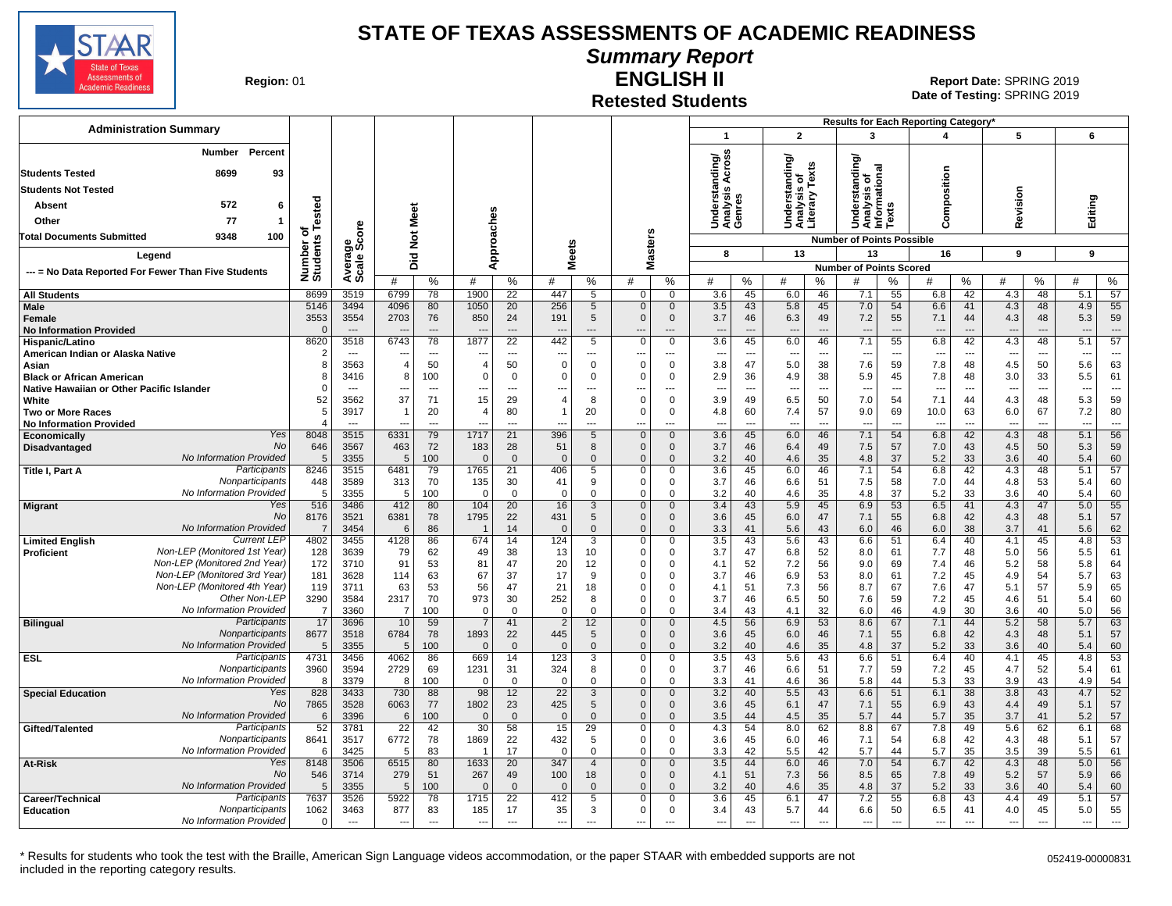

# **Summary Report**

**Region: 01** 

## **Retested Students ENGLISH II**

**Date of Testing:**  SPRING 2019 01 **Report Date:** SPRING 2019

|                                                                       |                       |                |                          |                          |                                  |                      |                          |                               |                          |                            |                               |                          |                                 |                |                                  |                                | Results for Each Reporting Category' |                          |                                 |                |            |                                |
|-----------------------------------------------------------------------|-----------------------|----------------|--------------------------|--------------------------|----------------------------------|----------------------|--------------------------|-------------------------------|--------------------------|----------------------------|-------------------------------|--------------------------|---------------------------------|----------------|----------------------------------|--------------------------------|--------------------------------------|--------------------------|---------------------------------|----------------|------------|--------------------------------|
| <b>Administration Summary</b>                                         |                       |                |                          |                          |                                  |                      |                          |                               |                          |                            | $\overline{1}$                |                          | $\overline{2}$                  |                | 3                                |                                | 4                                    |                          | 5                               |                | 6          |                                |
| Percent<br><b>Number</b><br><b>Students Tested</b><br>8699<br>93      |                       |                |                          |                          |                                  |                      |                          |                               |                          |                            | tanding/<br>Is Across         |                          | tanding/                        |                | tanding                          |                                |                                      |                          |                                 |                |            |                                |
|                                                                       |                       |                |                          |                          |                                  |                      |                          |                               |                          |                            |                               |                          | ৳                               | Texts          | $\circ$                          | na<br>S                        | omposition                           |                          |                                 |                |            |                                |
| <b>Students Not Tested</b>                                            |                       |                |                          |                          |                                  |                      |                          |                               |                          |                            |                               |                          | <u>នេះ</u><br>ខេត្ត             |                | ērst                             | Analysis<br>nformatic<br>Texts |                                      |                          | Revision                        |                |            |                                |
| 572<br>6<br>Absent                                                    | Tested                |                |                          |                          |                                  |                      |                          |                               |                          |                            | Underst<br>Analysis<br>Genres |                          |                                 |                |                                  |                                |                                      |                          |                                 |                | Editing    |                                |
| 77<br>Other                                                           |                       |                |                          | Meet                     |                                  |                      |                          |                               |                          |                            |                               |                          | <b>BEE</b><br>SEE               |                | 몯<br>うえを                         |                                | ō                                    |                          |                                 |                |            |                                |
| 9348<br>100<br><b>Total Documents Submitted</b>                       | ठ                     | ge<br>Score    |                          | $\frac{5}{2}$            |                                  |                      |                          |                               |                          | 'n                         |                               |                          |                                 |                | <b>Number of Points Possible</b> |                                |                                      |                          |                                 |                |            |                                |
| Legend                                                                | Number of<br>Students |                |                          | 흐                        |                                  | Approaches           | <b>Meets</b>             |                               |                          | Master:                    | 8                             |                          | 13                              |                | 13                               |                                | 16                                   |                          | 9                               |                | 9          |                                |
|                                                                       |                       | Avera<br>Scale |                          | $\Omega$                 |                                  |                      |                          |                               |                          |                            |                               |                          |                                 |                | <b>Number of Points Scored</b>   |                                |                                      |                          |                                 |                |            |                                |
| --- = No Data Reported For Fewer Than Five Students                   |                       |                | #                        | %                        | #                                | %                    | #                        | %                             | #                        | %                          | #                             | %                        | #                               | %              | #                                | ℅                              | #                                    | %                        | #                               | %              | #          | ℅                              |
| <b>All Students</b>                                                   | 8699                  | 3519           | 6799                     | 78                       | 1900                             | 22                   | 447                      | 5                             | $\Omega$                 | $\mathbf{0}$               | 3.6                           | 45                       | 6.0                             | 46             | 7.1                              | 55                             | 6.8                                  | 42                       | 4.3                             | 48             | 5.1        | 57                             |
| <b>Male</b>                                                           | 5146                  | 3494           | 4096                     | 80                       | 1050                             | 20                   | 256                      | 5                             | $\mathbf{0}$             | $\overline{0}$             | 3.5                           | 43                       | 5.8                             | 45             | 7.0                              | 54                             | 6.6                                  | 41                       | 4.3                             | 48             | 4.9        | 55                             |
| <b>Female</b>                                                         | 3553                  | 3554           | 2703                     | 76                       | 850                              | 24                   | 191                      | 5                             | $\Omega$                 | $\overline{0}$             | 3.7                           | 46                       | 6.3                             | 49             | 7.2                              | 55                             | 7.1                                  | 44                       | 4.3                             | 48             | 5.3        | 59                             |
| <b>No Information Provided</b>                                        | 8620                  | $---$<br>3518  | 6743                     | ---<br>78                | $\overline{\phantom{a}}$<br>1877 | $---$<br>22          | 442                      | 5                             | ---<br>$\Omega$          | ---<br>$\mathbf 0$         | $---$<br>3.6                  | $\overline{a}$<br>45     | $\overline{\phantom{a}}$<br>6.0 | $---$<br>46    | $\overline{\phantom{a}}$<br>7.1  | $\overline{\phantom{a}}$<br>55 | $\overline{\phantom{a}}$<br>6.8      | $\overline{a}$<br>42     | $\overline{\phantom{a}}$<br>4.3 | 48             | ---<br>5.1 | $\overline{\phantom{a}}$<br>57 |
| Hispanic/Latino<br>American Indian or Alaska Native                   |                       | $---$          | $\overline{\phantom{a}}$ | ---                      | ---                              | $---$                | ---                      | ---                           | ---                      | ---                        | $\sim$                        | $\overline{\phantom{a}}$ | $---$                           | ---            | $\overline{\phantom{a}}$         | $\overline{\phantom{a}}$       | $\overline{\phantom{a}}$             | $\overline{\phantom{a}}$ | ---                             | ---            | ---        | $---$                          |
| Asian                                                                 | 8                     | 3563           | $\overline{4}$           | 50                       | $\overline{4}$                   | 50                   | $\mathbf 0$              | $\mathbf 0$                   | $\Omega$                 | $\overline{0}$             | 3.8                           | 47                       | 5.0                             | 38             | 7.6                              | 59                             | 7.8                                  | 48                       | 4.5                             | 50             | 5.6        | 63                             |
| <b>Black or African American</b>                                      | 8                     | 3416           | 8                        | 100                      | $\Omega$                         | $\mathbf 0$          | $\Omega$                 | $\mathbf 0$                   | $\Omega$                 | $\mathbf 0$                | 2.9                           | 36                       | 4.9                             | 38             | 5.9                              | 45                             | 7.8                                  | 48                       | 3.0                             | 33             | 5.5        | 61                             |
| Native Hawaiian or Other Pacific Islander                             | $\Omega$              | $- - -$        | $\overline{\phantom{a}}$ | $\overline{\phantom{a}}$ | ---                              | $---$                | ---                      | $---$                         | ---                      | ---                        | $-$                           | $-$                      | $\overline{\phantom{a}}$        | $\overline{a}$ | ---                              | $\overline{\phantom{a}}$       | $---$                                | $\overline{\phantom{a}}$ | $\overline{\phantom{a}}$        | $\overline{a}$ | ---        | $\ddotsc$                      |
| White                                                                 | 52                    | 3562           | 37                       | 71                       | 15                               | 29                   | $\overline{4}$           | 8                             | $\Omega$                 | $\overline{0}$             | 3.9                           | 49                       | 6.5                             | 50             | 7.0                              | 54                             | 7.1                                  | 44                       | 4.3                             | 48             | 5.3        | 59<br>80                       |
| <b>Two or More Races</b><br><b>No Information Provided</b>            | 5                     | 3917<br>$\sim$ | -1                       | 20                       | $\overline{4}$                   | 80<br>$\overline{a}$ | $\mathbf{1}$             | 20<br>$\sim$                  | $\mathbf 0$              | $\mathbf 0$<br>---         | 4.8                           | 60<br>$\overline{a}$     | 7.4<br>$\overline{\phantom{a}}$ | 57             | 9.0                              | 69<br>$\sim$                   | 10.0                                 | 63<br>$\overline{a}$     | 6.0                             | 67             | 7.2<br>--- | $\overline{a}$                 |
| Yes<br>Economically                                                   | 8048                  | 3515           | 6331                     | 79                       | 1717                             | 21                   | 396                      | 5                             | $\mathbf{0}$             | $\mathbf 0$                | 3.6                           | 45                       | 6.0                             | 46             | 7.1                              | 54                             | 6.8                                  | 42                       | 4.3                             | 48             | 5.1        | 56                             |
| <b>No</b><br>Disadvantaged                                            | 646                   | 3567           | 463                      | 72                       | 183                              | 28                   | 51                       | 8                             | $\Omega$                 | $\mathbf 0$                | 3.7                           | 46                       | 6.4                             | 49             | 7.5                              | 57                             | 7.0                                  | 43                       | 4.5                             | 50             | 5.3        | 59                             |
| No Information Provided                                               | -5                    | 3355           | -5                       | 100                      | $\Omega$                         | $\Omega$             | $\Omega$                 | $\Omega$                      | $\Omega$                 | $\mathbf{0}$               | 3.2                           | 40                       | 4.6                             | 35             | 4.8                              | 37                             | 5.2                                  | 33                       | 3.6                             | 40             | 5.4        | 60                             |
| Participants<br>Title I, Part A<br>Nonparticipants                    | 8246                  | 3515           | 6481                     | 79                       | 1765                             | 21<br>30             | 406<br>41                | 5<br>9                        | 0<br>$\Omega$            | 0<br>$\mathbf 0$           | 3.6                           | 45<br>46                 | 6.0                             | 46<br>51       | 7.1                              | 54<br>58                       | 6.8                                  | 42<br>44                 | 4.3                             | 48             | 5.1        | 57                             |
| No Information Provided                                               | 448<br>-5             | 3589<br>3355   | 313<br>5                 | 70<br>100                | 135<br>$\mathbf 0$               | $\mathbf 0$          | $\mathbf 0$              | $\mathbf 0$                   | $\mathbf 0$              | $\mathbf 0$                | 3.7<br>3.2                    | 40                       | 6.6<br>4.6                      | 35             | 7.5<br>4.8                       | 37                             | 7.0<br>5.2                           | 33                       | 4.8<br>3.6                      | 53<br>40       | 5.4<br>5.4 | 60<br>60                       |
| Yes<br><b>Migrant</b>                                                 | 516                   | 3486           | 412                      | 80                       | 104                              | 20                   | 16                       | $\mathbf{3}$                  | $\Omega$                 | $\mathbf 0$                | 3.4                           | 43                       | 5.9                             | 45             | 6.9                              | 53                             | 6.5                                  | 41                       | 4.3                             | 47             | 5.0        | 55                             |
| <b>No</b>                                                             | 8176                  | 3521           | 6381                     | 78                       | 1795                             | 22                   | 431                      | 5                             | $\mathbf{0}$             | $\mathbf 0$                | 3.6                           | 45                       | 6.0                             | 47             | 7.1                              | 55                             | 6.8                                  | 42                       | 4.3                             | 48             | 5.1        | 57                             |
| No Information Provided                                               | $\overline{7}$        | 3454           | 6                        | 86                       | $\overline{1}$                   | 14                   | $\mathbf 0$              | $\mathbf 0$                   | $\mathbf 0$              | $\mathbf 0$                | 3.3                           | 41                       | 5.6                             | 43             | 6.0                              | 46                             | 6.0                                  | 38                       | 3.7                             | 41             | 5.6        | 62                             |
| Current LEF<br><b>Limited English</b><br>Non-LEP (Monitored 1st Year) | 4802<br>128           | 3455<br>3639   | 4128                     | 86                       | 674                              | 14<br>38             | 124<br>13                | 3<br>10                       | $\mathbf 0$<br>$\Omega$  | $\mathbf 0$                | 3.5<br>3.7                    | 43<br>47                 | 5.6                             | 43<br>52       | 6.6<br>8.0                       | 51<br>61                       | 6.4<br>7.7                           | 40<br>48                 | 4.1                             | 45             | 4.8        | 53<br>61                       |
| Proficient<br>Non-LEP (Monitored 2nd Year)                            | 172                   | 3710           | 79<br>91                 | 62<br>53                 | 49<br>81                         | 47                   | 20                       | 12                            | $\Omega$                 | 0<br>$\mathbf 0$           | 4.1                           | 52                       | 6.8<br>7.2                      | 56             | 9.0                              | 69                             | 7.4                                  | 46                       | 5.0<br>5.2                      | 56<br>58       | 5.5<br>5.8 | 64                             |
| Non-LEP (Monitored 3rd Year)                                          | 181                   | 3628           | 114                      | 63                       | 67                               | 37                   | 17                       | 9                             | $\Omega$                 | $\mathbf 0$                | 3.7                           | 46                       | 6.9                             | 53             | 8.0                              | 61                             | 7.2                                  | 45                       | 4.9                             | 54             | 5.7        | 63                             |
| Non-LEP (Monitored 4th Year)                                          | 119                   | 3711           | 63                       | 53                       | 56                               | 47                   | 21                       | 18                            | $\Omega$                 | $\mathbf 0$                | 4.1                           | 51                       | 7.3                             | 56             | 8.7                              | 67                             | 7.6                                  | 47                       | 5.1                             | 57             | 5.9        | 65                             |
| Other Non-LEP                                                         | 3290                  | 3584           | 2317                     | 70                       | 973                              | 30                   | 252                      | 8                             | $\Omega$                 | $\mathbf 0$                | 3.7                           | 46                       | 6.5                             | 50             | 7.6                              | 59                             | 7.2                                  | 45                       | 4.6                             | 51             | 5.4        | 60                             |
| No Information Provided<br>Participants                               | -7<br>17              | 3360<br>3696   | $\overline{7}$<br>10     | 100<br>59                | $\Omega$                         | $\mathbf 0$<br>41    | 0<br>$\overline{2}$      | $\mathbf 0$                   | $\Omega$<br>$\mathbf{0}$ | $\mathbf 0$                | 3.4<br>4.5                    | 43                       | 4.1<br>6.9                      | 32             | 6.0                              | 46                             | 4.9<br>7.1                           | 30<br>44                 | 3.6<br>5.2                      | 40             | 5.0        | 56<br>63                       |
| <b>Bilingual</b><br>Nonparticipants                                   | 8677                  | 3518           | 6784                     | 78                       | 7<br>1893                        | 22                   | 445                      | 12<br>5                       | $\Omega$                 | $\mathbf 0$<br>$\mathbf 0$ | 3.6                           | 56<br>45                 | 6.0                             | 53<br>46       | 8.6<br>7.1                       | 67<br>55                       | 6.8                                  | 42                       | 4.3                             | 58<br>48       | 5.7<br>5.1 | 57                             |
| No Information Provided                                               | 5                     | 3355           | 5                        | 100                      | $\overline{0}$                   | $\mathbf{0}$         | $\Omega$                 | $\Omega$                      | $\Omega$                 | $\mathbf 0$                | 3.2                           | 40                       | 4.6                             | 35             | 4.8                              | 37                             | 5.2                                  | 33                       | 3.6                             | 40             | 5.4        | 60                             |
| <b>ESL</b><br>Participants                                            | 4731                  | 3456           | 4062                     | 86                       | 669                              | 14                   | 123                      | 3                             | $\Omega$                 | $\mathbf 0$                | 3.5                           | 43                       | 5.6                             | 43             | 6.6                              | 51                             | 6.4                                  | 40                       | 4.1                             | 45             | 4.8        | 53                             |
| Nonparticipants                                                       | 3960                  | 3594           | 2729                     | 69                       | 1231                             | 31                   | 324                      | 8                             | 0                        | 0                          | 3.7                           | 46                       | 6.6                             | 51             | 7.7                              | 59                             | 7.2                                  | 45                       | 4.7                             | 52             | 5.4        | 61                             |
| No Information Provided<br>Yes<br><b>Special Education</b>            | -8<br>828             | 3379<br>3433   | 8<br>730                 | 100<br>88                | - 0<br>98                        | $\Omega$<br>12       | $\Omega$<br>22           | $\Omega$<br>3                 | $\Omega$<br>$\Omega$     | $\Omega$<br>$\mathbf 0$    | 3.3<br>3.2                    | 41<br>40                 | 4.6<br>5.5                      | 36<br>43       | 5.8<br>6.6                       | 44<br>51                       | 5.3<br>6.1                           | 33<br>38                 | 3.9<br>3.8                      | 43<br>43       | 4.9<br>4.7 | 54<br>52                       |
| No                                                                    | 7865                  | 3528           | 6063                     | 77                       | 1802                             | 23                   | 425                      | 5                             | $\mathbf 0$              | $\mathbf 0$                | 3.6                           | 45                       | 6.1                             | 47             | 7.1                              | 55                             | 6.9                                  | 43                       | 4.4                             | 49             | 5.1        | 57                             |
| No Information Provided                                               | 6                     | 3396           | 6                        | 100                      | $\Omega$                         | $\mathbf{0}$         | $\Omega$                 | $\Omega$                      | $\Omega$                 | $\mathbf{0}$               | 3.5                           | 44                       | 4.5                             | 35             | 5.7                              | 44                             | 5.7                                  | 35                       | 3.7                             | 41             | 5.2        | 57                             |
| Participants<br>Gifted/Talented                                       | 52                    | 3781           | 22                       | 42                       | 30                               | 58                   | 15                       | 29                            | 0                        | $\mathbf 0$                | 4.3                           | 54                       | 8.0                             | 62             | 8.8                              | 67                             | 7.8                                  | 49                       | 5.6                             | 62             | 6.1        | 68                             |
| Nonparticipants                                                       | 8641                  | 3517           | 6772                     | 78                       | 1869                             | 22                   | 432                      | 5                             | $\mathbf 0$              | $\mathbf 0$                | 3.6                           | 45                       | 6.0                             | 46             | 7.1                              | 54                             | 6.8                                  | 42                       | 4.3                             | 48             | 5.1        | 57                             |
| No Information Provided<br>Yes                                        | 6<br>8148             | 3425<br>3506   | 5<br>6515                | 83<br>80                 | -1<br>1633                       | 17<br>20             | $\mathbf 0$<br>347       | $\mathbf 0$<br>$\overline{4}$ | $\Omega$<br>$\mathbf 0$  | $\mathbf 0$<br>$\mathbf 0$ | 3.3<br>3.5                    | 42<br>44                 | 5.5<br>6.0                      | 42             | 5.7<br>7.0                       | 44<br>54                       | 5.7<br>6.7                           | 35<br>42                 | 3.5<br>4.3                      | 39<br>48       | 5.5        | 61<br>56                       |
| At-Risk<br>No                                                         | 546                   | 3714           | 279                      | 51                       | 267                              | 49                   | 100                      | 18                            | $\mathbf{0}$             | $\mathbf 0$                | 4.1                           | 51                       | 7.3                             | 46<br>56       | 8.5                              | 65                             | 7.8                                  | 49                       | 5.2                             | 57             | 5.0<br>5.9 | 66                             |
| No Information Provided                                               | -5                    | 3355           | 5                        | 100                      | $\Omega$                         | $\mathbf{0}$         | $\Omega$                 | $\Omega$                      | $\Omega$                 | $\mathbf{0}$               | 3.2                           | 40                       | 4.6                             | 35             | 4.8                              | 37                             | 5.2                                  | 33                       | 3.6                             | 40             | 5.4        | 60                             |
| Participants<br>Career/Technical                                      | 7637                  | 3526           | 5922                     | 78                       | 1715                             | 22                   | 412                      | 5                             | $\Omega$                 | $\mathbf 0$                | 3.6                           | 45                       | 6.1                             | 47             | 7.2                              | 55                             | 6.8                                  | 43                       | 4.4                             | 49             | 5.1        | 57                             |
| Nonparticipants<br><b>Education</b>                                   | 1062                  | 3463           | 877                      | 83                       | 185                              | 17                   | 35                       | 3                             | $\mathbf 0$              | $\mathbf 0$                | 3.4                           | 43                       | 5.7                             | 44             | 6.6                              | 50                             | 6.5                                  | 41                       | 4.0                             | 45             | 5.0        | 55                             |
| No Information Provided                                               | $\mathbf 0$           | $---$          | $\overline{a}$           | $\overline{a}$           | $---$                            | $\overline{a}$       | $\overline{\phantom{a}}$ | $\overline{a}$                | ---                      | $\overline{a}$             | $-$                           | $\overline{a}$           | $\overline{a}$                  | $\overline{a}$ | $\overline{\phantom{a}}$         | $\overline{a}$                 | $\overline{a}$                       | $\overline{a}$           | $\overline{a}$                  | $\sim$         | ---        | $\ddotsc$                      |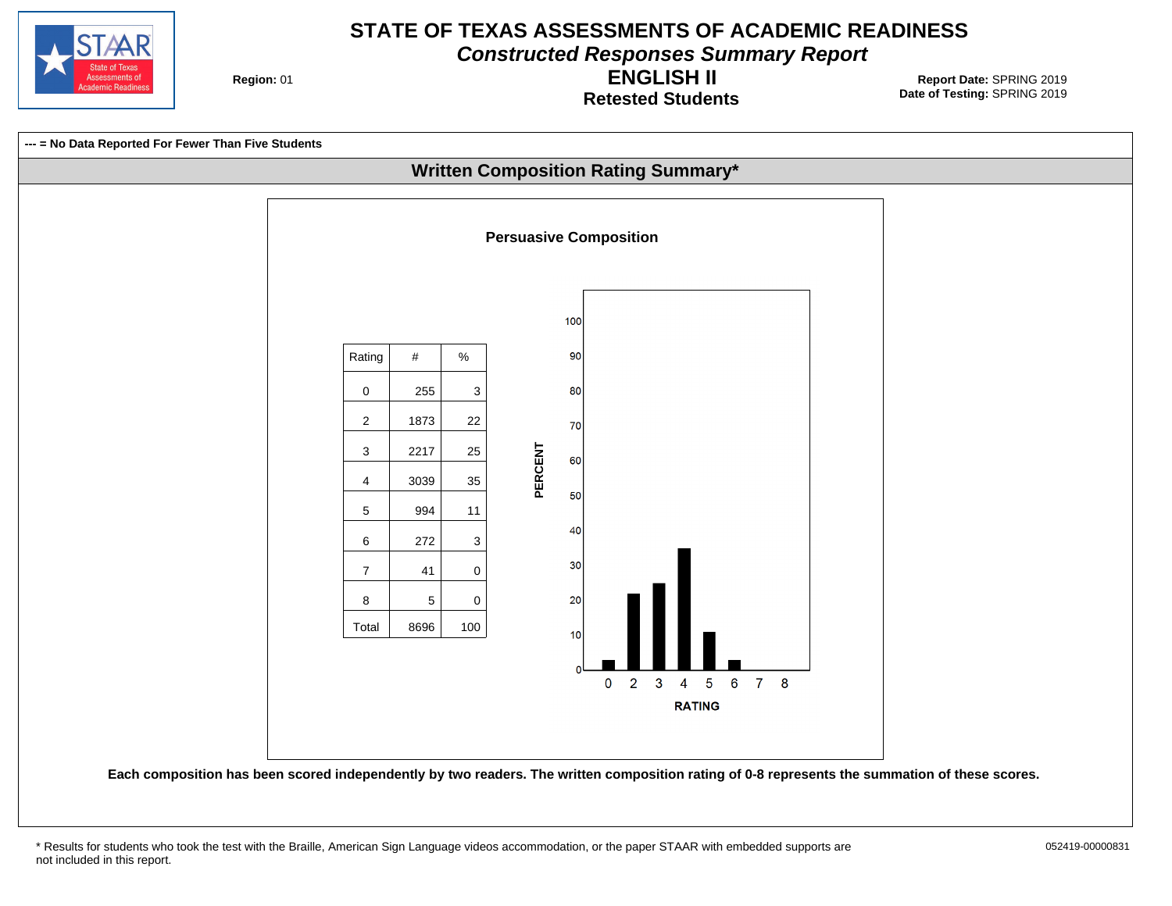

**Constructed Responses Summary Report**

**Region: 01** 

**Retested Students ENGLISH II**

**Date of Testing:**  SPRING 2019 01 **Report Date:** SPRING 2019

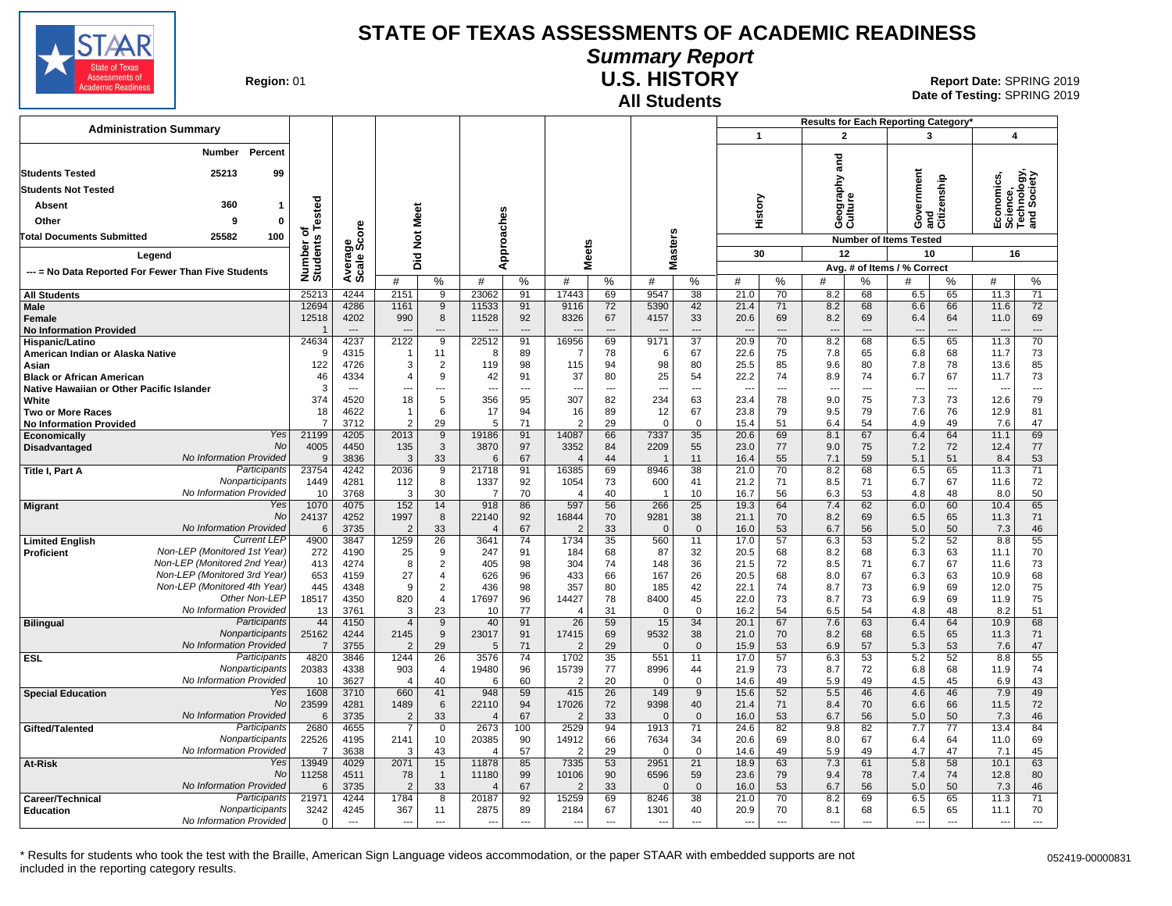

# **Summary Report**

**Region: 01** 

## **All Students U.S. HISTORY**

**Date of Testing:**  SPRING 2019 01 **Report Date:** SPRING 2019

|                                                            |                                                              |                         |                          |                        |                                  |                                   |                       |                         |                |                          |                      |                | Results for Each Reporting Category' |                    |                |                                             |                |                                                      |                          |
|------------------------------------------------------------|--------------------------------------------------------------|-------------------------|--------------------------|------------------------|----------------------------------|-----------------------------------|-----------------------|-------------------------|----------------|--------------------------|----------------------|----------------|--------------------------------------|--------------------|----------------|---------------------------------------------|----------------|------------------------------------------------------|--------------------------|
| <b>Administration Summary</b>                              |                                                              |                         |                          |                        |                                  |                                   |                       |                         |                |                          |                      | $\mathbf{1}$   |                                      | $\overline{2}$     |                | 3                                           |                | 4                                                    |                          |
| Percent<br>Number<br><b>Students Tested</b><br>25213<br>99 |                                                              |                         |                          |                        |                                  |                                   |                       |                         |                |                          |                      |                |                                      | and<br>ξq          |                | ernment<br>Government<br>and<br>Citizenship |                | Economics,<br>Science,<br>Technology,<br>and Society |                          |
| <b>Students Not Tested</b>                                 |                                                              |                         |                          |                        |                                  |                                   |                       |                         |                |                          |                      |                |                                      |                    |                |                                             |                |                                                      |                          |
| Absent                                                     | 360<br>$\mathbf{1}$                                          | Tested                  |                          |                        |                                  |                                   |                       |                         |                |                          |                      | History        |                                      | Geograp<br>Culture |                |                                             |                |                                                      |                          |
| Other                                                      | 0<br>9                                                       |                         |                          |                        |                                  |                                   |                       |                         |                |                          |                      |                |                                      |                    |                |                                             |                |                                                      |                          |
| <b>Total Documents Submitted</b>                           | 25582<br>100                                                 | ৳                       |                          | Not Meet               |                                  |                                   |                       |                         |                | Masters                  |                      |                |                                      |                    |                | <b>Number of Items Tested</b>               |                |                                                      |                          |
|                                                            |                                                              |                         | ige<br>Score             |                        |                                  |                                   | pproaches             | ŵ                       |                |                          |                      | 30             |                                      | 12                 |                | 10                                          |                | 16                                                   |                          |
| Legend                                                     |                                                              |                         |                          | Did                    |                                  |                                   | ⋖                     | Meet                    |                |                          |                      |                |                                      |                    |                | Avg. # of Items / % Correct                 |                |                                                      |                          |
|                                                            | --- = No Data Reported For Fewer Than Five Students          | Number or<br>Students   | Average                  | #                      | %                                | #                                 | %                     | #                       | %              | #                        | %                    | #              | %                                    | #                  | ℅              | #                                           | $\%$           | #                                                    | %                        |
| <b>All Students</b>                                        |                                                              | 25213                   | 4244                     | 2151                   | 9                                | 23062                             | 91                    | 17443                   | 69             | 9547                     | 38                   | 21.0           | $\overline{70}$                      | 8.2                | 68             | 6.5                                         | 65             | 11.3                                                 | 71                       |
| Male                                                       |                                                              | 12694                   | 4286                     | 1161                   | 9                                | 11533                             | 91                    | 9116                    | 72             | 5390                     | 42                   | 21.4           | 71                                   | 8.2                | 68             | 6.6                                         | 66             | 11.6                                                 | 72                       |
| <b>Female</b>                                              |                                                              | 12518                   | 4202                     | 990                    | 8                                | 11528                             | 92                    | 8326                    | 67             | 4157                     | 33                   | 20.6           | 69                                   | 8.2                | 69             | 6.4                                         | 64             | 11.0                                                 | 69                       |
| <b>No Information Provided</b>                             |                                                              | $\overline{1}$          | $\cdots$                 | $\overline{a}$         | $---$                            | ---                               | $---$                 | $\overline{a}$          | $\overline{a}$ |                          | ---                  |                | $---$                                | $\overline{a}$     | $\overline{a}$ | $\overline{\phantom{a}}$                    | $---$          | $\overline{a}$                                       | $\overline{\phantom{a}}$ |
| Hispanic/Latino                                            |                                                              | 24634<br>9              | 4237                     | 2122<br>-1             | $\overline{9}$                   | 22512<br>-8                       | 91                    | 16956                   | 69             | 9171                     | $\overline{37}$      | 20.9           | 70                                   | 8.2                | 68             | 6.5                                         | 65             | 11.3                                                 | 70                       |
| American Indian or Alaska Native<br>Asian                  |                                                              | 122                     | 4315<br>4726             | 3                      | 11<br>$\overline{2}$             | 119                               | 89<br>98              | $\overline{7}$<br>115   | 78<br>94       | 6<br>98                  | 67<br>80             | 22.6<br>25.5   | 75<br>85                             | 7.8<br>9.6         | 65<br>80       | 6.8<br>7.8                                  | 68<br>78       | 11.7<br>13.6                                         | 73<br>85                 |
| <b>Black or African American</b>                           |                                                              | 46                      | 4334                     | $\overline{4}$         | 9                                | 42                                | 91                    | 37                      | 80             | 25                       | 54                   | 22.2           | 74                                   | 8.9                | 74             | 6.7                                         | 67             | 11.7                                                 | 73                       |
| Native Hawaiian or Other Pacific Islander                  |                                                              | 3                       | $\overline{a}$           | ---                    | $\overline{a}$                   | μ.                                | $\overline{a}$        | $\overline{a}$          | $\overline{a}$ |                          | ---                  |                | ---                                  | $\overline{a}$     | ---            | $\overline{a}$                              | ---            | μ.                                                   | $\overline{a}$           |
| White                                                      |                                                              | 374                     | 4520                     | 18                     | 5                                | 356                               | 95                    | 307                     | 82             | 234                      | 63                   | 23.4           | 78                                   | 9.0                | 75             | 7.3                                         | 73             | 12.6                                                 | 79                       |
| <b>Two or More Races</b>                                   |                                                              | 18                      | 4622                     | -1                     | 6                                | 17                                | 94                    | 16                      | 89             | 12                       | 67                   | 23.8           | 79                                   | 9.5                | 79             | 7.6                                         | 76             | 12.9                                                 | 81                       |
| <b>No Information Provided</b>                             | Yes                                                          | $\overline{7}$          | 3712                     | $\overline{2}$         | 29                               | 5                                 | 71                    | $\overline{2}$          | 29             | $\mathbf 0$              | $\mathbf 0$          | 15.4           | 51                                   | 6.4                | 54             | 4.9                                         | 49             | 7.6                                                  | 47                       |
| <b>Economically</b>                                        | No                                                           | 21199<br>4005           | 4205<br>4450             | 2013<br>135            | 9<br>3                           | 19186<br>3870                     | 91<br>97              | 14087<br>3352           | 66<br>84       | 7337<br>2209             | 35<br>55             | 20.6<br>23.0   | 69<br>77                             | 8.1<br>9.0         | 67<br>75       | 6.4<br>7.2                                  | 64<br>72       | 11.1<br>12.4                                         | 69<br>77                 |
| Disadvantaged                                              | No Information Provided                                      | $\mathbf{Q}$            | 3836                     | 3                      | 33                               | 6                                 | 67                    | $\overline{4}$          | 44             |                          | 11                   | 16.4           | 55                                   | 7.1                | 59             | 5.1                                         | 51             | 8.4                                                  | 53                       |
| Title I, Part A                                            | Participants                                                 | 23754                   | 4242                     | 2036                   | 9                                | 21718                             | 91                    | 16385                   | 69             | 8946                     | $\overline{38}$      | 21.0           | 70                                   | 8.2                | 68             | 6.5                                         | 65             | 11.3                                                 | 71                       |
|                                                            | Nonparticipants                                              | 1449                    | 4281                     | 112                    | 8                                | 1337                              | 92                    | 1054                    | 73             | 600                      | 41                   | 21.2           | 71                                   | 8.5                | 71             | 6.7                                         | 67             | 11.6                                                 | 72                       |
|                                                            | No Information Provided                                      | 10                      | 3768                     | 3                      | 30                               | -7                                | 70                    | 4                       | 40             | -1                       | 10                   | 16.7           | 56                                   | 6.3                | 53             | 4.8                                         | 48             | 8.0                                                  | 50                       |
| <b>Migrant</b>                                             | Yes<br>No                                                    | 1070                    | 4075                     | 152                    | 14                               | 918                               | 86                    | 597                     | 56             | 266                      | 25                   | 19.3           | 64                                   | 7.4                | 62             | 6.0                                         | 60             | 10.4                                                 | 65                       |
|                                                            | No Information Provided                                      | 24137<br>6              | 4252<br>3735             | 1997<br>$\overline{2}$ | 8<br>33                          | 22140<br>$\Delta$                 | 92<br>67              | 16844<br>$\overline{2}$ | 70<br>33       | 9281<br>$\Omega$         | 38<br>$\overline{0}$ | 21.1<br>16.0   | 70<br>53                             | 8.2<br>6.7         | 69<br>56       | 6.5<br>5.0                                  | 65<br>50       | 11.3<br>7.3                                          | 71<br>46                 |
| <b>Limited English</b>                                     | <b>Current LEP</b>                                           | 4900                    | 3847                     | 1259                   | 26                               | 3641                              | 74                    | 1734                    | 35             | 560                      | 11                   | 17.0           | 57                                   | 6.3                | 53             | 5.2                                         | 52             | 8.8                                                  | 55                       |
| Proficient                                                 | Non-LEP (Monitored 1st Year)                                 | 272                     | 4190                     | 25                     | 9                                | 247                               | 91                    | 184                     | 68             | 87                       | 32                   | 20.5           | 68                                   | 8.2                | 68             | 6.3                                         | 63             | 11.1                                                 | 70                       |
|                                                            | Non-LEP (Monitored 2nd Year)                                 | 413                     | 4274                     | 8                      | $\overline{2}$                   | 405                               | 98                    | 304                     | 74             | 148                      | 36                   | 21.5           | 72                                   | 8.5                | 71             | 6.7                                         | 67             | 11.6                                                 | 73                       |
|                                                            | Non-LEP (Monitored 3rd Year)<br>Non-LEP (Monitored 4th Year) | 653                     | 4159                     | 27<br>9                | $\overline{4}$<br>$\overline{2}$ | 626                               | 96<br>98              | 433<br>357              | 66             | 167                      | 26<br>42             | 20.5           | 68                                   | 8.0                | 67             | 6.3<br>6.9                                  | 63             | 10.9                                                 | 68<br>75                 |
|                                                            | Other Non-LEP                                                | 445<br>18517            | 4348<br>4350             | 820                    | $\overline{4}$                   | 436<br>17697                      | 96                    | 14427                   | 80<br>78       | 185<br>8400              | 45                   | 22.1<br>22.0   | 74<br>73                             | 8.7<br>8.7         | 73<br>73       | 6.9                                         | 69<br>69       | 12.0<br>11.9                                         | 75                       |
|                                                            | No Information Provided                                      | 13                      | 3761                     | 3                      | 23                               | 10                                | 77                    | 4                       | 31             | $\mathbf 0$              | $\mathsf 0$          | 16.2           | 54                                   | 6.5                | 54             | 4.8                                         | 48             | 8.2                                                  | 51                       |
| <b>Bilingual</b>                                           | Participants                                                 | 44                      | 4150                     | $\overline{4}$         | 9                                | 40                                | 91                    | 26                      | 59             | 15                       | 34                   | 20.1           | 67                                   | 7.6                | 63             | 6.4                                         | 64             | 10.9                                                 | 68                       |
|                                                            | Nonparticipants                                              | 25162                   | 4244                     | 2145                   | 9                                | 23017                             | 91                    | 17415                   | 69             | 9532                     | 38                   | 21.0           | 70                                   | 8.2                | 68             | 6.5                                         | 65             | 11.3                                                 | 71                       |
|                                                            | No Information Provided                                      | $\overline{7}$          | 3755                     | $\overline{2}$         | 29                               | 5                                 | 71                    | $\overline{2}$          | 29             | $\Omega$                 | $\overline{0}$       | 15.9           | 53                                   | 6.9                | 57             | 5.3                                         | 53             | 7.6                                                  | 47                       |
| <b>ESL</b>                                                 | Participants<br>Nonparticipants                              | 4820<br>20383           | 3846<br>4338             | 1244<br>903            | $\overline{26}$<br>4             | 3576<br>19480                     | $\overline{74}$<br>96 | 1702<br>15739           | 35<br>77       | 551<br>8996              | 11<br>44             | 17.0<br>21.9   | 57<br>73                             | 6.3<br>8.7         | 53<br>72       | 5.2<br>6.8                                  | 52<br>68       | 8.8<br>11.9                                          | 55<br>74                 |
|                                                            | No Information Provided                                      | 10                      | 3627                     | $\overline{4}$         | 40                               | 6                                 | 60                    | 2                       | 20             | $\Omega$                 | $\mathbf 0$          | 14.6           | 49                                   | 5.9                | 49             | 4.5                                         | 45             | 6.9                                                  | 43                       |
| <b>Special Education</b>                                   | Yes                                                          | 1608                    | 3710                     | 660                    | 41                               | 948                               | 59                    | 415                     | 26             | 149                      | 9                    | 15.6           | 52                                   | 5.5                | 46             | 4.6                                         | 46             | 7.9                                                  | 49                       |
|                                                            | <b>No</b>                                                    | 23599                   | 4281                     | 1489                   | 6                                | 22110                             | 94                    | 17026                   | 72             | 9398                     | 40                   | 21.4           | 71                                   | 8.4                | 70             | 6.6                                         | 66             | 11.5                                                 | 72                       |
|                                                            | No Information Provided                                      | 6                       | 3735                     | $\overline{2}$         | 33                               | $\overline{\mathcal{L}}$          | 67                    | $\overline{2}$          | 33             | $\Omega$                 | $\overline{0}$       | 16.0           | 53                                   | 6.7                | 56             | 5.0                                         | 50             | 7.3                                                  | 46                       |
| Gifted/Talented                                            | Participants                                                 | 2680                    | 4655                     |                        | 0                                | 2673                              | 100                   | 2529                    | 94             | 1913                     | 71                   | 24.6           | 82                                   | 9.8                | 82             | 7.7                                         | 77             | 13.4                                                 | 84                       |
|                                                            | Nonparticipants<br>No Information Provided                   | 22526<br>$\overline{7}$ | 4195                     | 2141<br>3              | 10                               | 20385<br>$\overline{\mathcal{L}}$ | 90                    | 14912                   | 66             | 7634<br>$\Omega$         | 34<br>$\overline{0}$ | 20.6           | 69                                   | 8.0<br>5.9         | 67<br>49       | 6.4<br>4.7                                  | 64<br>47       | 11.0                                                 | 69                       |
| At-Risk                                                    | Yes                                                          | 13949                   | 3638<br>4029             | 2071                   | 43<br>15                         | 11878                             | 57<br>85              | 2<br>7335               | 29<br>53       | 2951                     | 21                   | 14.6<br>18.9   | 49<br>63                             | 7.3                | 61             | 5.8                                         | 58             | 7.1<br>10.1                                          | 45<br>63                 |
|                                                            | No                                                           | 11258                   | 4511                     | 78                     | $\overline{1}$                   | 11180                             | 99                    | 10106                   | 90             | 6596                     | 59                   | 23.6           | 79                                   | 9.4                | 78             | 7.4                                         | 74             | 12.8                                                 | 80                       |
|                                                            | No Information Provided                                      | 6                       | 3735                     | $\overline{2}$         | 33                               | $\overline{\mathcal{L}}$          | 67                    | 2                       | 33             | $\Omega$                 | $\mathbf{0}$         | 16.0           | 53                                   | 6.7                | 56             | 5.0                                         | 50             | 7.3                                                  | 46                       |
| Career/Technical                                           | Participants                                                 | 21971                   | 4244                     | 1784                   | 8                                | 20187                             | 92                    | 15259                   | 69             | 8246                     | 38                   | 21.0           | 70                                   | 8.2                | 69             | 6.5                                         | 65             | 11.3                                                 | 71                       |
| <b>Education</b>                                           | Nonparticipants                                              | 3242                    | 4245                     | 367                    | 11                               | 2875                              | 89                    | 2184                    | 67             | 1301                     | 40                   | 20.9           | 70                                   | 8.1                | 68             | 6.5                                         | 65             | 11.1                                                 | 70                       |
|                                                            | No Information Provided                                      | $\Omega$                | $\overline{\phantom{a}}$ | $\overline{a}$         | $\overline{a}$                   | $\overline{\phantom{a}}$          | $-$                   | ---                     | $\sim$         | $\overline{\phantom{a}}$ | $\overline{a}$       | $\overline{a}$ | $\overline{a}$                       | $\overline{a}$     | $\overline{a}$ | $\overline{\phantom{a}}$                    | $\overline{a}$ | ---                                                  | $---$                    |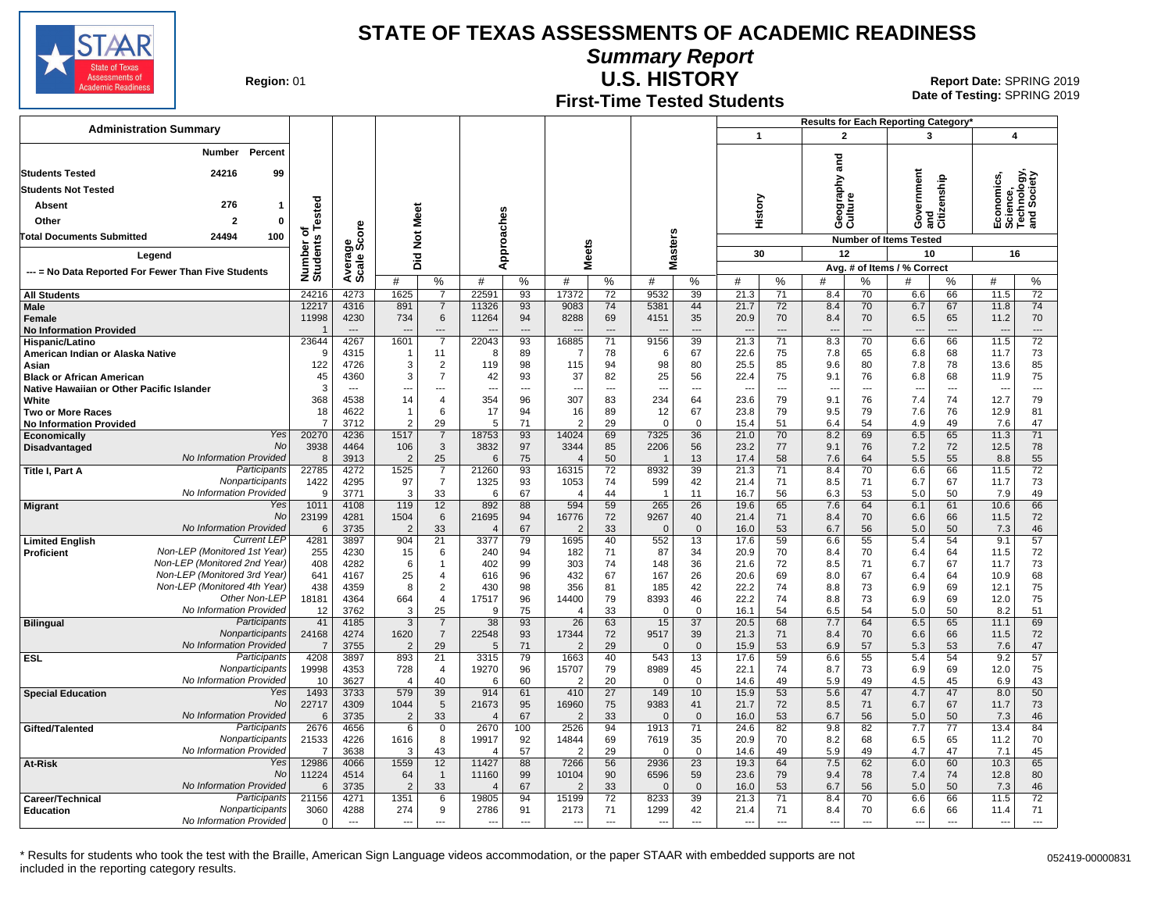

**Summary Report**

**Region: 01** 

# **First-Time Tested Students**

**U.S. HISTORY** 01 **Report Date:** SPRING 2019 **Date of Testing:**  SPRING 2019

|                                                                               |                                                              |                                   |                                  |                        |                                  |                         |                                |                         |                      |                          |                                   |                | Results for Each Reporting Category' |                                 |                      |                                   |                       |                                                      |                        |
|-------------------------------------------------------------------------------|--------------------------------------------------------------|-----------------------------------|----------------------------------|------------------------|----------------------------------|-------------------------|--------------------------------|-------------------------|----------------------|--------------------------|-----------------------------------|----------------|--------------------------------------|---------------------------------|----------------------|-----------------------------------|-----------------------|------------------------------------------------------|------------------------|
| <b>Administration Summary</b>                                                 |                                                              |                                   |                                  |                        |                                  |                         |                                |                         |                      |                          |                                   | $\mathbf{1}$   |                                      | $\overline{2}$                  |                      | 3                                 |                       | 4                                                    |                        |
|                                                                               | Percent<br>Number                                            |                                   |                                  |                        |                                  |                         |                                |                         |                      |                          |                                   |                |                                      |                                 |                      |                                   |                       |                                                      |                        |
| 24216<br><b>Students Tested</b><br>99                                         |                                                              |                                   |                                  |                        |                                  |                         |                                |                         |                      |                          |                                   |                |                                      | ក្ខ                             |                      |                                   |                       |                                                      |                        |
| <b>Students Not Tested</b>                                                    |                                                              |                                   |                                  |                        |                                  |                         |                                |                         |                      |                          |                                   |                |                                      | raphy                           |                      | Government                        | and<br>Citizenship    | Economics,<br>Science,<br>Technology,<br>and Society |                        |
| 276<br><b>Absent</b><br>$\mathbf{1}$                                          |                                                              |                                   |                                  |                        |                                  |                         |                                |                         |                      |                          |                                   |                |                                      | Geograp<br>Culture              |                      |                                   |                       |                                                      |                        |
| Other                                                                         | $\overline{2}$<br>$\mathbf 0$                                | ested                             |                                  |                        |                                  |                         |                                |                         |                      |                          |                                   | History        |                                      |                                 |                      |                                   |                       |                                                      |                        |
| <b>Total Documents Submitted</b>                                              | 24494<br>100                                                 | ō                                 | å                                |                        |                                  |                         |                                |                         |                      |                          |                                   |                |                                      |                                 |                      |                                   |                       |                                                      |                        |
|                                                                               |                                                              |                                   | န္တမ္တိ                          | Did Not Meet           |                                  | Approaches              |                                | <b>Meets</b>            |                      | Masters                  |                                   |                |                                      |                                 |                      | <b>Number of Items Tested</b>     |                       |                                                      |                        |
| Legend                                                                        |                                                              |                                   |                                  |                        |                                  |                         |                                |                         |                      |                          |                                   | 30             |                                      | 12                              |                      | 10<br>Avg. # of Items / % Correct |                       | 16                                                   |                        |
| --- = No Data Reported For Fewer Than Five Students                           |                                                              | Number of<br>Students             | Averag<br>Scale                  | #                      | %                                | #                       | %                              | #                       | %                    | #                        | %                                 | #              | %                                    | #                               | %                    | #                                 | %                     | #                                                    | $\%$                   |
| <b>All Students</b>                                                           |                                                              | 24216                             | 4273                             | 1625                   | $\overline{7}$                   | 22591                   | 93                             | 17372                   | 72                   | 9532                     | 39                                | 21.3           | 71                                   | 8.4                             | 70                   | 6.6                               | 66                    | 11.5                                                 | 72                     |
| Male                                                                          |                                                              | 12217                             | 4316                             | 891                    | $\overline{7}$                   | 11326                   | 93                             | 9083                    | 74                   | 5381                     | 44                                | 21.7           | 72                                   | 8.4                             | 70                   | 6.7                               | 67                    | 11.8                                                 | 74                     |
| Female                                                                        |                                                              | 11998<br>$\overline{\phantom{a}}$ | 4230<br>$\overline{\phantom{a}}$ | 734                    | $\,6\,$<br>$---$                 | 11264                   | 94<br>$\overline{\phantom{a}}$ | 8288                    | 69<br>$\overline{a}$ | 4151                     | 35<br>$\overline{a}$              | 20.9           | 70<br>$\sim$                         | 8.4                             | 70<br>$\overline{a}$ | 6.5                               | 65<br>$\overline{a}$  | 11.2                                                 | 70                     |
| <b>No Information Provided</b><br>Hispanic/Latino                             |                                                              | 23644                             | 4267                             | 1601                   | $\overline{7}$                   | 22043                   | $\overline{93}$                | 16885                   | $\overline{71}$      | 9156                     | 39                                | ---<br>21.3    | 71                                   | $\overline{\phantom{a}}$<br>8.3 | 70                   | $\overline{\phantom{a}}$<br>6.6   | 66                    | ---<br>11.5                                          | ---<br>$\overline{72}$ |
| American Indian or Alaska Native                                              |                                                              | <sub>9</sub>                      | 4315                             | -1                     | 11                               | 8                       | 89                             | -7                      | 78                   | -6                       | 67                                | 22.6           | 75                                   | 7.8                             | 65                   | 6.8                               | 68                    | 11.7                                                 | 73                     |
| Asian                                                                         |                                                              | 122                               | 4726                             | 3                      | $\overline{2}$                   | 119                     | 98                             | 115                     | 94                   | 98                       | 80                                | 25.5           | 85                                   | 9.6                             | 80                   | 7.8                               | 78                    | 13.6                                                 | 85                     |
| <b>Black or African American</b><br>Native Hawaiian or Other Pacific Islander |                                                              | 45<br>3                           | 4360                             | 3                      | $\overline{7}$<br>---            | 42<br>---               | 93<br>---                      | 37<br>$\overline{a}$    | 82<br>---            | 25<br>$\sim$             | 56<br>---                         | 22.4<br>---    | 75<br>$\overline{\phantom{a}}$       | 9.1<br>$\overline{\phantom{a}}$ | 76                   | 6.8<br>$\overline{\phantom{a}}$   | 68<br>$\overline{a}$  | 11.9                                                 | 75<br>---              |
| White                                                                         |                                                              | 368                               | 4538                             | 14                     | $\overline{4}$                   | 354                     | 96                             | 307                     | 83                   | 234                      | 64                                | 23.6           | 79                                   | 9.1                             | 76                   | 7.4                               | 74                    | 12.7                                                 | 79                     |
| Two or More Races                                                             |                                                              | 18                                | 4622                             |                        | 6                                | 17                      | 94                             | 16                      | 89                   | 12                       | 67                                | 23.8           | 79                                   | 9.5                             | 79                   | 7.6                               | 76                    | 12.9                                                 | 81                     |
| <b>No Information Provided</b>                                                | Yes                                                          | $\overline{7}$<br>20270           | 3712<br>4236                     | $\overline{2}$<br>1517 | 29<br>$\overline{7}$             | 5<br>18753              | 71<br>93                       | $\mathcal{P}$<br>14024  | 29<br>69             | $\Omega$<br>7325         | $\mathbf 0$<br>36                 | 15.4<br>21.0   | 51<br>70                             | 6.4<br>8.2                      | 54<br>69             | 4.9<br>6.5                        | 49<br>65              | 7.6<br>11.3                                          | 47<br>71               |
| Economically<br><b>Disadvantaged</b>                                          | No                                                           | 3938                              | 4464                             | 106                    | 3                                | 3832                    | 97                             | 3344                    | 85                   | 2206                     | 56                                | 23.2           | 77                                   | 9.1                             | 76                   | 7.2                               | 72                    | 12.5                                                 | 78                     |
|                                                                               | No Information Provided                                      | 8                                 | 3913                             | $\overline{2}$         | 25                               | 6                       | 75                             | $\overline{4}$          | 50                   |                          | 13                                | 17.4           | 58                                   | 7.6                             | 64                   | 5.5                               | 55                    | 8.8                                                  | 55                     |
| Title I, Part A                                                               | Participants<br>Nonparticipants                              | 22785                             | 4272                             | 1525                   | $\overline{7}$<br>$\overline{7}$ | 21260                   | 93                             | 16315                   | $\overline{72}$      | 8932                     | 39                                | 21.3           | 71                                   | 8.4                             | 70                   | 6.6                               | 66                    | 11.5                                                 | $\overline{72}$        |
|                                                                               | No Information Provided                                      | 1422<br>9                         | 4295<br>3771                     | 97<br>3                | 33                               | 1325<br>6               | 93<br>67                       | 1053<br>$\overline{4}$  | 74<br>44             | 599<br>-1                | 42<br>11                          | 21.4<br>16.7   | 71<br>56                             | 8.5<br>6.3                      | 71<br>53             | 6.7<br>5.0                        | 67<br>50              | 11.7<br>7.9                                          | 73<br>49               |
| <b>Migrant</b>                                                                | Yes                                                          | 1011                              | 4108                             | 119                    | 12                               | 892                     | 88                             | 594                     | 59                   | 265                      | 26                                | 19.6           | 65                                   | 7.6                             | 64                   | 6.1                               | 61                    | 10.6                                                 | 66                     |
|                                                                               | No<br>No Information Provided                                | 23199<br>6                        | 4281<br>3735                     | 1504<br>2              | 6<br>33                          | 21695<br>4              | 94<br>67                       | 16776<br>$\overline{2}$ | 72<br>33             | 9267<br>$\Omega$         | 40<br>$\mathbf 0$                 | 21.4<br>16.0   | 71<br>53                             | 8.4<br>6.7                      | 70<br>56             | 6.6<br>5.0                        | 66<br>50              | 11.5<br>7.3                                          | 72<br>46               |
| <b>Limited English</b>                                                        | <b>Current LEP</b>                                           | 4281                              | 3897                             | 904                    | $\overline{21}$                  | 3377                    | 79                             | 1695                    | 40                   | 552                      | 13                                | 17.6           | 59                                   | 6.6                             | 55                   | 5.4                               | 54                    | 9.1                                                  | 57                     |
| <b>Proficient</b>                                                             | Non-LEP (Monitored 1st Year)                                 | 255                               | 4230                             | 15                     | 6                                | 240                     | 94                             | 182                     | 71                   | 87                       | 34                                | 20.9           | 70                                   | 8.4                             | 70                   | 6.4                               | 64                    | 11.5                                                 | 72                     |
|                                                                               | Non-LEP (Monitored 2nd Year)<br>Non-LEP (Monitored 3rd Year) | 408<br>641                        | 4282<br>4167                     | 6<br>25                | $\mathbf{1}$<br>4                | 402<br>616              | 99<br>96                       | 303<br>432              | 74<br>67             | 148<br>167               | 36<br>26                          | 21.6<br>20.6   | 72<br>69                             | 8.5<br>8.0                      | 71<br>67             | 6.7<br>6.4                        | 67<br>64              | 11.7<br>10.9                                         | 73<br>68               |
|                                                                               | Non-LEP (Monitored 4th Year)                                 | 438                               | 4359                             | 8                      | $\overline{2}$                   | 430                     | 98                             | 356                     | 81                   | 185                      | 42                                | 22.2           | 74                                   | 8.8                             | 73                   | 6.9                               | 69                    | 12.1                                                 | 75                     |
|                                                                               | Other Non-LEP                                                | 18181                             | 4364                             | 664                    | $\overline{4}$                   | 17517                   | 96                             | 14400                   | 79                   | 8393                     | 46                                | 22.2           | 74                                   | 8.8                             | 73                   | 6.9                               | 69                    | 12.0                                                 | 75                     |
|                                                                               | No Information Provided                                      | 12                                | 3762                             | 3                      | 25                               | 9                       | 75                             | $\overline{4}$          | 33                   | $\Omega$                 | $\mathbf 0$                       | 16.1           | 54                                   | 6.5                             | 54                   | 5.0                               | 50                    | 8.2                                                  | 51                     |
| <b>Bilingual</b>                                                              | Participants<br>Nonparticipants                              | 41<br>24168                       | 4185<br>4274                     | 3<br>1620              | $\overline{7}$<br>$\overline{7}$ | 38<br>22548             | 93<br>93                       | 26<br>17344             | 63<br>72             | 15<br>9517               | 37<br>39                          | 20.5<br>21.3   | 68<br>71                             | 7.7<br>8.4                      | 64<br>70             | 6.5<br>6.6                        | 65<br>66              | 11.1<br>11.5                                         | 69<br>72               |
|                                                                               | No Information Provided                                      | $\overline{7}$                    | 3755                             | 2                      | 29                               | 5                       | 71                             | $\overline{2}$          | 29                   | $\Omega$                 | $\mathbf 0$                       | 15.9           | 53                                   | 6.9                             | 57                   | 5.3                               | 53                    | 7.6                                                  | 47                     |
| <b>ESL</b>                                                                    | Participants                                                 | 4208                              | 3897                             | 893                    | $\overline{21}$                  | 3315                    | 79                             | 1663                    | 40                   | 543                      | 13                                | 17.6           | 59                                   | 6.6                             | 55                   | 5.4                               | 54                    | 9.2                                                  | 57                     |
|                                                                               | Nonparticipants<br>No Information Provided                   | 19998<br>10                       | 4353<br>3627                     | 728<br>$\overline{4}$  | $\overline{4}$<br>40             | 19270<br>6              | 96<br>60                       | 15707<br>$\overline{2}$ | 79<br>20             | 8989<br>$\Omega$         | 45<br>$\Omega$                    | 22.1<br>14.6   | 74<br>49                             | 8.7<br>5.9                      | 73<br>49             | 6.9<br>4.5                        | 69<br>45              | 12.0<br>6.9                                          | 75<br>43               |
| <b>Special Education</b>                                                      | Yes                                                          | 1493                              | 3733                             | 579                    | 39                               | 914                     | 61                             | 410                     | 27                   | 149                      | 10                                | 15.9           | 53                                   | 5.6                             | 47                   | 4.7                               | 47                    | 8.0                                                  | 50                     |
|                                                                               | No                                                           | 22717                             | 4309                             | 1044                   | 5                                | 21673                   | 95                             | 16960                   | 75                   | 9383                     | 41                                | 21.7           | 72                                   | 8.5                             | 71                   | 6.7                               | 67                    | 11.7                                                 | 73                     |
|                                                                               | No Information Provided<br>Participants                      | 6<br>2676                         | 3735                             | $\overline{2}$         | 33                               | $\overline{4}$<br>2670  | 67<br>100                      | $\overline{2}$<br>2526  | 33<br>94             | $\Omega$                 | $\overline{0}$<br>$\overline{71}$ | 16.0           | 53                                   | 6.7                             | 56<br>82             | 5.0                               | 50<br>$\overline{77}$ | 7.3                                                  | 46<br>84               |
| Gifted/Talented                                                               | Nonparticipants                                              | 21533                             | 4656<br>4226                     | 6<br>1616              | $\mathbf 0$<br>8                 | 19917                   | 92                             | 14844                   | 69                   | 1913<br>7619             | 35                                | 24.6<br>20.9   | 82<br>70                             | 9.8<br>8.2                      | 68                   | 7.7<br>6.5                        | 65                    | 13.4<br>11.2                                         | 70                     |
|                                                                               | No Information Provided                                      | $\overline{7}$                    | 3638                             | 3                      | 43                               | $\overline{4}$          | 57                             | $\overline{2}$          | 29                   | $\Omega$                 | $\mathbf 0$                       | 14.6           | 49                                   | 5.9                             | 49                   | 4.7                               | 47                    | 7.1                                                  | 45                     |
| At-Risk                                                                       | Yes                                                          | 12986                             | 4066                             | 1559                   | 12                               | 11427                   | 88                             | 7266                    | 56                   | 2936                     | 23                                | 19.3           | 64                                   | 7.5                             | 62                   | 6.0                               | 60                    | 10.3                                                 | 65                     |
|                                                                               | <b>No</b><br>No Information Provided                         | 11224<br>6                        | 4514<br>3735                     | 64<br>$\overline{2}$   | $\overline{1}$<br>33             | 11160<br>$\overline{4}$ | 99<br>67                       | 10104<br>$\overline{2}$ | 90<br>33             | 6596<br>$\Omega$         | 59<br>$\mathbf{0}$                | 23.6<br>16.0   | 79<br>53                             | 9.4<br>6.7                      | 78<br>56             | 7.4<br>5.0                        | 74<br>50              | 12.8<br>7.3                                          | 80<br>46               |
| Career/Technical                                                              | Participants                                                 | 21156                             | 4271                             | 1351                   | 6                                | 19805                   | 94                             | 15199                   | 72                   | 8233                     | 39                                | 21.3           | 71                                   | 8.4                             | 70                   | 6.6                               | 66                    | 11.5                                                 | 72                     |
| <b>Education</b>                                                              | Nonparticipants                                              | 3060                              | 4288                             | 274                    | 9                                | 2786                    | 91                             | 2173                    | 71                   | 1299                     | 42                                | 21.4           | 71                                   | 8.4                             | 70                   | 6.6                               | 66                    | 11.4                                                 | 71                     |
|                                                                               | No Information Provided                                      | $\Omega$                          | $\overline{a}$                   | $\overline{a}$         | ---                              | $\overline{a}$          | $\overline{\phantom{a}}$       | $\overline{a}$          | $\overline{a}$       | $\overline{\phantom{a}}$ | ---                               | $\overline{a}$ | $\overline{\phantom{a}}$             | ---                             | $\overline{a}$       | $\overline{a}$                    | ---                   | $\overline{a}$                                       | ---                    |